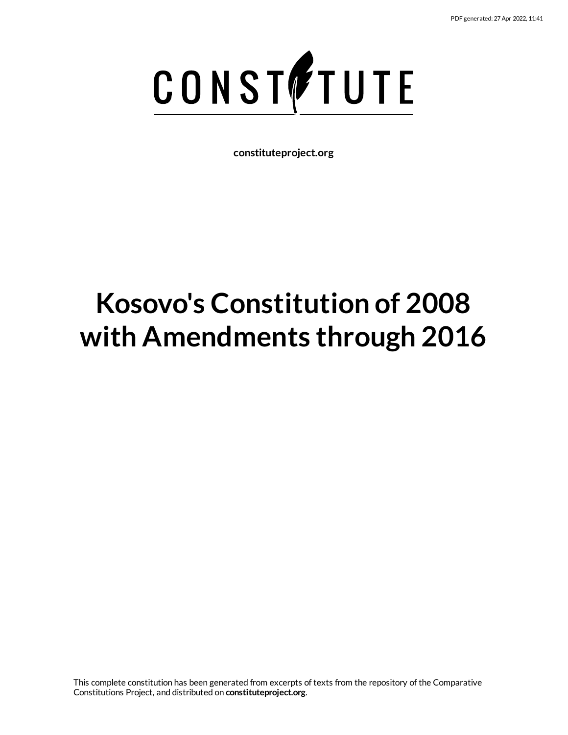

**constituteproject.org**

# **Kosovo's Constitution of 2008 with Amendments through 2016**

This complete constitution has been generated from excerpts of texts from the repository of the Comparative Constitutions Project, and distributed on **constituteproject.org**.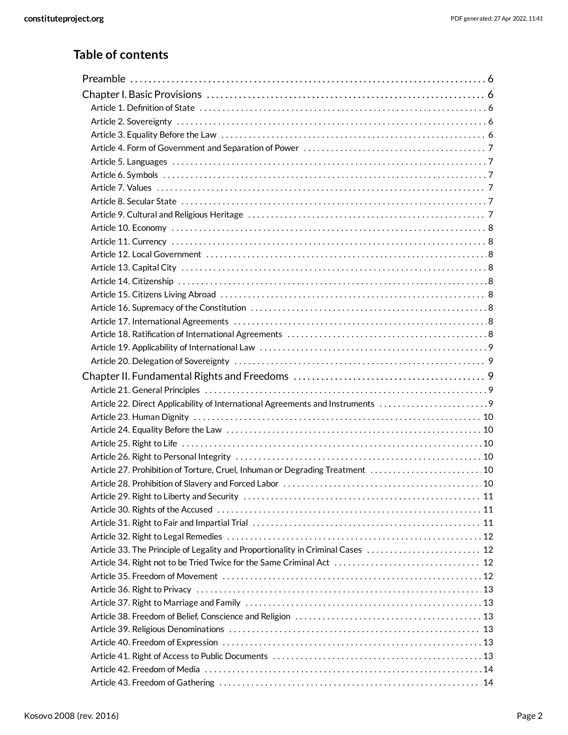# **Table of contents**

| Article 22. Direct Applicability of International Agreements and Instruments    |  |
|---------------------------------------------------------------------------------|--|
|                                                                                 |  |
|                                                                                 |  |
|                                                                                 |  |
| Article 27. Prohibition of Torture, Cruel, Inhuman or Degrading Treatment  10   |  |
|                                                                                 |  |
|                                                                                 |  |
|                                                                                 |  |
|                                                                                 |  |
|                                                                                 |  |
| Article 33. The Principle of Legality and Proportionality in Criminal Cases  12 |  |
|                                                                                 |  |
|                                                                                 |  |
|                                                                                 |  |
|                                                                                 |  |
|                                                                                 |  |
|                                                                                 |  |
|                                                                                 |  |
|                                                                                 |  |
|                                                                                 |  |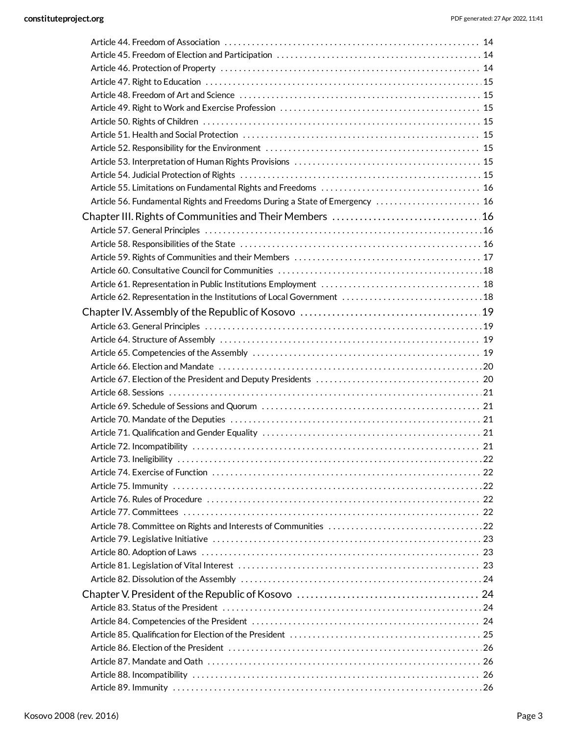|                             | Article 51. Health and Social Protection (and the content of the content of the state of the state of the stat |     |
|-----------------------------|----------------------------------------------------------------------------------------------------------------|-----|
|                             |                                                                                                                |     |
|                             |                                                                                                                |     |
|                             |                                                                                                                |     |
|                             |                                                                                                                |     |
|                             | Article 56. Fundamental Rights and Freedoms During a State of Emergency  16                                    |     |
|                             |                                                                                                                |     |
|                             |                                                                                                                |     |
|                             |                                                                                                                |     |
|                             |                                                                                                                |     |
|                             |                                                                                                                |     |
|                             |                                                                                                                |     |
|                             | Article 62. Representation in the Institutions of Local Government  18                                         |     |
|                             |                                                                                                                |     |
|                             |                                                                                                                |     |
|                             |                                                                                                                |     |
|                             |                                                                                                                |     |
|                             |                                                                                                                |     |
|                             |                                                                                                                |     |
|                             |                                                                                                                |     |
|                             |                                                                                                                |     |
|                             |                                                                                                                |     |
|                             |                                                                                                                |     |
|                             |                                                                                                                |     |
| Article 72. Incompatibility |                                                                                                                | -21 |
|                             |                                                                                                                |     |
|                             |                                                                                                                |     |
|                             |                                                                                                                |     |
|                             |                                                                                                                |     |
|                             |                                                                                                                |     |
|                             |                                                                                                                |     |
|                             |                                                                                                                |     |
|                             |                                                                                                                |     |
|                             |                                                                                                                |     |
|                             |                                                                                                                |     |
|                             |                                                                                                                |     |
|                             |                                                                                                                |     |
|                             |                                                                                                                |     |
|                             |                                                                                                                |     |
|                             |                                                                                                                |     |
|                             |                                                                                                                |     |
|                             |                                                                                                                |     |
|                             |                                                                                                                |     |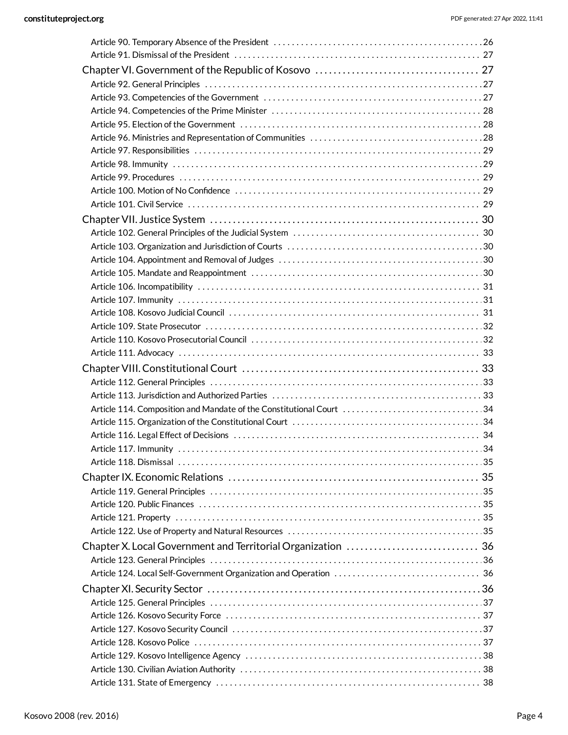| Article 114. Composition and Mandate of the Constitutional Court 34 |
|---------------------------------------------------------------------|
|                                                                     |
|                                                                     |
|                                                                     |
|                                                                     |
|                                                                     |
|                                                                     |
|                                                                     |
|                                                                     |
|                                                                     |
| Chapter X. Local Government and Territorial Organization  36        |
|                                                                     |
|                                                                     |
|                                                                     |
|                                                                     |
|                                                                     |
|                                                                     |
|                                                                     |
|                                                                     |
|                                                                     |
|                                                                     |
|                                                                     |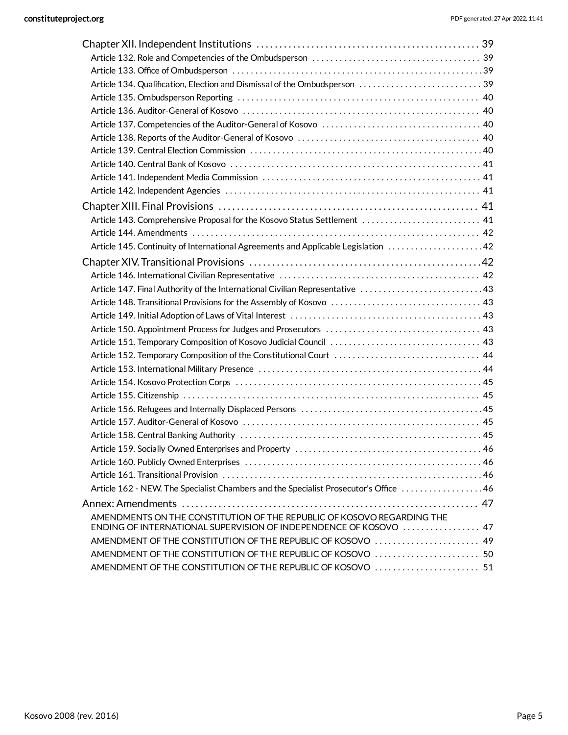| Article 134. Qualification, Election and Dismissal of the Ombudsperson  39            |  |
|---------------------------------------------------------------------------------------|--|
|                                                                                       |  |
|                                                                                       |  |
|                                                                                       |  |
|                                                                                       |  |
|                                                                                       |  |
|                                                                                       |  |
|                                                                                       |  |
|                                                                                       |  |
|                                                                                       |  |
| Article 143. Comprehensive Proposal for the Kosovo Status Settlement  41              |  |
|                                                                                       |  |
| Article 145. Continuity of International Agreements and Applicable Legislation  42    |  |
|                                                                                       |  |
|                                                                                       |  |
| 43. Article 147. Final Authority of the International Civilian Representative  43     |  |
|                                                                                       |  |
|                                                                                       |  |
|                                                                                       |  |
|                                                                                       |  |
|                                                                                       |  |
|                                                                                       |  |
|                                                                                       |  |
|                                                                                       |  |
|                                                                                       |  |
|                                                                                       |  |
|                                                                                       |  |
|                                                                                       |  |
|                                                                                       |  |
|                                                                                       |  |
| Article 162 - NEW. The Specialist Chambers and the Specialist Prosecutor's Office  46 |  |
|                                                                                       |  |
| AMENDMENTS ON THE CONSTITUTION OF THE REPUBLIC OF KOSOVO REGARDING THE                |  |
| ENDING OF INTERNATIONAL SUPERVISION OF INDEPENDENCE OF KOSOVO  47                     |  |
| AMENDMENT OF THE CONSTITUTION OF THE REPUBLIC OF KOSOVO 49                            |  |
| AMENDMENT OF THE CONSTITUTION OF THE REPUBLIC OF KOSOVO 50                            |  |
| AMENDMENT OF THE CONSTITUTION OF THE REPUBLIC OF KOSOVO 51                            |  |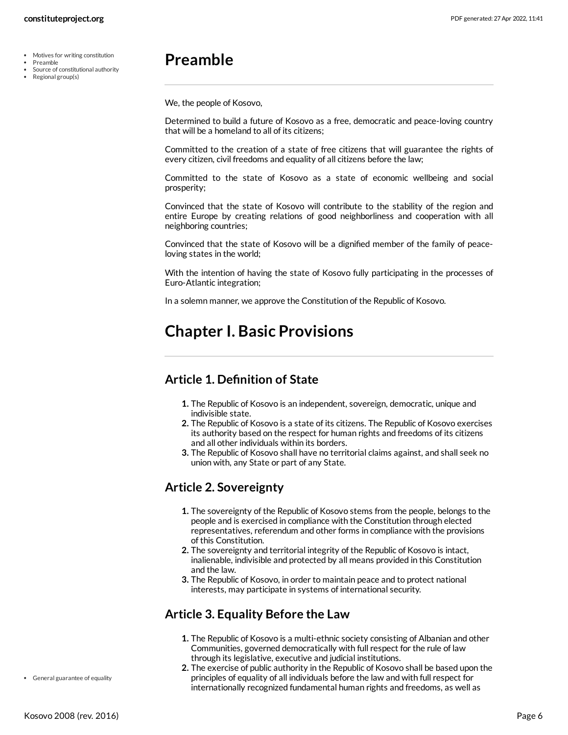- Motives for writing constitution  $\sim$
- Preamble
- Source of constitutional authority Regional group(s)

# <span id="page-5-0"></span>**Preamble**

We, the people of Kosovo,

Determined to build a future of Kosovo as a free, democratic and peace-loving country that will be a homeland to all of its citizens;

Committed to the creation of a state of free citizens that will guarantee the rights of every citizen, civil freedoms and equality of all citizens before the law;

Committed to the state of Kosovo as a state of economic wellbeing and social prosperity;

Convinced that the state of Kosovo will contribute to the stability of the region and entire Europe by creating relations of good neighborliness and cooperation with all neighboring countries;

Convinced that the state of Kosovo will be a dignified member of the family of peaceloving states in the world;

With the intention of having the state of Kosovo fully participating in the processes of Euro-Atlantic integration;

In a solemn manner, we approve the Constitution of the Republic of Kosovo.

# <span id="page-5-1"></span>**Chapter I. Basic Provisions**

#### <span id="page-5-2"></span>**Article 1. Definition of State**

- **1.** The Republic of Kosovo is an independent, sovereign, democratic, unique and indivisible state.
- **2.** The Republic of Kosovo is a state of its citizens. The Republic of Kosovo exercises its authority based on the respect for human rights and freedoms of its citizens and all other individuals within its borders.
- **3.** The Republic of Kosovo shall have no territorial claims against, and shall seek no union with, any State or part of any State.

#### <span id="page-5-3"></span>**Article 2. Sovereignty**

- **1.** The sovereignty of the Republic of Kosovo stems from the people, belongs to the people and is exercised in compliance with the Constitution through elected representatives, referendum and other forms in compliance with the provisions of this Constitution.
- **2.** The sovereignty and territorial integrity of the Republic of Kosovo is intact, inalienable, indivisible and protected by all means provided in this Constitution and the law.
- **3.** The Republic of Kosovo, in order to maintain peace and to protect national interests, may participate in systems of international security.

#### <span id="page-5-4"></span>**Article 3. Equality Before the Law**

- **1.** The Republic of Kosovo is a multi-ethnic society consisting of Albanian and other Communities, governed democratically with full respect for the rule of law through its legislative, executive and judicial institutions.
- **2.** The exercise of public authority in the Republic of Kosovo shall be based upon the principles of equality of all individuals before the law and with full respect for internationally recognized fundamental human rights and freedoms, as well as

General guarantee of equality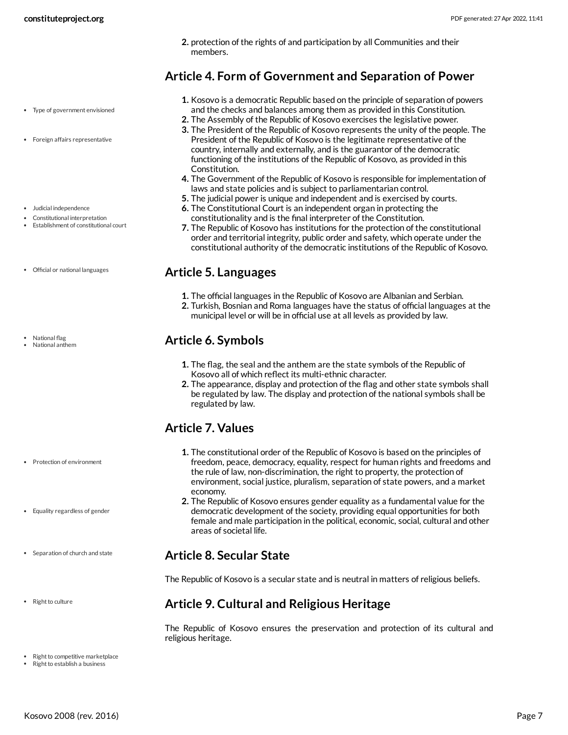**2.** protection of the rights of and participation by all Communities and their members.

#### <span id="page-6-0"></span>**Article 4. Form of Government and Separation of Power**

- Type of government envisioned
- Foreign affairs representative
- Judicial independence
- Constitutional interpretation
- Establishment of constitutional court
- Official or national languages
- National flag National anthem

- Protection of environment
- Equality regardless of gender
- Separation of church and state
- Right to culture
- **1.** Kosovo is a democratic Republic based on the principle of separation of powers and the checks and balances among them as provided in this Constitution.
- **2.** The Assembly of the Republic of Kosovo exercises the legislative power.
- **3.** The President of the Republic of Kosovo represents the unity of the people. The President of the Republic of Kosovo is the legitimate representative of the country, internally and externally, and is the guarantor of the democratic functioning of the institutions of the Republic of Kosovo, as provided in this Constitution.
- **4.** The Government of the Republic of Kosovo is responsible for implementation of laws and state policies and is subject to parliamentarian control.
- **5.** The judicial power is unique and independent and is exercised by courts.
- **6.** The Constitutional Court is an independent organ in protecting the constitutionality and is the final interpreter of the Constitution.
- **7.** The Republic of Kosovo has institutions for the protection of the constitutional order and territorial integrity, public order and safety, which operate under the constitutional authority of the democratic institutions of the Republic of Kosovo.

#### <span id="page-6-1"></span>**Article 5. Languages**

- **1.** The official languages in the Republic of Kosovo are Albanian and Serbian.
- **2.** Turkish, Bosnian and Roma languages have the status of official languages at the municipal level or will be in official use at all levels as provided by law.

#### <span id="page-6-2"></span>**Article 6. Symbols**

- **1.** The flag, the seal and the anthem are the state symbols of the Republic of Kosovo all of which reflect its multi-ethnic character.
- **2.** The appearance, display and protection of the flag and other state symbols shall be regulated by law. The display and protection of the national symbols shall be regulated by law.

# <span id="page-6-3"></span>**Article 7. Values**

- **1.** The constitutional order of the Republic of Kosovo is based on the principles of freedom, peace, democracy, equality, respect for human rights and freedoms and the rule of law, non-discrimination, the right to property, the protection of environment, social justice, pluralism, separation of state powers, and a market economy.
- **2.** The Republic of Kosovo ensures gender equality as a fundamental value for the democratic development of the society, providing equal opportunities for both female and male participation in the political, economic, social, cultural and other areas of societal life.

#### <span id="page-6-4"></span>**Article 8. Secular State**

The Republic of Kosovo is a secular state and is neutral in matters of religious beliefs.

#### <span id="page-6-5"></span>**Article 9. Cultural and Religious Heritage**

<span id="page-6-6"></span>The Republic of Kosovo ensures the preservation and protection of its cultural and religious heritage.

- Right to competitive marketplace
- Right to establish a business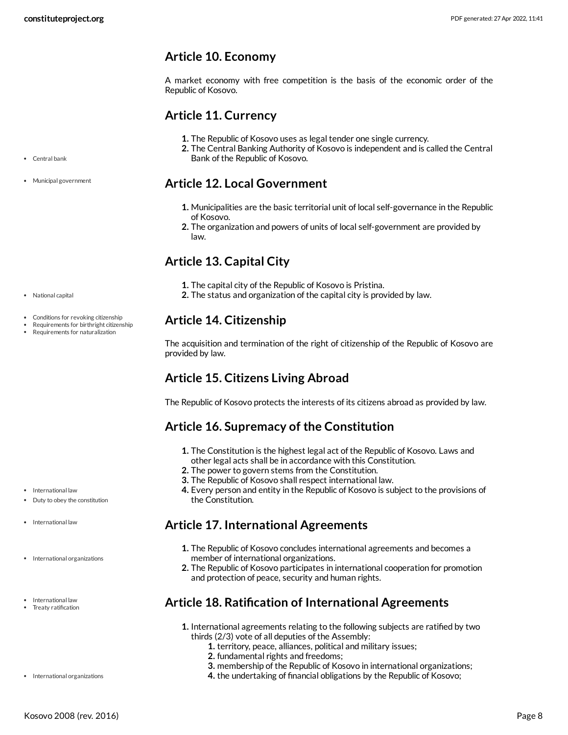#### <span id="page-7-0"></span>**Article 10. Economy**

A market economy with free competition is the basis of the economic order of the Republic of Kosovo.

#### <span id="page-7-1"></span>**Article 11. Currency**

- **1.** The Republic of Kosovo uses as legal tender one single currency.
- **2.** The Central Banking Authority of Kosovo is independent and is called the Central Bank of the Republic of Kosovo.

#### <span id="page-7-2"></span>**Article 12. Local Government**

- **1.** Municipalities are the basic territorial unit of local self-governance in the Republic of Kosovo.
- **2.** The organization and powers of units of local self-government are provided by law.

# <span id="page-7-3"></span>**Article 13. Capital City**

- **1.** The capital city of the Republic of Kosovo is Pristina.
- **2.** The status and organization of the capital city is provided by law.

#### <span id="page-7-4"></span>**Article 14. Citizenship**

The acquisition and termination of the right of citizenship of the Republic of Kosovo are provided by law.

# <span id="page-7-5"></span>**Article 15. Citizens Living Abroad**

The Republic of Kosovo protects the interests of its citizens abroad as provided by law.

#### <span id="page-7-6"></span>**Article 16. Supremacy of the Constitution**

- **1.** The Constitution is the highest legal act of the Republic of Kosovo. Laws and
- other legal acts shall be in accordance with this Constitution.
- **2.** The power to govern stems from the Constitution.
- **3.** The Republic of Kosovo shall respect international law.
- **4.** Every person and entity in the Republic of Kosovo is subject to the provisions of the Constitution.

#### <span id="page-7-7"></span>**Article 17. International Agreements**

- **1.** The Republic of Kosovo concludes international agreements and becomes a member of international organizations.
- **2.** The Republic of Kosovo participates in international cooperation for promotion and protection of peace, security and human rights.

#### <span id="page-7-8"></span>**Article 18. Ratification of International Agreements**

- **1.** International agreements relating to the following subjects are ratified by two thirds (2/3) vote of all deputies of the Assembly:
	- **1.** territory, peace, alliances, political and military issues;
	- **2.** fundamental rights and freedoms;
	- **3.** membership of the Republic of Kosovo in international organizations;
	- **4.** the undertaking of financial obligations by the Republic of Kosovo;
- Central bank
- Municipal government

National capital

- Conditions for revoking citizenship
- Requirements for birthright citizenship Requirements for naturalization

• International law

- International law
- International organizations
- International law Treaty ratification

• International organizations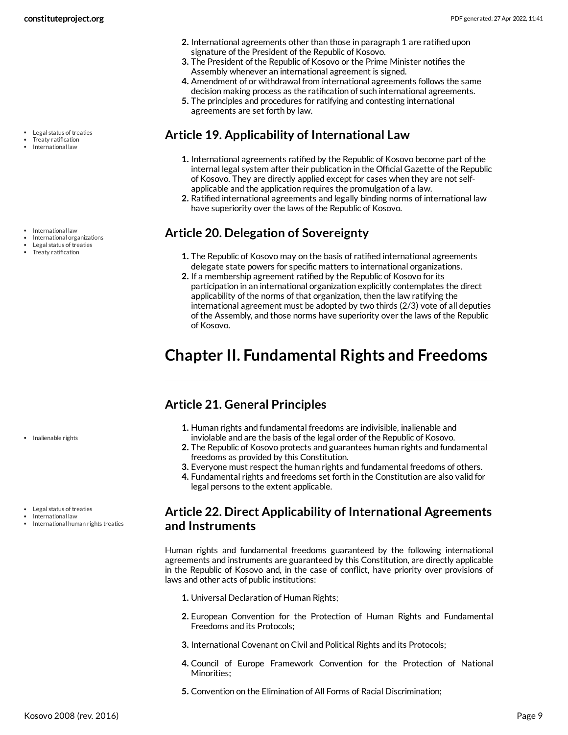- Legal status of treaties
- Treaty ratification International law

- International law
- 
- Treaty ratification

• Inalienable rights

- 
- 
- 
- International organizations
- Legal status of treaties

#### Legal status of treaties

- International law
- International human rights treaties

#### **2.** International agreements other than those in paragraph 1 are ratified upon signature of the President of the Republic of Kosovo.

- **3.** The President of the Republic of Kosovo or the Prime Minister notifies the Assembly whenever an international agreement is signed.
- **4.** Amendment of or withdrawal from international agreements follows the same decision making process as the ratification of such international agreements.
- **5.** The principles and procedures for ratifying and contesting international agreements are set forth by law.

## <span id="page-8-0"></span>**Article 19. Applicability of International Law**

- **1.** International agreements ratified by the Republic of Kosovo become part of the internal legal system after their publication in the Official Gazette of the Republic of Kosovo. They are directly applied except for cases when they are not selfapplicable and the application requires the promulgation of a law.
- **2.** Ratified international agreements and legally binding norms of international law have superiority over the laws of the Republic of Kosovo.

## <span id="page-8-1"></span>**Article 20. Delegation of Sovereignty**

- **1.** The Republic of Kosovo may on the basis of ratified international agreements delegate state powers for specific matters to international organizations.
- **2.** If a membership agreement ratified by the Republic of Kosovo for its participation in an international organization explicitly contemplates the direct applicability of the norms of that organization, then the law ratifying the international agreement must be adopted by two thirds (2/3) vote of all deputies of the Assembly, and those norms have superiority over the laws of the Republic of Kosovo.

# <span id="page-8-2"></span>**Chapter II. Fundamental Rights and Freedoms**

# <span id="page-8-3"></span>**Article 21. General Principles**

- **1.** Human rights and fundamental freedoms are indivisible, inalienable and inviolable and are the basis of the legal order of the Republic of Kosovo.
- **2.** The Republic of Kosovo protects and guarantees human rights and fundamental freedoms as provided by this Constitution.
- **3.** Everyone must respect the human rights and fundamental freedoms of others.
- **4.** Fundamental rights and freedoms set forth in the Constitution are also valid for legal persons to the extent applicable.

#### <span id="page-8-4"></span>**Article 22. Direct Applicability of International Agreements and Instruments**

<span id="page-8-5"></span>Human rights and fundamental freedoms guaranteed by the following international agreements and instruments are guaranteed by this Constitution, are directly applicable in the Republic of Kosovo and, in the case of conflict, have priority over provisions of laws and other acts of public institutions:

- **1.** Universal Declaration of Human Rights;
- **2.** European Convention for the Protection of Human Rights and Fundamental Freedoms and its Protocols;
- **3.** International Covenant on Civil and Political Rights and its Protocols;
- **4.** Council of Europe Framework Convention for the Protection of National Minorities;
- **5.** Convention on the Elimination of All Forms of Racial Discrimination;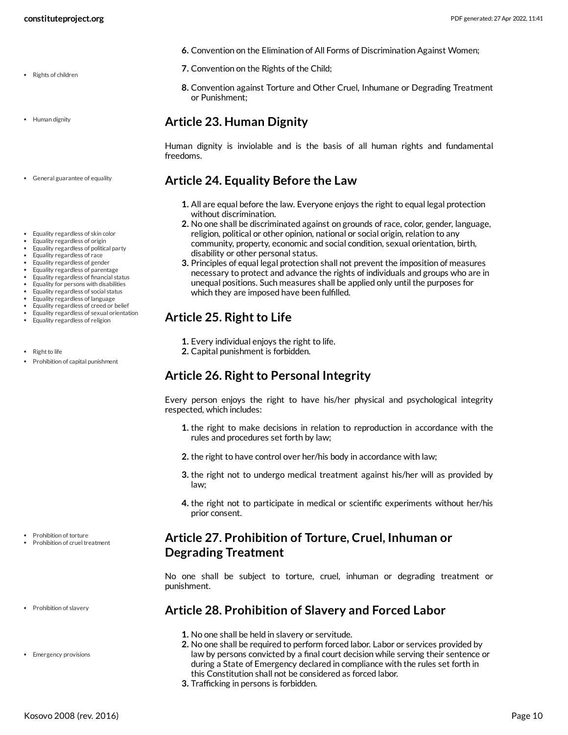- Rights of children
- Human dignity
- General guarantee of equality
- Equality regardless of skin color
- Equality regardless of origin
- Equality regardless of political party
- Equality regardless of race
- Equality regardless of gender
- Equality regardless of parentage
- Equality regardless of financial status
- Equality for persons with disabilities
- Equality regardless of social status
- Equality regardless of language
- Equality regardless of creed or belief
- Equality regardless of sexual orientation Equality regardless of religion
- $\cdot$  Rightto life
- Prohibition of capital punishment

- Prohibition of torture
- Prohibition of cruel treatment
- Prohibition of slavery
- Emergency provisions
- **6.** Convention on the Elimination of All Forms of Discrimination Against Women;
- **7.** Convention on the Rights of the Child;
- **8.** Convention against Torture and Other Cruel, Inhumane or Degrading Treatment or Punishment;

#### <span id="page-9-0"></span>**Article 23. Human Dignity**

Human dignity is inviolable and is the basis of all human rights and fundamental freedoms.

#### <span id="page-9-1"></span>**Article 24. Equality Before the Law**

- **1.** All are equal before the law. Everyone enjoys the right to equal legal protection without discrimination.
- **2.** No one shall be discriminated against on grounds of race, color, gender, language, religion, political or other opinion, national or social origin, relation to any community, property, economic and social condition, sexual orientation, birth, disability or other personal status.
- **3.** Principles of equal legal protection shall not prevent the imposition of measures necessary to protect and advance the rights of individuals and groups who are in unequal positions. Such measures shall be applied only until the purposes for which they are imposed have been fulfilled.

#### <span id="page-9-2"></span>**Article 25. Right to Life**

- **1.** Every individual enjoys the right to life.
- **2.** Capital punishment is forbidden.

#### <span id="page-9-3"></span>**Article 26. Right to Personal Integrity**

Every person enjoys the right to have his/her physical and psychological integrity respected, which includes:

- **1.** the right to make decisions in relation to reproduction in accordance with the rules and procedures set forth by law;
- **2.** the right to have control over her/his body in accordance with law;
- **3.** the right not to undergo medical treatment against his/her will as provided by law;
- **4.** the right not to participate in medical or scientific experiments without her/his prior consent.

#### <span id="page-9-4"></span>**Article 27. Prohibition of Torture, Cruel, Inhuman or Degrading Treatment**

No one shall be subject to torture, cruel, inhuman or degrading treatment or punishment.

#### <span id="page-9-5"></span>**Article 28. Prohibition of Slavery and Forced Labor**

- **1.** No one shall be held in slavery or servitude.
- **2.** No one shall be required to perform forced labor. Labor or services provided by law by persons convicted by a final court decision while serving their sentence or during a State of Emergency declared in compliance with the rules set forth in this Constitution shall not be considered as forced labor.
- **3.** Trafficking in persons is forbidden.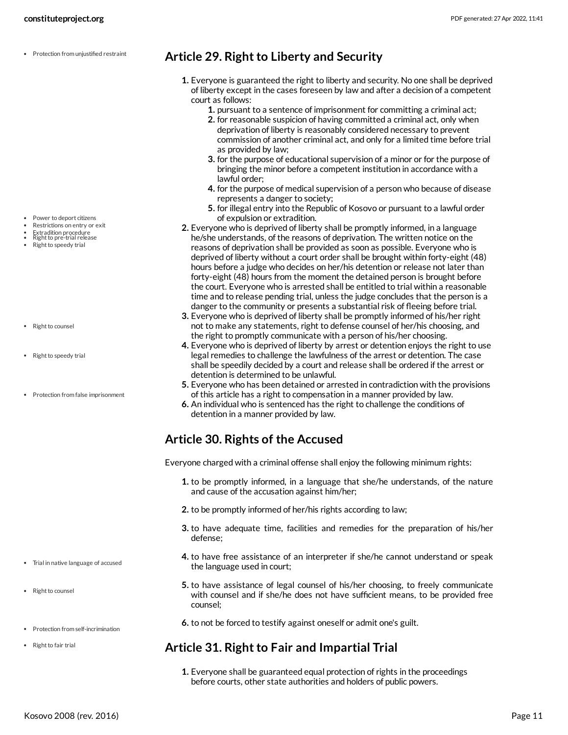• Protection from unjustified restraint

- Power to deport citizens
- Restrictions on entry or exit
- Extradition procedure<br>Right to pre-trial release
- Right to speedy trial
- Right to counsel
- Right to speedy trial
- Protection from false imprisonment

- Trial in native language of accused
- Right to counsel
- Protection from self-incrimination
- Right to fair trial

#### <span id="page-10-0"></span>**Article 29. Right to Liberty and Security**

- **1.** Everyone is guaranteed the right to liberty and security. No one shall be deprived of liberty except in the cases foreseen by law and after a decision of a competent court as follows:
	- **1.** pursuant to a sentence of imprisonment for committing a criminal act;
	- **2.** for reasonable suspicion of having committed a criminal act, only when deprivation of liberty is reasonably considered necessary to prevent commission of another criminal act, and only for a limited time before trial as provided by law;
	- **3.** for the purpose of educational supervision of a minor or for the purpose of bringing the minor before a competent institution in accordance with a lawful order;
	- **4.** for the purpose of medical supervision of a person who because of disease represents a danger to society;
	- **5.** for illegal entry into the Republic of Kosovo or pursuant to a lawful order of expulsion or extradition.
- **2.** Everyone who is deprived of liberty shall be promptly informed, in a language he/she understands, of the reasons of deprivation. The written notice on the reasons of deprivation shall be provided as soon as possible. Everyone who is deprived of liberty without a court order shall be brought within forty-eight (48) hours before a judge who decides on her/his detention or release not later than forty-eight (48) hours from the moment the detained person is brought before the court. Everyone who is arrested shall be entitled to trial within a reasonable time and to release pending trial, unless the judge concludes that the person is a danger to the community or presents a substantial risk of fleeing before trial.
- **3.** Everyone who is deprived of liberty shall be promptly informed of his/her right not to make any statements, right to defense counsel of her/his choosing, and the right to promptly communicate with a person of his/her choosing.
- **4.** Everyone who is deprived of liberty by arrest or detention enjoys the right to use legal remedies to challenge the lawfulness of the arrest or detention. The case shall be speedily decided by a court and release shall be ordered if the arrest or detention is determined to be unlawful.
- **5.** Everyone who has been detained or arrested in contradiction with the provisions of this article has a right to compensation in a manner provided by law.
- **6.** An individual who is sentenced has the right to challenge the conditions of detention in a manner provided by law.

#### <span id="page-10-1"></span>**Article 30. Rights of the Accused**

<span id="page-10-3"></span>Everyone charged with a criminal offense shall enjoy the following minimum rights:

- **1.** to be promptly informed, in a language that she/he understands, of the nature and cause of the accusation against him/her;
- **2.** to be promptly informed of her/his rights according to law;
- **3.** to have adequate time, facilities and remedies for the preparation of his/her defense;
- **4.** to have free assistance of an interpreter if she/he cannot understand or speak the language used in court;
- **5.** to have assistance of legal counsel of his/her choosing, to freely communicate with counsel and if she/he does not have sufficient means, to be provided free counsel;
- **6.** to not be forced to testify against oneself or admit one's guilt.

#### <span id="page-10-2"></span>**Article 31. Right to Fair and Impartial Trial**

**1.** Everyone shall be guaranteed equal protection of rights in the proceedings before courts, other state authorities and holders of public powers.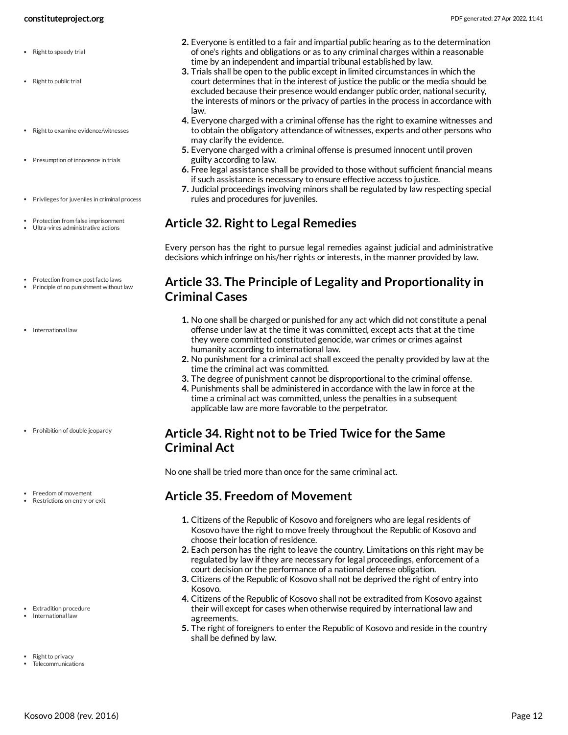#### **constituteproject.org** PDF generated: 27 Apr 2022, 11:41

- Right to speedy trial
- Right to public trial
- $\cdot$  Right to examine evidence/witnesses
- Presumption of innocence in trials
- Privileges for juveniles in criminal process
- Protection from false imprisonment
- Ultra-vires administrative actions
- Protection from ex post facto laws
- Principle of no punishment without law
- International law

- Prohibition of double jeopardy
- Freedom of movement
- Restrictions on entry or exit

- Extradition procedure
- International law
- Right to privacy
- **Telecommunications**
- **2.** Everyone is entitled to a fair and impartial public hearing as to the determination of one's rights and obligations or as to any criminal charges within a reasonable time by an independent and impartial tribunal established by law.
- **3.** Trials shall be open to the public except in limited circumstances in which the court determines that in the interest of justice the public or the media should be excluded because their presence would endanger public order, national security, the interests of minors or the privacy of parties in the process in accordance with law.
- **4.** Everyone charged with a criminal offense has the right to examine witnesses and to obtain the obligatory attendance of witnesses, experts and other persons who may clarify the evidence.
- **5.** Everyone charged with a criminal offense is presumed innocent until proven guilty according to law.
- **6.** Free legal assistance shall be provided to those without sufficient financial means if such assistance is necessary to ensure effective access to justice.
- **7.** Judicial proceedings involving minors shall be regulated by law respecting special rules and procedures for juveniles.

#### <span id="page-11-0"></span>**Article 32. Right to Legal Remedies**

Every person has the right to pursue legal remedies against judicial and administrative decisions which infringe on his/her rights or interests, in the manner provided by law.

#### <span id="page-11-1"></span>**Article 33. The Principle of Legality and Proportionality in Criminal Cases**

- **1.** No one shall be charged or punished for any act which did not constitute a penal offense under law at the time it was committed, except acts that at the time they were committed constituted genocide, war crimes or crimes against humanity according to international law.
- **2.** No punishment for a criminal act shall exceed the penalty provided by law at the time the criminal act was committed.
- **3.** The degree of punishment cannot be disproportional to the criminal offense.
- **4.** Punishments shall be administered in accordance with the law in force at the time a criminal act was committed, unless the penalties in a subsequent applicable law are more favorable to the perpetrator.

#### <span id="page-11-2"></span>**Article 34. Right not to be Tried Twice for the Same Criminal Act**

No one shall be tried more than once for the same criminal act.

#### <span id="page-11-3"></span>**Article 35. Freedom of Movement**

- **1.** Citizens of the Republic of Kosovo and foreigners who are legal residents of Kosovo have the right to move freely throughout the Republic of Kosovo and choose their location of residence.
- **2.** Each person has the right to leave the country. Limitations on this right may be regulated by law if they are necessary for legal proceedings, enforcement of a court decision or the performance of a national defense obligation.
- **3.** Citizens of the Republic of Kosovo shall not be deprived the right of entry into Kosovo.
- **4.** Citizens of the Republic of Kosovo shall not be extradited from Kosovo against their will except for cases when otherwise required by international law and agreements.
- <span id="page-11-4"></span>**5.** The right of foreigners to enter the Republic of Kosovo and reside in the country shall be defined by law.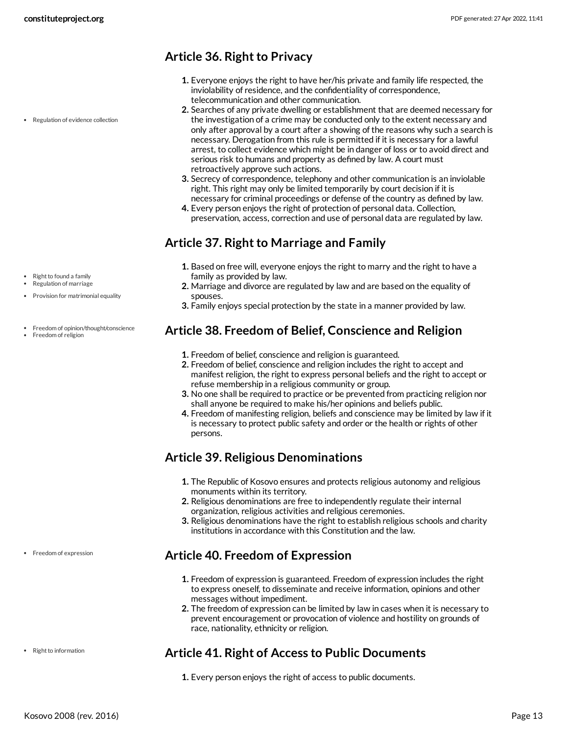## <span id="page-12-0"></span>**Article 36. Right to Privacy**

- **1.** Everyone enjoys the right to have her/his private and family life respected, the inviolability of residence, and the confidentiality of correspondence, telecommunication and other communication.
- **2.** Searches of any private dwelling or establishment that are deemed necessary for the investigation of a crime may be conducted only to the extent necessary and only after approval by a court after a showing of the reasons why such a search is necessary. Derogation from this rule is permitted if it is necessary for a lawful arrest, to collect evidence which might be in danger of loss or to avoid direct and serious risk to humans and property as defined by law. A court must retroactively approve such actions.
- **3.** Secrecy of correspondence, telephony and other communication is an inviolable right. This right may only be limited temporarily by court decision if it is necessary for criminal proceedings or defense of the country as defined by law.
- **4.** Every person enjoys the right of protection of personal data. Collection, preservation, access, correction and use of personal data are regulated by law.

# <span id="page-12-1"></span>**Article 37. Right to Marriage and Family**

- **1.** Based on free will, everyone enjoys the right to marry and the right to have a family as provided by law.
- **2.** Marriage and divorce are regulated by law and are based on the equality of spouses.
- **3.** Family enjoys special protection by the state in a manner provided by law.

#### <span id="page-12-2"></span>**Article 38. Freedom of Belief, Conscience and Religion**

- **1.** Freedom of belief, conscience and religion is guaranteed.
- **2.** Freedom of belief, conscience and religion includes the right to accept and manifest religion, the right to express personal beliefs and the right to accept or refuse membership in a religious community or group.
- **3.** No one shall be required to practice or be prevented from practicing religion nor shall anyone be required to make his/her opinions and beliefs public.
- **4.** Freedom of manifesting religion, beliefs and conscience may be limited by law if it is necessary to protect public safety and order or the health or rights of other persons.

# <span id="page-12-3"></span>**Article 39. Religious Denominations**

- **1.** The Republic of Kosovo ensures and protects religious autonomy and religious monuments within its territory.
- **2.** Religious denominations are free to independently regulate their internal organization, religious activities and religious ceremonies.
- **3.** Religious denominations have the right to establish religious schools and charity institutions in accordance with this Constitution and the law.

# <span id="page-12-4"></span>**Article 40. Freedom of Expression**

- **1.** Freedom of expression is guaranteed. Freedom of expression includes the right to express oneself, to disseminate and receive information, opinions and other messages without impediment.
- **2.** The freedom of expression can be limited by law in cases when it is necessary to prevent encouragement or provocation of violence and hostility on grounds of race, nationality, ethnicity or religion.

#### <span id="page-12-5"></span>**Article 41. Right of Access to Public Documents**

**1.** Every person enjoys the right of access to public documents.

• Regulation of evidence collection

- Right to found a family
- Regulation of marriage
- Provision for matrimonial equality
- Freedom of opinion/thought/conscience
- Freedom of religion

• Freedom of expression

• Right to information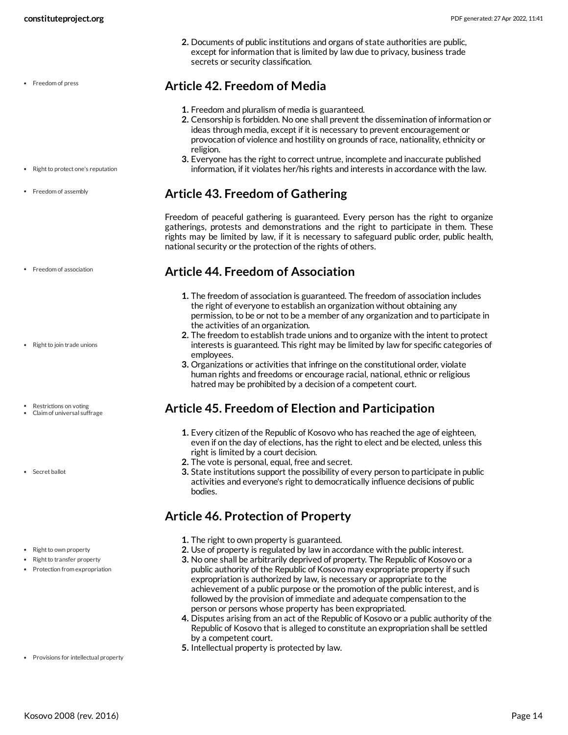• Freedom of press

**2.** Documents of public institutions and organs of state authorities are public, except for information that is limited by law due to privacy, business trade secrets or security classification.

#### <span id="page-13-0"></span>**Article 42. Freedom of Media**

- **1.** Freedom and pluralism of media is guaranteed.
- **2.** Censorship is forbidden. No one shall prevent the dissemination of information or ideas through media, except if it is necessary to prevent encouragement or provocation of violence and hostility on grounds of race, nationality, ethnicity or religion.
- **3.** Everyone has the right to correct untrue, incomplete and inaccurate published information, if it violates her/his rights and interests in accordance with the law.

#### <span id="page-13-1"></span>**Article 43. Freedom of Gathering**

Freedom of peaceful gathering is guaranteed. Every person has the right to organize gatherings, protests and demonstrations and the right to participate in them. These rights may be limited by law, if it is necessary to safeguard public order, public health, national security or the protection of the rights of others.

#### <span id="page-13-2"></span>**Article 44. Freedom of Association**

- **1.** The freedom of association is guaranteed. The freedom of association includes the right of everyone to establish an organization without obtaining any permission, to be or not to be a member of any organization and to participate in the activities of an organization.
- **2.** The freedom to establish trade unions and to organize with the intent to protect interests is guaranteed. This right may be limited by law for specific categories of employees.
- **3.** Organizations or activities that infringe on the constitutional order, violate human rights and freedoms or encourage racial, national, ethnic or religious hatred may be prohibited by a decision of a competent court.

#### <span id="page-13-3"></span>**Article 45. Freedom of Election and Participation**

- **1.** Every citizen of the Republic of Kosovo who has reached the age of eighteen, even if on the day of elections, has the right to elect and be elected, unless this right is limited by a court decision.
- **2.** The vote is personal, equal, free and secret.
- **3.** State institutions support the possibility of every person to participate in public activities and everyone's right to democratically influence decisions of public bodies.

#### <span id="page-13-4"></span>**Article 46. Protection of Property**

- **1.** The right to own property is guaranteed.
- **2.** Use of property is regulated by law in accordance with the public interest.
- **3.** No one shall be arbitrarily deprived of property. The Republic of Kosovo or a public authority of the Republic of Kosovo may expropriate property if such expropriation is authorized by law, is necessary or appropriate to the achievement of a public purpose or the promotion of the public interest, and is followed by the provision of immediate and adequate compensation to the person or persons whose property has been expropriated.
- **4.** Disputes arising from an act of the Republic of Kosovo or a public authority of the Republic of Kosovo that is alleged to constitute an expropriation shall be settled by a competent court.
- <span id="page-13-5"></span>**5.** Intellectual property is protected by law.

• Right to protect one's reputation

- Freedom of assembly
- Freedom of association
- Right to join trade unions
- Restrictions on voting
- Claim of universal suffrage
- Secret ballot

• Right to own property

- Right to transfer property
- Protection from expropriation

• Provisions for intellectual property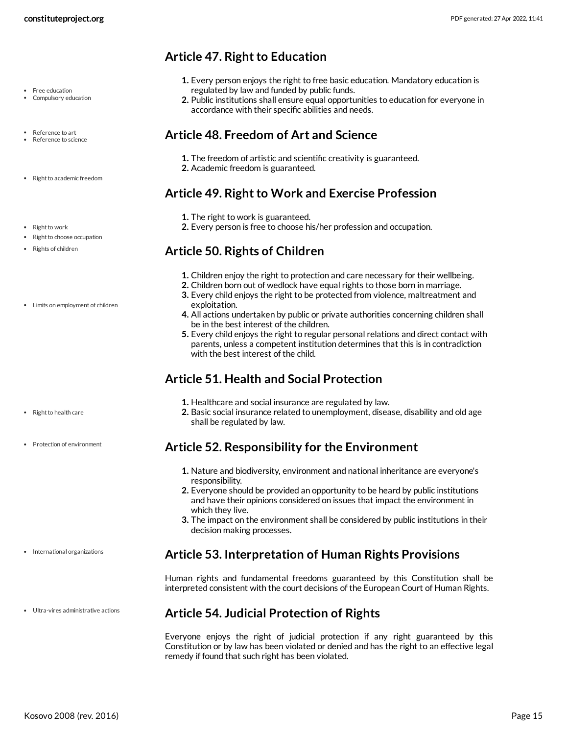- Free education
- Compulsory education
- Reference to art
- Reference to science
- Right to academic freedom
- Right to work

#### • Right to choose occupation

- Rights of children
- Limits on employment of children

- Right to health care
- Protection of environment

- International organizations
- Ultra-vires administrative actions

#### <span id="page-14-0"></span>**Article 47. Right to Education**

- **1.** Every person enjoys the right to free basic education. Mandatory education is regulated by law and funded by public funds.
- **2.** Public institutions shall ensure equal opportunities to education for everyone in accordance with their specific abilities and needs.

#### <span id="page-14-1"></span>**Article 48. Freedom of Art and Science**

- **1.** The freedom of artistic and scientific creativity is guaranteed.
- **2.** Academic freedom is guaranteed.

#### <span id="page-14-2"></span>**Article 49. Right to Work and Exercise Profession**

- **1.** The right to work is guaranteed.
- **2.** Every person is free to choose his/her profession and occupation.

#### <span id="page-14-3"></span>**Article 50. Rights of Children**

- **1.** Children enjoy the right to protection and care necessary for their wellbeing.
- **2.** Children born out of wedlock have equal rights to those born in marriage.
- **3.** Every child enjoys the right to be protected from violence, maltreatment and exploitation.
- **4.** All actions undertaken by public or private authorities concerning children shall be in the best interest of the children.
- **5.** Every child enjoys the right to regular personal relations and direct contact with parents, unless a competent institution determines that this is in contradiction with the best interest of the child.

# <span id="page-14-4"></span>**Article 51. Health and Social Protection**

- **1.** Healthcare and social insurance are regulated by law.
- **2.** Basic social insurance related to unemployment, disease, disability and old age shall be regulated by law.

#### <span id="page-14-5"></span>**Article 52. Responsibility for the Environment**

- **1.** Nature and biodiversity, environment and national inheritance are everyone's responsibility.
- **2.** Everyone should be provided an opportunity to be heard by public institutions and have their opinions considered on issues that impact the environment in which they live.
- **3.** The impact on the environment shall be considered by public institutions in their decision making processes.

#### <span id="page-14-6"></span>**Article 53. Interpretation of Human Rights Provisions**

Human rights and fundamental freedoms guaranteed by this Constitution shall be interpreted consistent with the court decisions of the European Court of Human Rights.

# <span id="page-14-7"></span>**Article 54. Judicial Protection of Rights**

Everyone enjoys the right of judicial protection if any right guaranteed by this Constitution or by law has been violated or denied and has the right to an effective legal remedy if found that such right has been violated.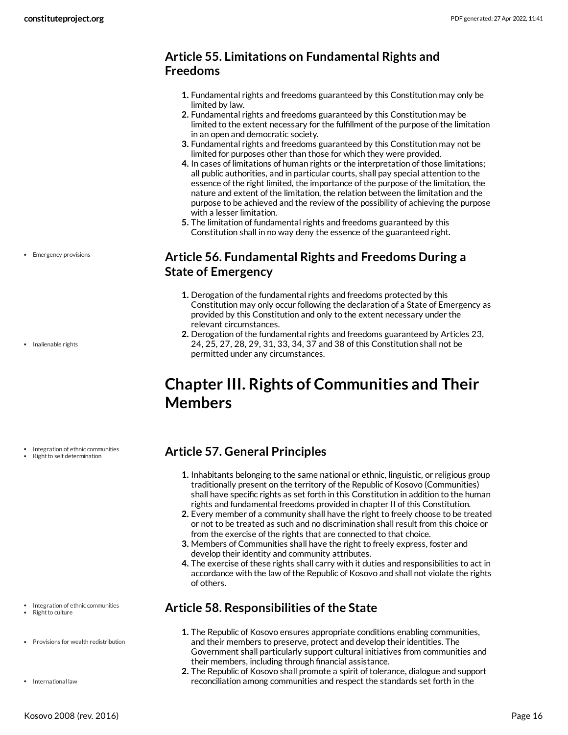#### <span id="page-15-0"></span>**Article 55. Limitations on Fundamental Rights and Freedoms**

- **1.** Fundamental rights and freedoms guaranteed by this Constitution may only be limited by law.
- **2.** Fundamental rights and freedoms guaranteed by this Constitution may be limited to the extent necessary for the fulfillment of the purpose of the limitation in an open and democratic society.
- **3.** Fundamental rights and freedoms guaranteed by this Constitution may not be limited for purposes other than those for which they were provided.
- **4.** In cases of limitations of human rights or the interpretation of those limitations; all public authorities, and in particular courts, shall pay special attention to the essence of the right limited, the importance of the purpose of the limitation, the nature and extent of the limitation, the relation between the limitation and the purpose to be achieved and the review of the possibility of achieving the purpose with a lesser limitation.
- **5.** The limitation of fundamental rights and freedoms guaranteed by this Constitution shall in no way deny the essence of the guaranteed right.

## <span id="page-15-1"></span>**Article 56. Fundamental Rights and Freedoms During a State of Emergency**

- **1.** Derogation of the fundamental rights and freedoms protected by this Constitution may only occur following the declaration of a State of Emergency as provided by this Constitution and only to the extent necessary under the relevant circumstances.
- **2.** Derogation of the fundamental rights and freedoms guaranteed by Articles 23, 24, 25, 27, 28, 29, 31, 33, 34, 37 and 38 of this Constitution shall not be permitted under any circumstances.

# <span id="page-15-2"></span>**Chapter III. Rights of Communities and Their Members**

# <span id="page-15-3"></span>**Article 57. General Principles**

- **1.** Inhabitants belonging to the same national or ethnic, linguistic, or religious group traditionally present on the territory of the Republic of Kosovo (Communities) shall have specific rights as set forth in this Constitution in addition to the human rights and fundamental freedoms provided in chapter II of this Constitution.
- **2.** Every member of a community shall have the right to freely choose to be treated or not to be treated as such and no discrimination shall result from this choice or from the exercise of the rights that are connected to that choice.
- **3.** Members of Communities shall have the right to freely express, foster and develop their identity and community attributes.
- **4.** The exercise of these rights shall carry with it duties and responsibilities to act in accordance with the law of the Republic of Kosovo and shall not violate the rights of others.

# <span id="page-15-4"></span>**Article 58. Responsibilities of the State**

- **1.** The Republic of Kosovo ensures appropriate conditions enabling communities, and their members to preserve, protect and develop their identities. The Government shall particularly support cultural initiatives from communities and their members, including through financial assistance.
- **2.** The Republic of Kosovo shall promote a spirit of tolerance, dialogue and support reconciliation among communities and respect the standards set forth in the

• Emergency provisions

• Inalienable rights

Integration of ethnic communities

Right to self determination

- Integration of ethnic communities
- Right to culture
- Provisions for wealth redistribution
- International law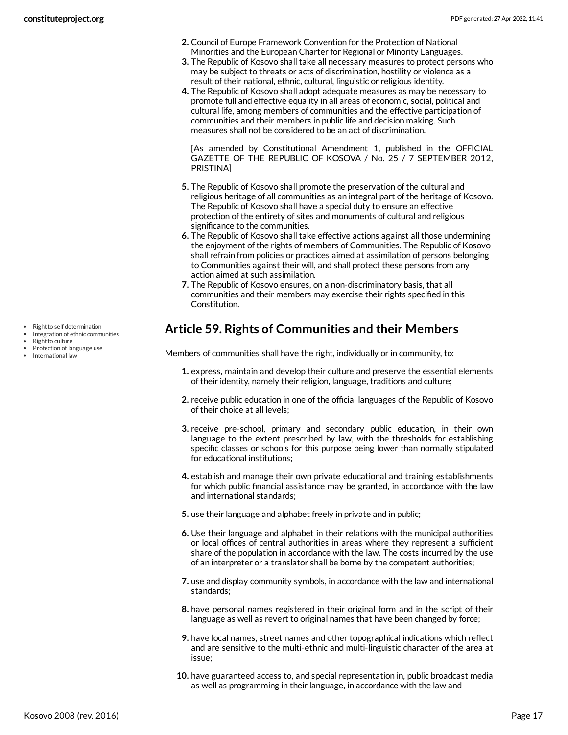- **2.** Council of Europe Framework Convention for the Protection of National Minorities and the European Charter for Regional or Minority Languages.
- **3.** The Republic of Kosovo shall take all necessary measures to protect persons who may be subject to threats or acts of discrimination, hostility or violence as a result of their national, ethnic, cultural, linguistic or religious identity.
- **4.** The Republic of Kosovo shall adopt adequate measures as may be necessary to promote full and effective equality in all areas of economic, social, political and cultural life, among members of communities and the effective participation of communities and their members in public life and decision making. Such measures shall not be considered to be an act of discrimination.

[As amended by Constitutional Amendment 1, published in the OFFICIAL GAZETTE OF THE REPUBLIC OF KOSOVA / No. 25 / 7 SEPTEMBER 2012, PRISTINA]

- **5.** The Republic of Kosovo shall promote the preservation of the cultural and religious heritage of all communities as an integral part of the heritage of Kosovo. The Republic of Kosovo shall have a special duty to ensure an effective protection of the entirety of sites and monuments of cultural and religious significance to the communities.
- **6.** The Republic of Kosovo shall take effective actions against all those undermining the enjoyment of the rights of members of Communities. The Republic of Kosovo shall refrain from policies or practices aimed at assimilation of persons belonging to Communities against their will, and shall protect these persons from any action aimed at such assimilation.
- **7.** The Republic of Kosovo ensures, on a non-discriminatory basis, that all communities and their members may exercise their rights specified in this Constitution.

## <span id="page-16-0"></span>**Article 59. Rights of Communities and their Members**

<span id="page-16-1"></span>Members of communities shall have the right, individually or in community, to:

- **1.** express, maintain and develop their culture and preserve the essential elements of their identity, namely their religion, language, traditions and culture;
- **2.** receive public education in one of the official languages of the Republic of Kosovo of their choice at all levels;
- **3.** receive pre-school, primary and secondary public education, in their own language to the extent prescribed by law, with the thresholds for establishing specific classes or schools for this purpose being lower than normally stipulated for educational institutions;
- **4.** establish and manage their own private educational and training establishments for which public financial assistance may be granted, in accordance with the law and international standards;
- **5.** use their language and alphabet freely in private and in public;
- **6.** Use their language and alphabet in their relations with the municipal authorities or local offices of central authorities in areas where they represent a sufficient share of the population in accordance with the law. The costs incurred by the use of an interpreter or a translator shall be borne by the competent authorities;
- **7.** use and display community symbols, in accordance with the law and international standards;
- **8.** have personal names registered in their original form and in the script of their language as well as revert to original names that have been changed by force;
- **9.** have local names, street names and other topographical indications which reflect and are sensitive to the multi-ethnic and multi-linguistic character of the area at issue;
- **10.** have guaranteed access to, and special representation in, public broadcast media as well as programming in their language, in accordance with the law and
- Right to self determination
- Integration of ethnic communities
- Right to culture
- Protection of language use International law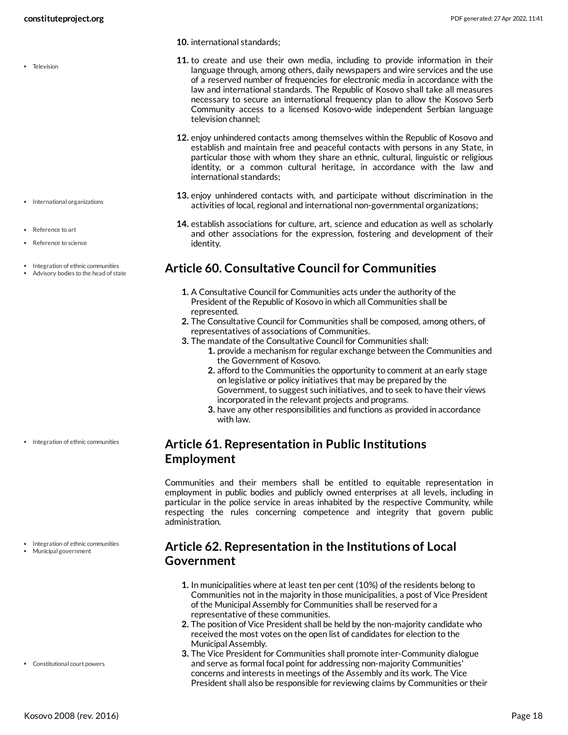• Television

- International organizations
- Reference to art
- Reference to science
- Integration of ethnic communities
- Advisory bodies to the head of state

• Integration of ethnic communities

Integration of ethnic communities Municipal government

Constitutional court powers

- **11.** to create and use their own media, including to provide information in their language through, among others, daily newspapers and wire services and the use of a reserved number of frequencies for electronic media in accordance with the law and international standards. The Republic of Kosovo shall take all measures necessary to secure an international frequency plan to allow the Kosovo Serb Community access to a licensed Kosovo-wide independent Serbian language television channel;
- **12.** enjoy unhindered contacts among themselves within the Republic of Kosovo and establish and maintain free and peaceful contacts with persons in any State, in particular those with whom they share an ethnic, cultural, linguistic or religious identity, or a common cultural heritage, in accordance with the law and international standards;
- **13.** enjoy unhindered contacts with, and participate without discrimination in the activities of local, regional and international non-governmental organizations;
- **14.** establish associations for culture, art, science and education as well as scholarly and other associations for the expression, fostering and development of their identity.

#### <span id="page-17-0"></span>**Article 60. Consultative Council for Communities**

- **1.** A Consultative Council for Communities acts under the authority of the President of the Republic of Kosovo in which all Communities shall be represented.
- **2.** The Consultative Council for Communities shall be composed, among others, of representatives of associations of Communities.
- **3.** The mandate of the Consultative Council for Communities shall:
	- **1.** provide a mechanism for regular exchange between the Communities and the Government of Kosovo.
	- **2.** afford to the Communities the opportunity to comment at an early stage on legislative or policy initiatives that may be prepared by the Government, to suggest such initiatives, and to seek to have their views incorporated in the relevant projects and programs.
	- **3.** have any other responsibilities and functions as provided in accordance with law.

#### <span id="page-17-1"></span>**Article 61. Representation in Public Institutions Employment**

Communities and their members shall be entitled to equitable representation in employment in public bodies and publicly owned enterprises at all levels, including in particular in the police service in areas inhabited by the respective Community, while respecting the rules concerning competence and integrity that govern public administration.

#### <span id="page-17-2"></span>**Article 62. Representation in the Institutions of Local Government**

- **1.** In municipalities where at least ten per cent (10%) of the residents belong to Communities not in the majority in those municipalities, a post of Vice President of the Municipal Assembly for Communities shall be reserved for a representative of these communities.
- **2.** The position of Vice President shall be held by the non-majority candidate who received the most votes on the open list of candidates for election to the Municipal Assembly.
- **3.** The Vice President for Communities shall promote inter-Community dialogue and serve as formal focal point for addressing non-majority Communities' concerns and interests in meetings of the Assembly and its work. The Vice President shall also be responsible for reviewing claims by Communities or their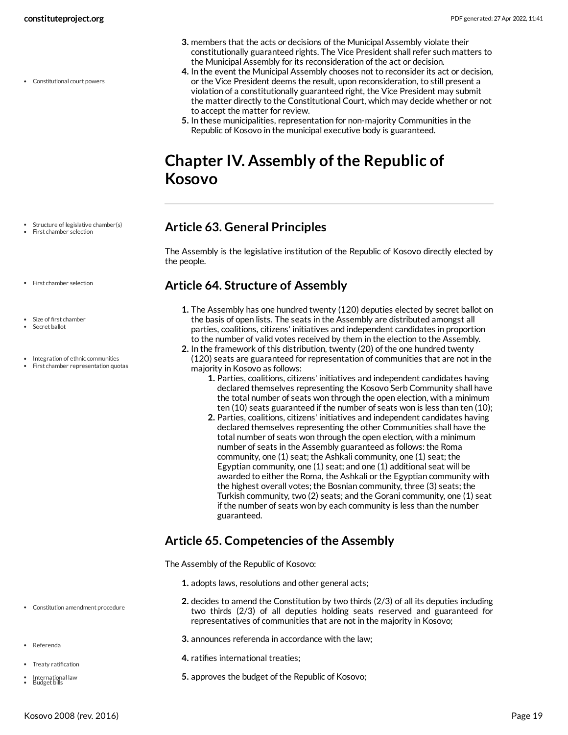Constitutional court powers

- **3.** members that the acts or decisions of the Municipal Assembly violate their constitutionally guaranteed rights. The Vice President shall refer such matters to the Municipal Assembly for its reconsideration of the act or decision.
- **4.** In the event the Municipal Assembly chooses not to reconsider its act or decision, or the Vice President deems the result, upon reconsideration, to still present a violation of a constitutionally guaranteed right, the Vice President may submit the matter directly to the Constitutional Court, which may decide whether or not to accept the matter for review.
- **5.** In these municipalities, representation for non-majority Communities in the Republic of Kosovo in the municipal executive body is guaranteed.

# <span id="page-18-0"></span>**Chapter IV. Assembly of the Republic of Kosovo**

- Structure of legislative chamber(s)
- First chamber selection
- <span id="page-18-1"></span>**Article 63. General Principles**

The Assembly is the legislative institution of the Republic of Kosovo directly elected by the people.

#### <span id="page-18-2"></span>**Article 64. Structure of Assembly**

- **1.** The Assembly has one hundred twenty (120) deputies elected by secret ballot on the basis of open lists. The seats in the Assembly are distributed amongst all parties, coalitions, citizens' initiatives and independent candidates in proportion to the number of valid votes received by them in the election to the Assembly.
- **2.** In the framework of this distribution, twenty (20) of the one hundred twenty
- (120) seats are guaranteed for representation of communities that are not in the majority in Kosovo as follows:
	- **1.** Parties, coalitions, citizens' initiatives and independent candidates having declared themselves representing the Kosovo Serb Community shall have the total number of seats won through the open election, with a minimum ten (10) seats guaranteed if the number of seats won is less than ten (10);
	- **2.** Parties, coalitions, citizens' initiatives and independent candidates having declared themselves representing the other Communities shall have the total number of seats won through the open election, with a minimum number of seats in the Assembly guaranteed as follows: the Roma community, one (1) seat; the Ashkali community, one (1) seat; the Egyptian community, one (1) seat; and one (1) additional seat will be awarded to either the Roma, the Ashkali or the Egyptian community with the highest overall votes; the Bosnian community, three (3) seats; the Turkish community, two (2) seats; and the Gorani community, one (1) seat if the number of seats won by each community is less than the number guaranteed.

#### <span id="page-18-3"></span>**Article 65. Competencies of the Assembly**

<span id="page-18-4"></span>The Assembly of the Republic of Kosovo:

- **1.** adopts laws, resolutions and other general acts;
- **2.** decides to amend the Constitution by two thirds (2/3) of all its deputies including two thirds (2/3) of all deputies holding seats reserved and guaranteed for representatives of communities that are not in the majority in Kosovo;
- **3.** announces referenda in accordance with the law;
- **4.** ratifies international treaties;
- **5.** approves the budget of the Republic of Kosovo;
- First chamber selection
- Size of first chamber
- Secret ballot
- Integration of ethnic communities
- First chamber representation quotas

- Constitution amendment procedure
- Referenda
- Treaty ratification
- International law Budget bills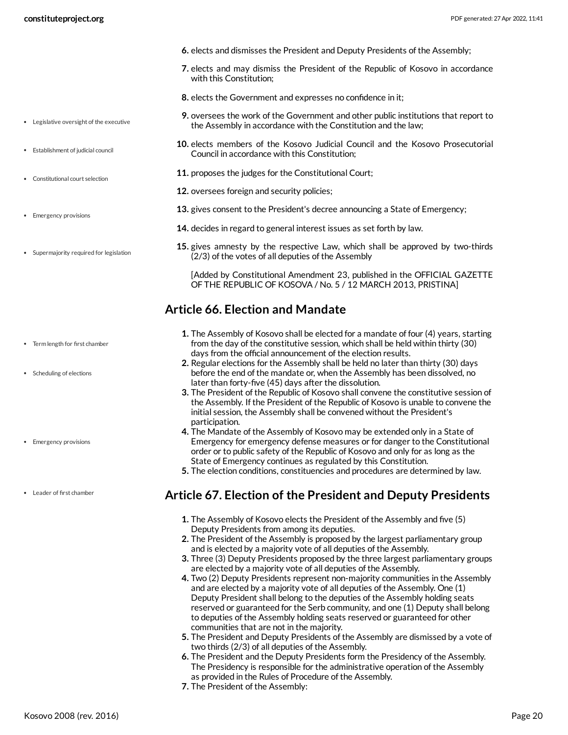- **6.** elects and dismisses the President and Deputy Presidents of the Assembly;
- **7.** elects and may dismiss the President of the Republic of Kosovo in accordance with this Constitution;
- **8.** elects the Government and expresses no confidence in it;
- **9.** oversees the work of the Government and other public institutions that report to the Assembly in accordance with the Constitution and the law;
- **10.** elects members of the Kosovo Judicial Council and the Kosovo Prosecutorial Council in accordance with this Constitution;
- **11.** proposes the judges for the Constitutional Court;
- **12.** oversees foreign and security policies;
- **13.** gives consent to the President's decree announcing a State of Emergency;
- **14.** decides in regard to general interest issues as set forth by law.
- **15.** gives amnesty by the respective Law, which shall be approved by two-thirds (2/3) of the votes of all deputies of the Assembly

[Added by Constitutional Amendment 23, published in the OFFICIAL GAZETTE OF THE REPUBLIC OF KOSOVA / No. 5 / 12 MARCH 2013, PRISTINA]

#### <span id="page-19-0"></span>**Article 66. Election and Mandate**

- **1.** The Assembly of Kosovo shall be elected for a mandate of four (4) years, starting from the day of the constitutive session, which shall be held within thirty (30) days from the official announcement of the election results.
- **2.** Regular elections for the Assembly shall be held no later than thirty (30) days before the end of the mandate or, when the Assembly has been dissolved, no later than forty-five (45) days after the dissolution.
- **3.** The President of the Republic of Kosovo shall convene the constitutive session of the Assembly. If the President of the Republic of Kosovo is unable to convene the initial session, the Assembly shall be convened without the President's participation.
- **4.** The Mandate of the Assembly of Kosovo may be extended only in a State of Emergency for emergency defense measures or for danger to the Constitutional order or to public safety of the Republic of Kosovo and only for as long as the State of Emergency continues as regulated by this Constitution.
- **5.** The election conditions, constituencies and procedures are determined by law.

#### <span id="page-19-1"></span>**Article 67. Election of the President and Deputy Presidents**

- **1.** The Assembly of Kosovo elects the President of the Assembly and five (5) Deputy Presidents from among its deputies.
- **2.** The President of the Assembly is proposed by the largest parliamentary group and is elected by a majority vote of all deputies of the Assembly.
- **3.** Three (3) Deputy Presidents proposed by the three largest parliamentary groups are elected by a majority vote of all deputies of the Assembly.
- **4.** Two (2) Deputy Presidents represent non-majority communities in the Assembly and are elected by a majority vote of all deputies of the Assembly. One (1) Deputy President shall belong to the deputies of the Assembly holding seats reserved or guaranteed for the Serb community, and one (1) Deputy shall belong to deputies of the Assembly holding seats reserved or guaranteed for other communities that are not in the majority.
- **5.** The President and Deputy Presidents of the Assembly are dismissed by a vote of two thirds (2/3) of all deputies of the Assembly.
- **6.** The President and the Deputy Presidents form the Presidency of the Assembly. The Presidency is responsible for the administrative operation of the Assembly as provided in the Rules of Procedure of the Assembly.
- **7.** The President of the Assembly:
- Legislative oversight of the executive
- Establishment of judicial council
- Constitutional court selection
- Emergency provisions
- Supermajority required for legislation

- Term length for first chamber
- Scheduling of elections
- Emergency provisions
- Leader of first chamber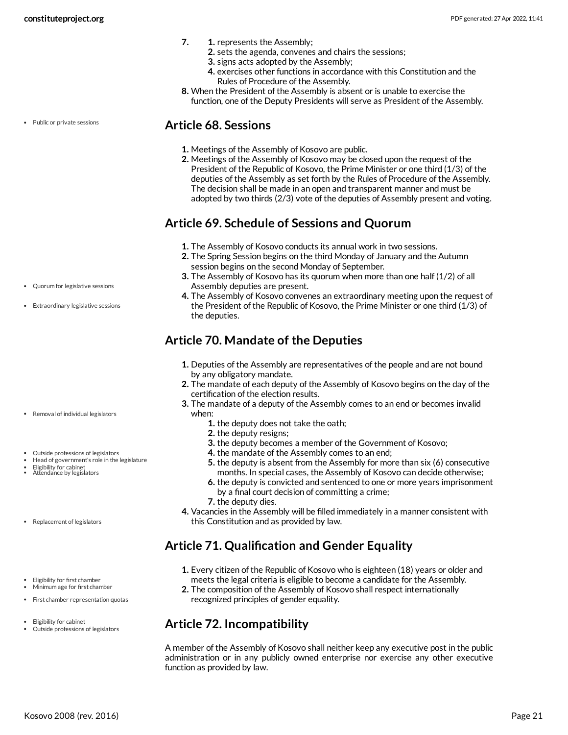- **7. 1.** represents the Assembly;
	- **2.** sets the agenda, convenes and chairs the sessions;
	- **3.** signs acts adopted by the Assembly;
	- **4.** exercises other functions in accordance with this Constitution and the Rules of Procedure of the Assembly.
- **8.** When the President of the Assembly is absent or is unable to exercise the function, one of the Deputy Presidents will serve as President of the Assembly.

Public or private sessions

#### <span id="page-20-0"></span>**Article 68. Sessions**

- **1.** Meetings of the Assembly of Kosovo are public.
- **2.** Meetings of the Assembly of Kosovo may be closed upon the request of the President of the Republic of Kosovo, the Prime Minister or one third (1/3) of the deputies of the Assembly as set forth by the Rules of Procedure of the Assembly. The decision shall be made in an open and transparent manner and must be adopted by two thirds (2/3) vote of the deputies of Assembly present and voting.

#### <span id="page-20-1"></span>**Article 69. Schedule of Sessions and Quorum**

- **1.** The Assembly of Kosovo conducts its annual work in two sessions.
- **2.** The Spring Session begins on the third Monday of January and the Autumn session begins on the second Monday of September.
- **3.** The Assembly of Kosovo has its quorum when more than one half (1/2) of all Assembly deputies are present.
- **4.** The Assembly of Kosovo convenes an extraordinary meeting upon the request of the President of the Republic of Kosovo, the Prime Minister or one third (1/3) of the deputies.

# <span id="page-20-2"></span>**Article 70. Mandate of the Deputies**

- **1.** Deputies of the Assembly are representatives of the people and are not bound by any obligatory mandate.
- **2.** The mandate of each deputy of the Assembly of Kosovo begins on the day of the certification of the election results.
- **3.** The mandate of a deputy of the Assembly comes to an end or becomes invalid when:
	- **1.** the deputy does not take the oath;
	- **2.** the deputy resigns;
	- **3.** the deputy becomes a member of the Government of Kosovo;
	- **4.** the mandate of the Assembly comes to an end;
	- **5.** the deputy is absent from the Assembly for more than six (6) consecutive months. In special cases, the Assembly of Kosovo can decide otherwise;
	- **6.** the deputy is convicted and sentenced to one or more years imprisonment
	- by a final court decision of committing a crime;
	- **7.** the deputy dies.
- **4.** Vacancies in the Assembly will be filled immediately in a manner consistent with this Constitution and as provided by law.

# <span id="page-20-3"></span>**Article 71. Qualification and Gender Equality**

- **1.** Every citizen of the Republic of Kosovo who is eighteen (18) years or older and meets the legal criteria is eligible to become a candidate for the Assembly.
- **2.** The composition of the Assembly of Kosovo shall respect internationally recognized principles of gender equality.

# <span id="page-20-4"></span>**Article 72. Incompatibility**

A member of the Assembly of Kosovo shall neither keep any executive post in the public administration or in any publicly owned enterprise nor exercise any other executive function as provided by law.

- Quorum for legislative sessions
- Extraordinary legislative sessions

- Removal of individual legislators
- Outside professions of legislators
- Head of government's role in the legislature
- Eligibility for cabinet Attendance by legislators
- Replacement of legislators
- Eligibility for first chamber

Eligibility for cabinet Outside professions of legislators

- Minimum age for first chamber
- First chamber representation quotas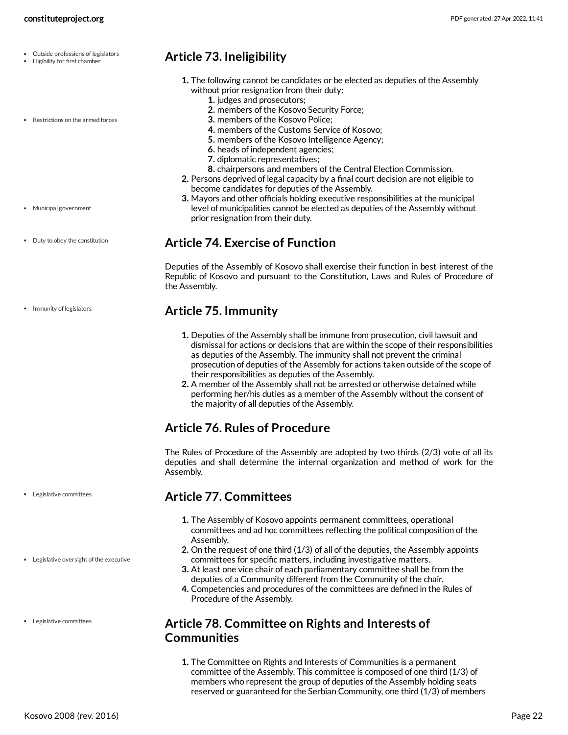- Eligibility for first chamber
- Restrictions on the armed forces

#### <span id="page-21-0"></span>**Article 73. Ineligibility**

- **1.** The following cannot be candidates or be elected as deputies of the Assembly without prior resignation from their duty:
	- **1.** judges and prosecutors;
	- **2.** members of the Kosovo Security Force;
	- **3.** members of the Kosovo Police;
	- **4.** members of the Customs Service of Kosovo;
	- **5.** members of the Kosovo Intelligence Agency;
	- **6.** heads of independent agencies;
	- **7.** diplomatic representatives;
	- **8.** chairpersons and members of the Central Election Commission.
- **2.** Persons deprived of legal capacity by a final court decision are not eligible to become candidates for deputies of the Assembly.
- **3.** Mayors and other officials holding executive responsibilities at the municipal level of municipalities cannot be elected as deputies of the Assembly without prior resignation from their duty.

#### <span id="page-21-1"></span>**Article 74. Exercise of Function**

Deputies of the Assembly of Kosovo shall exercise their function in best interest of the Republic of Kosovo and pursuant to the Constitution, Laws and Rules of Procedure of the Assembly.

#### <span id="page-21-2"></span>**Article 75. Immunity**

- **1.** Deputies of the Assembly shall be immune from prosecution, civil lawsuit and dismissal for actions or decisions that are within the scope of their responsibilities as deputies of the Assembly. The immunity shall not prevent the criminal prosecution of deputies of the Assembly for actions taken outside of the scope of their responsibilities as deputies of the Assembly.
- **2.** A member of the Assembly shall not be arrested or otherwise detained while performing her/his duties as a member of the Assembly without the consent of the majority of all deputies of the Assembly.

# <span id="page-21-3"></span>**Article 76. Rules of Procedure**

The Rules of Procedure of the Assembly are adopted by two thirds (2/3) vote of all its deputies and shall determine the internal organization and method of work for the Assembly.

#### <span id="page-21-4"></span>**Article 77. Committees**

- **1.** The Assembly of Kosovo appoints permanent committees, operational committees and ad hoc committees reflecting the political composition of the Assembly.
- **2.** On the request of one third (1/3) of all of the deputies, the Assembly appoints committees for specific matters, including investigative matters.
- **3.** At least one vice chair of each parliamentary committee shall be from the deputies of a Community different from the Community of the chair.
- **4.** Competencies and procedures of the committees are defined in the Rules of Procedure of the Assembly.

#### <span id="page-21-5"></span>**Article 78. Committee on Rights and Interests of Communities**

**1.** The Committee on Rights and Interests of Communities is a permanent committee of the Assembly. This committee is composed of one third (1/3) of members who represent the group of deputies of the Assembly holding seats reserved or guaranteed for the Serbian Community, one third (1/3) of members

Municipal government

• Duty to obey the constitution

• Immunity of legislators

Legislative committees

Legislative oversight of the executive

Legislative committees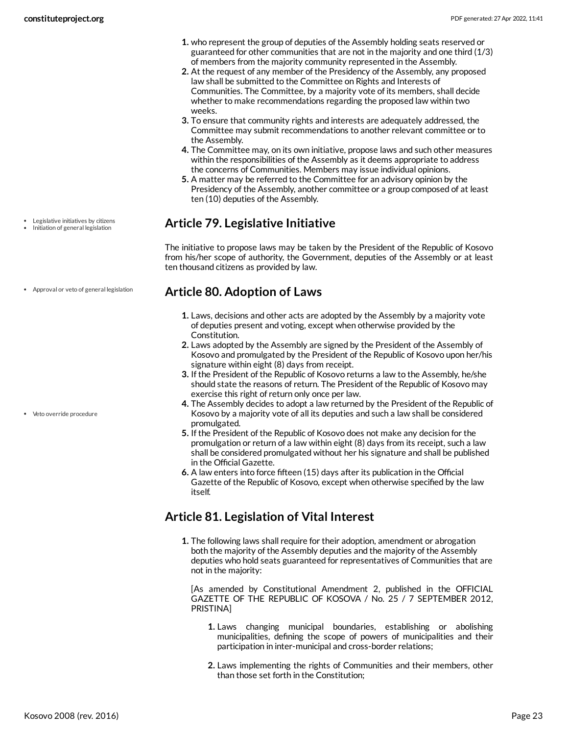- **1.** who represent the group of deputies of the Assembly holding seats reserved or guaranteed for other communities that are not in the majority and one third (1/3) of members from the majority community represented in the Assembly.
- **2.** At the request of any member of the Presidency of the Assembly, any proposed law shall be submitted to the Committee on Rights and Interests of Communities. The Committee, by a majority vote of its members, shall decide whether to make recommendations regarding the proposed law within two weeks.
- **3.** To ensure that community rights and interests are adequately addressed, the Committee may submit recommendations to another relevant committee or to the Assembly.
- **4.** The Committee may, on its own initiative, propose laws and such other measures within the responsibilities of the Assembly as it deems appropriate to address the concerns of Communities. Members may issue individual opinions.
- **5.** A matter may be referred to the Committee for an advisory opinion by the Presidency of the Assembly, another committee or a group composed of at least ten (10) deputies of the Assembly.

## <span id="page-22-0"></span>**Article 79. Legislative Initiative**

The initiative to propose laws may be taken by the President of the Republic of Kosovo from his/her scope of authority, the Government, deputies of the Assembly or at least ten thousand citizens as provided by law.

#### <span id="page-22-1"></span>**Article 80. Adoption of Laws**

- **1.** Laws, decisions and other acts are adopted by the Assembly by a majority vote of deputies present and voting, except when otherwise provided by the Constitution.
- **2.** Laws adopted by the Assembly are signed by the President of the Assembly of Kosovo and promulgated by the President of the Republic of Kosovo upon her/his signature within eight (8) days from receipt.
- **3.** If the President of the Republic of Kosovo returns a law to the Assembly, he/she should state the reasons of return. The President of the Republic of Kosovo may exercise this right of return only once per law.
- **4.** The Assembly decides to adopt a law returned by the President of the Republic of Kosovo by a majority vote of all its deputies and such a law shall be considered promulgated.
- **5.** If the President of the Republic of Kosovo does not make any decision for the promulgation or return of a law within eight (8) days from its receipt, such a law shall be considered promulgated without her his signature and shall be published in the Official Gazette.
- **6.** A law enters into force fifteen (15) days after its publication in the Official Gazette of the Republic of Kosovo, except when otherwise specified by the law itself.

# <span id="page-22-2"></span>**Article 81. Legislation of Vital Interest**

**1.** The following laws shall require for their adoption, amendment or abrogation both the majority of the Assembly deputies and the majority of the Assembly deputies who hold seats guaranteed for representatives of Communities that are not in the majority:

<span id="page-22-3"></span>[As amended by Constitutional Amendment 2, published in the OFFICIAL GAZETTE OF THE REPUBLIC OF KOSOVA / No. 25 / 7 SEPTEMBER 2012, PRISTINA]

- **1.** Laws changing municipal boundaries, establishing or abolishing municipalities, defining the scope of powers of municipalities and their participation in inter-municipal and cross-border relations;
- **2.** Laws implementing the rights of Communities and their members, other than those set forth in the Constitution;
- Legislative initiatives by citizens • Initiation of general legislation
- Approval or veto of general legislation

Veto override procedure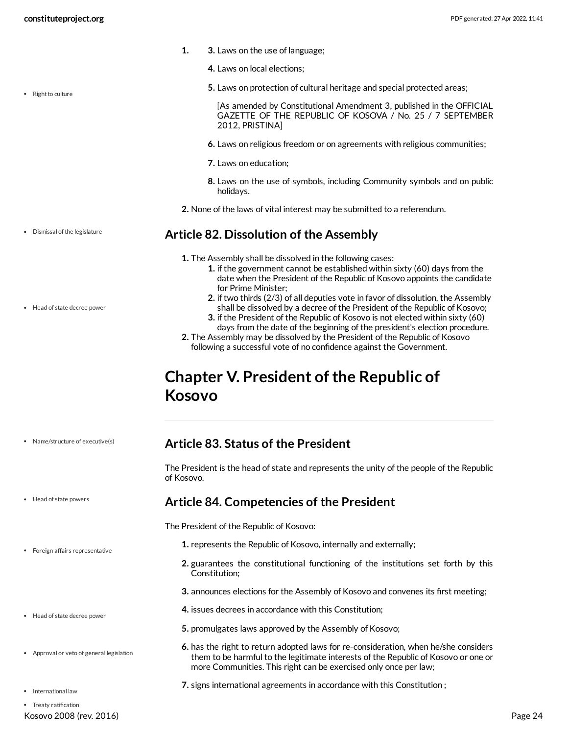• Right to culture

Dismissal of the legislature

Head of state decree power

- **1. 3.** Laws on the use of language;
	- **4.** Laws on local elections;
	- **5.** Laws on protection of cultural heritage and special protected areas;

[As amended by Constitutional Amendment 3, published in the OFFICIAL GAZETTE OF THE REPUBLIC OF KOSOVA / No. 25 / 7 SEPTEMBER 2012, PRISTINA]

- **6.** Laws on religious freedom or on agreements with religious communities;
- **7.** Laws on education;
- **8.** Laws on the use of symbols, including Community symbols and on public holidays.
- **2.** None of the laws of vital interest may be submitted to a referendum.

#### <span id="page-23-0"></span>**Article 82. Dissolution of the Assembly**

- **1.** The Assembly shall be dissolved in the following cases:
	- **1.** if the government cannot be established within sixty (60) days from the date when the President of the Republic of Kosovo appoints the candidate for Prime Minister;
	- **2.** if two thirds (2/3) of all deputies vote in favor of dissolution, the Assembly shall be dissolved by a decree of the President of the Republic of Kosovo;
	- **3.** if the President of the Republic of Kosovo is not elected within sixty (60) days from the date of the beginning of the president's election procedure.
- **2.** The Assembly may be dissolved by the President of the Republic of Kosovo following a successful vote of no confidence against the Government.

# <span id="page-23-1"></span>**Chapter V. President of the Republic of Kosovo**

- Name/structure of executive(s)
- Head of state powers
- Foreign affairs representative
- Head of state decree power
- Approval or veto of general legislation
- International law
- 
- Kosovo 2008 (rev. 2016) Page 24 • Treaty ratification

#### <span id="page-23-2"></span>**Article 83. Status of the President**

The President is the head of state and represents the unity of the people of the Republic of Kosovo.

#### <span id="page-23-3"></span>**Article 84. Competencies of the President**

<span id="page-23-4"></span>The President of the Republic of Kosovo:

- **1.** represents the Republic of Kosovo, internally and externally;
- **2.** guarantees the constitutional functioning of the institutions set forth by this Constitution;
- **3.** announces elections for the Assembly of Kosovo and convenes its first meeting;
- **4.** issues decrees in accordance with this Constitution;
- **5.** promulgates laws approved by the Assembly of Kosovo;
- **6.** has the right to return adopted laws for re-consideration, when he/she considers them to be harmful to the legitimate interests of the Republic of Kosovo or one or more Communities. This right can be exercised only once per law;
- **7.** signs international agreements in accordance with this Constitution ;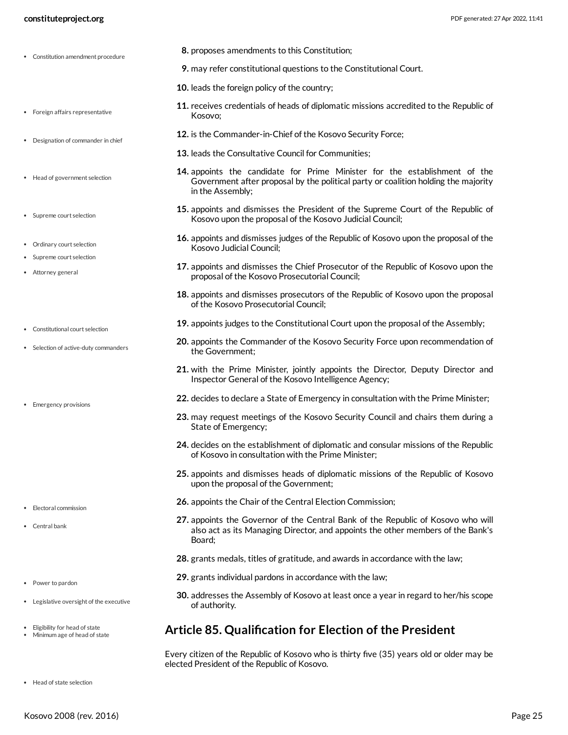- Constitution amendment procedure
- Foreign affairs representative
- Designation of commander in chief
- Head of government selection
- Supreme court selection
- Ordinary court selection
- Supreme court selection
- Attorney general
- Constitutional court selection
- Selection of active-duty commanders
- Emergency provisions

- Electoral commission
- Central bank
- Power to pardon
- Legislative oversight of the executive
- Eligibility for head of state
- Minimum age of head of state
- **8.** proposes amendments to this Constitution;
- **9.** may refer constitutional questions to the Constitutional Court.
- **10.** leads the foreign policy of the country;
- **11.** receives credentials of heads of diplomatic missions accredited to the Republic of Kosovo;
- **12.** is the Commander-in-Chief of the Kosovo Security Force;
- **13.** leads the Consultative Council for Communities;
- **14.** appoints the candidate for Prime Minister for the establishment of the Government after proposal by the political party or coalition holding the majority in the Assembly;
- **15.** appoints and dismisses the President of the Supreme Court of the Republic of Kosovo upon the proposal of the Kosovo Judicial Council;
- **16.** appoints and dismisses judges of the Republic of Kosovo upon the proposal of the Kosovo Judicial Council;
- **17.** appoints and dismisses the Chief Prosecutor of the Republic of Kosovo upon the proposal of the Kosovo Prosecutorial Council;
- **18.** appoints and dismisses prosecutors of the Republic of Kosovo upon the proposal of the Kosovo Prosecutorial Council;
- **19.** appoints judges to the Constitutional Court upon the proposal of the Assembly;
- **20.** appoints the Commander of the Kosovo Security Force upon recommendation of the Government;
- **21.** with the Prime Minister, jointly appoints the Director, Deputy Director and Inspector General of the Kosovo Intelligence Agency;
- **22.** decides to declare a State of Emergency in consultation with the Prime Minister;
- **23.** may request meetings of the Kosovo Security Council and chairs them during a State of Emergency;
- **24.** decides on the establishment of diplomatic and consular missions of the Republic of Kosovo in consultation with the Prime Minister;
- **25.** appoints and dismisses heads of diplomatic missions of the Republic of Kosovo upon the proposal of the Government;
- **26.** appoints the Chair of the Central Election Commission;
- **27.** appoints the Governor of the Central Bank of the Republic of Kosovo who will also act as its Managing Director, and appoints the other members of the Bank's Board;
- **28.** grants medals, titles of gratitude, and awards in accordance with the law;
- **29.** grants individual pardons in accordance with the law;
- **30.** addresses the Assembly of Kosovo at least once a year in regard to her/his scope of authority.

#### <span id="page-24-0"></span>**Article 85. Qualification for Election of the President**

<span id="page-24-1"></span>Every citizen of the Republic of Kosovo who is thirty five (35) years old or older may be elected President of the Republic of Kosovo.

Head of state selection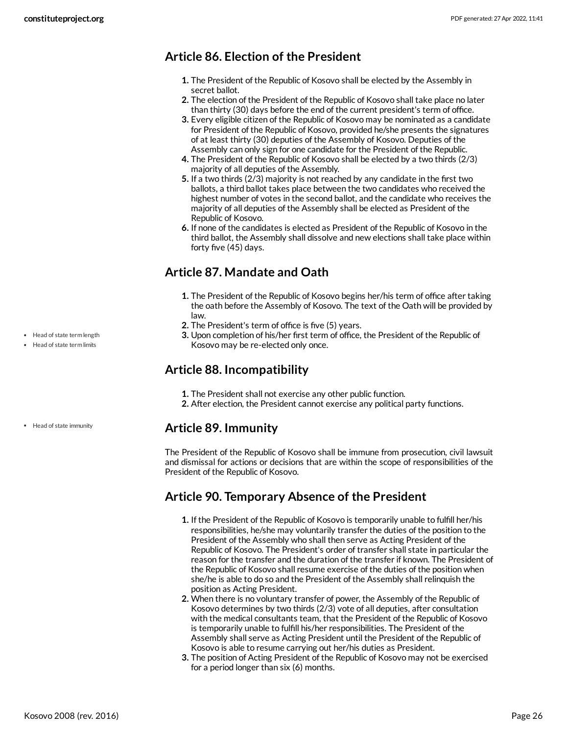## <span id="page-25-0"></span>**Article 86. Election of the President**

- **1.** The President of the Republic of Kosovo shall be elected by the Assembly in secret ballot.
- **2.** The election of the President of the Republic of Kosovo shall take place no later than thirty (30) days before the end of the current president's term of office.
- **3.** Every eligible citizen of the Republic of Kosovo may be nominated as a candidate for President of the Republic of Kosovo, provided he/she presents the signatures of at least thirty (30) deputies of the Assembly of Kosovo. Deputies of the Assembly can only sign for one candidate for the President of the Republic.
- **4.** The President of the Republic of Kosovo shall be elected by a two thirds (2/3) majority of all deputies of the Assembly.
- **5.** If a two thirds (2/3) majority is not reached by any candidate in the first two ballots, a third ballot takes place between the two candidates who received the highest number of votes in the second ballot, and the candidate who receives the majority of all deputies of the Assembly shall be elected as President of the Republic of Kosovo.
- **6.** If none of the candidates is elected as President of the Republic of Kosovo in the third ballot, the Assembly shall dissolve and new elections shall take place within forty five (45) days.

# <span id="page-25-1"></span>**Article 87. Mandate and Oath**

- **1.** The President of the Republic of Kosovo begins her/his term of office after taking the oath before the Assembly of Kosovo. The text of the Oath will be provided by law.
- **2.** The President's term of office is five (5) years.
- **3.** Upon completion of his/her first term of office, the President of the Republic of Kosovo may be re-elected only once.

#### <span id="page-25-2"></span>**Article 88. Incompatibility**

- **1.** The President shall not exercise any other public function.
- **2.** After election, the President cannot exercise any political party functions.

#### <span id="page-25-3"></span>**Article 89. Immunity**

The President of the Republic of Kosovo shall be immune from prosecution, civil lawsuit and dismissal for actions or decisions that are within the scope of responsibilities of the President of the Republic of Kosovo.

#### <span id="page-25-4"></span>**Article 90. Temporary Absence of the President**

- **1.** If the President of the Republic of Kosovo is temporarily unable to fulfill her/his responsibilities, he/she may voluntarily transfer the duties of the position to the President of the Assembly who shall then serve as Acting President of the Republic of Kosovo. The President's order of transfer shall state in particular the reason for the transfer and the duration of the transfer if known. The President of the Republic of Kosovo shall resume exercise of the duties of the position when she/he is able to do so and the President of the Assembly shall relinquish the position as Acting President.
- **2.** When there is no voluntary transfer of power, the Assembly of the Republic of Kosovo determines by two thirds (2/3) vote of all deputies, after consultation with the medical consultants team, that the President of the Republic of Kosovo is temporarily unable to fulfill his/her responsibilities. The President of the Assembly shall serve as Acting President until the President of the Republic of Kosovo is able to resume carrying out her/his duties as President.
- **3.** The position of Acting President of the Republic of Kosovo may not be exercised for a period longer than six (6) months.

• Head of state term length

Head of state term limits

• Head of state immunity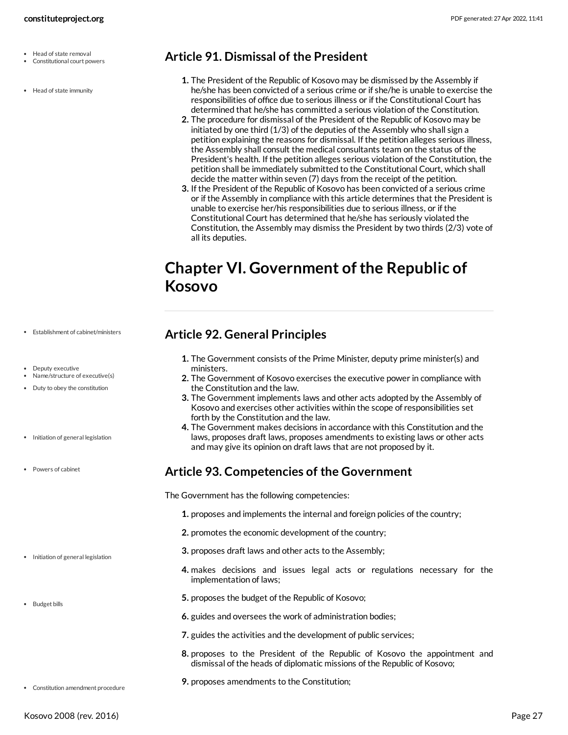- Head of state removal
- Constitutional court powers
- Head of state immunity

#### <span id="page-26-0"></span>**Article 91. Dismissal of the President**

- **1.** The President of the Republic of Kosovo may be dismissed by the Assembly if he/she has been convicted of a serious crime or if she/he is unable to exercise the responsibilities of office due to serious illness or if the Constitutional Court has determined that he/she has committed a serious violation of the Constitution.
- **2.** The procedure for dismissal of the President of the Republic of Kosovo may be initiated by one third (1/3) of the deputies of the Assembly who shall sign a petition explaining the reasons for dismissal. If the petition alleges serious illness, the Assembly shall consult the medical consultants team on the status of the President's health. If the petition alleges serious violation of the Constitution, the petition shall be immediately submitted to the Constitutional Court, which shall decide the matter within seven (7) days from the receipt of the petition.
- **3.** If the President of the Republic of Kosovo has been convicted of a serious crime or if the Assembly in compliance with this article determines that the President is unable to exercise her/his responsibilities due to serious illness, or if the Constitutional Court has determined that he/she has seriously violated the Constitution, the Assembly may dismiss the President by two thirds (2/3) vote of all its deputies.

# <span id="page-26-1"></span>**Chapter VI. Government of the Republic of Kosovo**

#### Establishment of cabinet/ministers

- · Deputy executive Name/structure of executive(s)
- Duty to obey the constitution
- Initiation of general legislation
- Powers of cabinet

- Initiation of general legislation
- Budget bills

#### <span id="page-26-2"></span>**Article 92. General Principles**

- **1.** The Government consists of the Prime Minister, deputy prime minister(s) and ministers.
- **2.** The Government of Kosovo exercises the executive power in compliance with the Constitution and the law.
- **3.** The Government implements laws and other acts adopted by the Assembly of Kosovo and exercises other activities within the scope of responsibilities set forth by the Constitution and the law.
- **4.** The Government makes decisions in accordance with this Constitution and the laws, proposes draft laws, proposes amendments to existing laws or other acts and may give its opinion on draft laws that are not proposed by it.

#### <span id="page-26-3"></span>**Article 93. Competencies of the Government**

<span id="page-26-4"></span>The Government has the following competencies:

- **1.** proposes and implements the internal and foreign policies of the country;
- **2.** promotes the economic development of the country;
- **3.** proposes draft laws and other acts to the Assembly;
- **4.** makes decisions and issues legal acts or regulations necessary for the implementation of laws;
- **5.** proposes the budget of the Republic of Kosovo;
- **6.** guides and oversees the work of administration bodies;
- **7.** guides the activities and the development of public services;
- **8.** proposes to the President of the Republic of Kosovo the appointment and dismissal of the heads of diplomatic missions of the Republic of Kosovo;
- **9.** proposes amendments to the Constitution;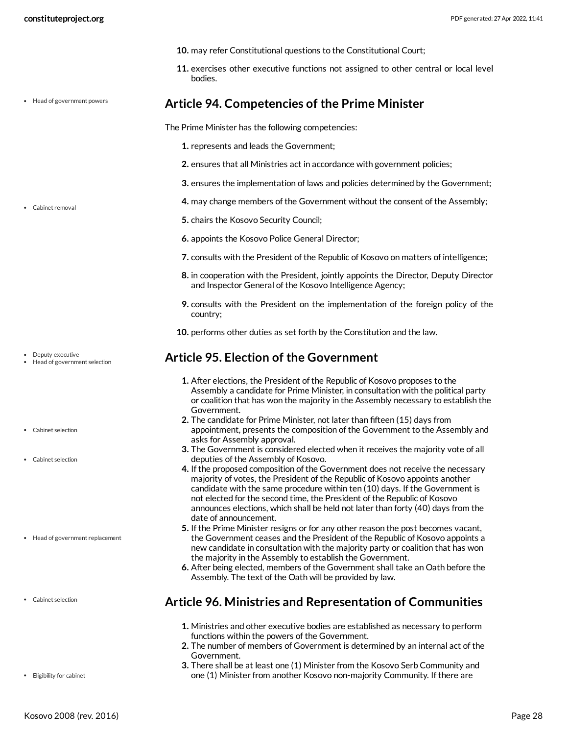<span id="page-27-3"></span><span id="page-27-0"></span>

|                                                    | 10. may refer Constitutional questions to the Constitutional Court;                                                                                                                                                                                                                                                                                                                                                                                                            |
|----------------------------------------------------|--------------------------------------------------------------------------------------------------------------------------------------------------------------------------------------------------------------------------------------------------------------------------------------------------------------------------------------------------------------------------------------------------------------------------------------------------------------------------------|
|                                                    | 11. exercises other executive functions not assigned to other central or local level<br>bodies.                                                                                                                                                                                                                                                                                                                                                                                |
| • Head of government powers                        | Article 94. Competencies of the Prime Minister                                                                                                                                                                                                                                                                                                                                                                                                                                 |
|                                                    | The Prime Minister has the following competencies:                                                                                                                                                                                                                                                                                                                                                                                                                             |
|                                                    | 1. represents and leads the Government;                                                                                                                                                                                                                                                                                                                                                                                                                                        |
|                                                    | 2. ensures that all Ministries act in accordance with government policies;                                                                                                                                                                                                                                                                                                                                                                                                     |
|                                                    | 3. ensures the implementation of laws and policies determined by the Government;                                                                                                                                                                                                                                                                                                                                                                                               |
| • Cabinet removal                                  | 4. may change members of the Government without the consent of the Assembly;                                                                                                                                                                                                                                                                                                                                                                                                   |
|                                                    | 5. chairs the Kosovo Security Council;                                                                                                                                                                                                                                                                                                                                                                                                                                         |
|                                                    | 6. appoints the Kosovo Police General Director;                                                                                                                                                                                                                                                                                                                                                                                                                                |
|                                                    | 7. consults with the President of the Republic of Kosovo on matters of intelligence;                                                                                                                                                                                                                                                                                                                                                                                           |
|                                                    | 8. in cooperation with the President, jointly appoints the Director, Deputy Director<br>and Inspector General of the Kosovo Intelligence Agency;                                                                                                                                                                                                                                                                                                                               |
|                                                    | 9. consults with the President on the implementation of the foreign policy of the<br>country;                                                                                                                                                                                                                                                                                                                                                                                  |
|                                                    | 10. performs other duties as set forth by the Constitution and the law.                                                                                                                                                                                                                                                                                                                                                                                                        |
|                                                    |                                                                                                                                                                                                                                                                                                                                                                                                                                                                                |
| Deputy executive<br>• Head of government selection | <b>Article 95. Election of the Government</b>                                                                                                                                                                                                                                                                                                                                                                                                                                  |
|                                                    | 1. After elections, the President of the Republic of Kosovo proposes to the<br>Assembly a candidate for Prime Minister, in consultation with the political party<br>or coalition that has won the majority in the Assembly necessary to establish the                                                                                                                                                                                                                          |
| • Cabinet selection                                | Government.<br>2. The candidate for Prime Minister, not later than fifteen (15) days from<br>appointment, presents the composition of the Government to the Assembly and                                                                                                                                                                                                                                                                                                       |
|                                                    | asks for Assembly approval.<br>3. The Government is considered elected when it receives the majority vote of all                                                                                                                                                                                                                                                                                                                                                               |
| • Cabinet selection                                | deputies of the Assembly of Kosovo.<br>4. If the proposed composition of the Government does not receive the necessary<br>majority of votes, the President of the Republic of Kosovo appoints another<br>candidate with the same procedure within ten (10) days. If the Government is<br>not elected for the second time, the President of the Republic of Kosovo<br>announces elections, which shall be held not later than forty (40) days from the<br>date of announcement. |
| • Head of government replacement                   | 5. If the Prime Minister resigns or for any other reason the post becomes vacant,<br>the Government ceases and the President of the Republic of Kosovo appoints a<br>new candidate in consultation with the majority party or coalition that has won<br>the majority in the Assembly to establish the Government.<br>6. After being elected, members of the Government shall take an Oath before the<br>Assembly. The text of the Oath will be provided by law.                |
| Cabinet selection                                  | <b>Article 96. Ministries and Representation of Communities</b>                                                                                                                                                                                                                                                                                                                                                                                                                |

- <span id="page-27-2"></span><span id="page-27-1"></span>Government.
- **3.** There shall be at least one (1) Minister from the Kosovo Serb Community and one (1) Minister from another Kosovo non-majority Community. If there are

Kosovo 2008 (rev. 2016) Page 28

Eligibility for cabinet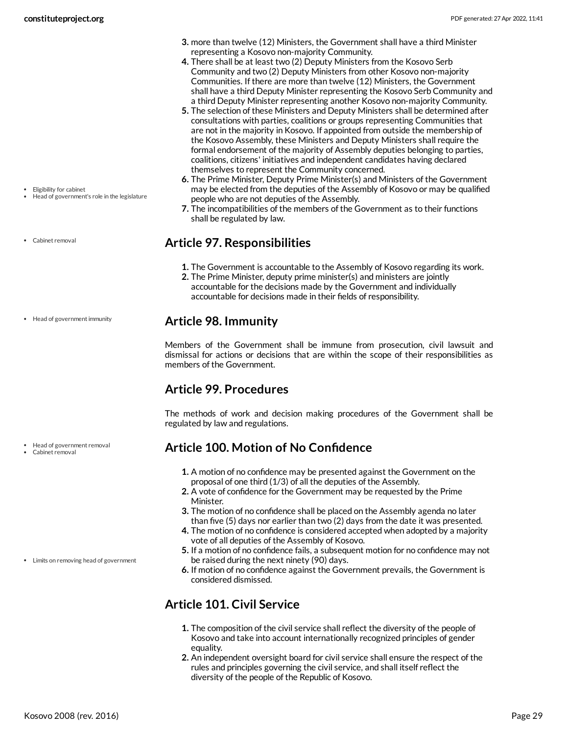- **3.** more than twelve (12) Ministers, the Government shall have a third Minister representing a Kosovo non-majority Community.
- **4.** There shall be at least two (2) Deputy Ministers from the Kosovo Serb Community and two (2) Deputy Ministers from other Kosovo non-majority Communities. If there are more than twelve (12) Ministers, the Government shall have a third Deputy Minister representing the Kosovo Serb Community and a third Deputy Minister representing another Kosovo non-majority Community.
- **5.** The selection of these Ministers and Deputy Ministers shall be determined after consultations with parties, coalitions or groups representing Communities that are not in the majority in Kosovo. If appointed from outside the membership of the Kosovo Assembly, these Ministers and Deputy Ministers shall require the formal endorsement of the majority of Assembly deputies belonging to parties, coalitions, citizens' initiatives and independent candidates having declared themselves to represent the Community concerned.
- **6.** The Prime Minister, Deputy Prime Minister(s) and Ministers of the Government may be elected from the deputies of the Assembly of Kosovo or may be qualified people who are not deputies of the Assembly.
- **7.** The incompatibilities of the members of the Government as to their functions shall be regulated by law.

#### <span id="page-28-0"></span>**Article 97. Responsibilities**

- **1.** The Government is accountable to the Assembly of Kosovo regarding its work.
- **2.** The Prime Minister, deputy prime minister(s) and ministers are jointly accountable for the decisions made by the Government and individually accountable for decisions made in their fields of responsibility.

#### <span id="page-28-1"></span>**Article 98. Immunity**

Members of the Government shall be immune from prosecution, civil lawsuit and dismissal for actions or decisions that are within the scope of their responsibilities as members of the Government.

#### <span id="page-28-2"></span>**Article 99. Procedures**

The methods of work and decision making procedures of the Government shall be regulated by law and regulations.

#### <span id="page-28-3"></span>**Article 100. Motion of No Confidence**

- **1.** A motion of no confidence may be presented against the Government on the proposal of one third (1/3) of all the deputies of the Assembly.
- **2.** A vote of confidence for the Government may be requested by the Prime Minister.
- **3.** The motion of no confidence shall be placed on the Assembly agenda no later than five (5) days nor earlier than two (2) days from the date it was presented.
- **4.** The motion of no confidence is considered accepted when adopted by a majority vote of all deputies of the Assembly of Kosovo.
- **5.** If a motion of no confidence fails, a subsequent motion for no confidence may not be raised during the next ninety (90) days.
- **6.** If motion of no confidence against the Government prevails, the Government is considered dismissed.

# <span id="page-28-4"></span>**Article 101. Civil Service**

- **1.** The composition of the civil service shall reflect the diversity of the people of Kosovo and take into account internationally recognized principles of gender equality.
- **2.** An independent oversight board for civil service shall ensure the respect of the rules and principles governing the civil service, and shall itself reflect the diversity of the people of the Republic of Kosovo.

• Eligibility for cabinet

- Head of government's role in the legislature
- Cabinet removal

• Head of government immunity

Head of government removal

Cabinet removal

Limits on removing head of government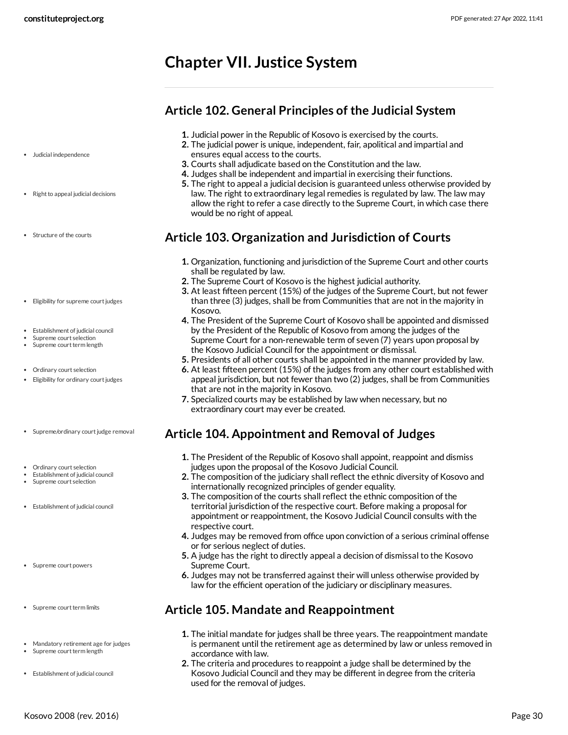# <span id="page-29-0"></span>**Chapter VII. Justice System**

#### <span id="page-29-1"></span>**Article 102. General Principles of the Judicial System**

- **1.** Judicial power in the Republic of Kosovo is exercised by the courts.
- **2.** The judicial power is unique, independent, fair, apolitical and impartial and ensures equal access to the courts.
- **3.** Courts shall adjudicate based on the Constitution and the law.
- **4.** Judges shall be independent and impartial in exercising their functions.
- **5.** The right to appeal a judicial decision is guaranteed unless otherwise provided by law. The right to extraordinary legal remedies is regulated by law. The law may allow the right to refer a case directly to the Supreme Court, in which case there would be no right of appeal.

## <span id="page-29-2"></span>**Article 103. Organization and Jurisdiction of Courts**

- **1.** Organization, functioning and jurisdiction of the Supreme Court and other courts shall be regulated by law.
- **2.** The Supreme Court of Kosovo is the highest judicial authority.
- **3.** At least fifteen percent (15%) of the judges of the Supreme Court, but not fewer than three (3) judges, shall be from Communities that are not in the majority in Kosovo.
- **4.** The President of the Supreme Court of Kosovo shall be appointed and dismissed by the President of the Republic of Kosovo from among the judges of the Supreme Court for a non-renewable term of seven (7) years upon proposal by the Kosovo Judicial Council for the appointment or dismissal.
- **5.** Presidents of all other courts shall be appointed in the manner provided by law.
- **6.** At least fifteen percent (15%) of the judges from any other court established with appeal jurisdiction, but not fewer than two (2) judges, shall be from Communities that are not in the majority in Kosovo.
- **7.** Specialized courts may be established by law when necessary, but no extraordinary court may ever be created.

# <span id="page-29-3"></span>**Article 104. Appointment and Removal of Judges**

- **1.** The President of the Republic of Kosovo shall appoint, reappoint and dismiss judges upon the proposal of the Kosovo Judicial Council.
- **2.** The composition of the judiciary shall reflect the ethnic diversity of Kosovo and internationally recognized principles of gender equality.
- **3.** The composition of the courts shall reflect the ethnic composition of the territorial jurisdiction of the respective court. Before making a proposal for appointment or reappointment, the Kosovo Judicial Council consults with the respective court.
- **4.** Judges may be removed from office upon conviction of a serious criminal offense or for serious neglect of duties.
- **5.** A judge has the right to directly appeal a decision of dismissal to the Kosovo Supreme Court.
- **6.** Judges may not be transferred against their will unless otherwise provided by law for the efficient operation of the judiciary or disciplinary measures.

# <span id="page-29-4"></span>**Article 105. Mandate and Reappointment**

- **1.** The initial mandate for judges shall be three years. The reappointment mandate is permanent until the retirement age as determined by law or unless removed in accordance with law.
- **2.** The criteria and procedures to reappoint a judge shall be determined by the Kosovo Judicial Council and they may be different in degree from the criteria used for the removal of judges.
- Judicial independence
- $\cdot$  Right to appeal judicial decisions
- Structure of the courts
- Eligibility for supreme court judges
- Establishment of judicial council
- Supreme court selection Supreme court term length
- 
- Ordinary court selection • Eligibility for ordinary court judges
- Supreme/ordinary court judge removal
- Ordinary court selection
- Establishment of judicial council
- Supreme court selection
- Establishment of judicial council
- Supreme court powers
- Supreme court term limits
- Mandatory retirement age for judges
- Supreme court term length
- Establishment of judicial council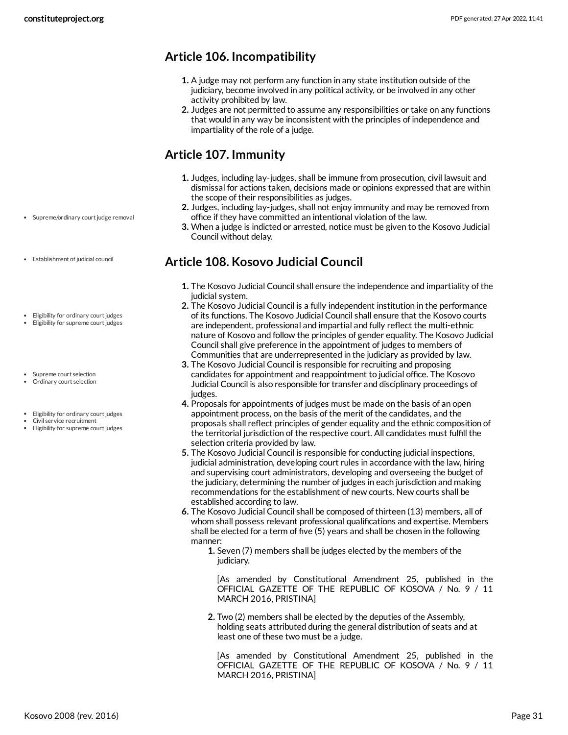## <span id="page-30-0"></span>**Article 106. Incompatibility**

- **1.** A judge may not perform any function in any state institution outside of the judiciary, become involved in any political activity, or be involved in any other activity prohibited by law.
- **2.** Judges are not permitted to assume any responsibilities or take on any functions that would in any way be inconsistent with the principles of independence and impartiality of the role of a judge.

#### <span id="page-30-1"></span>**Article 107. Immunity**

- **1.** Judges, including lay-judges, shall be immune from prosecution, civil lawsuit and dismissal for actions taken, decisions made or opinions expressed that are within the scope of their responsibilities as judges.
- **2.** Judges, including lay-judges, shall not enjoy immunity and may be removed from office if they have committed an intentional violation of the law.
- **3.** When a judge is indicted or arrested, notice must be given to the Kosovo Judicial Council without delay.

## <span id="page-30-2"></span>**Article 108. Kosovo Judicial Council**

- **1.** The Kosovo Judicial Council shall ensure the independence and impartiality of the judicial system.
- **2.** The Kosovo Judicial Council is a fully independent institution in the performance of its functions. The Kosovo Judicial Council shall ensure that the Kosovo courts are independent, professional and impartial and fully reflect the multi-ethnic nature of Kosovo and follow the principles of gender equality. The Kosovo Judicial Council shall give preference in the appointment of judges to members of Communities that are underrepresented in the judiciary as provided by law.
- **3.** The Kosovo Judicial Council is responsible for recruiting and proposing candidates for appointment and reappointment to judicial office. The Kosovo Judicial Council is also responsible for transfer and disciplinary proceedings of judges.
- **4.** Proposals for appointments of judges must be made on the basis of an open appointment process, on the basis of the merit of the candidates, and the proposals shall reflect principles of gender equality and the ethnic composition of the territorial jurisdiction of the respective court. All candidates must fulfill the selection criteria provided by law.
- **5.** The Kosovo Judicial Council is responsible for conducting judicial inspections, judicial administration, developing court rules in accordance with the law, hiring and supervising court administrators, developing and overseeing the budget of the judiciary, determining the number of judges in each jurisdiction and making recommendations for the establishment of new courts. New courts shall be established according to law.
- **6.** The Kosovo Judicial Council shall be composed of thirteen (13) members, all of whom shall possess relevant professional qualifications and expertise. Members shall be elected for a term of five (5) years and shall be chosen in the following manner:
	- **1.** Seven (7) members shall be judges elected by the members of the judiciary.

[As amended by Constitutional Amendment 25, published in the OFFICIAL GAZETTE OF THE REPUBLIC OF KOSOVA / No. 9 / 11 MARCH 2016, PRISTINA]

**2.** Two (2) members shall be elected by the deputies of the Assembly, holding seats attributed during the general distribution of seats and at least one of these two must be a judge.

[As amended by Constitutional Amendment 25, published in the OFFICIAL GAZETTE OF THE REPUBLIC OF KOSOVA / No. 9 / 11 MARCH 2016, PRISTINA]

- Supreme/ordinary court judge removal
- Establishment of judicial council
- Eligibility for ordinary court judges
- Eligibility for supreme court judges
- Supreme court selection Ordinary court selection
- Eligibility for ordinary court judges
- Civil service recruitment
- Eligibility for supreme court judges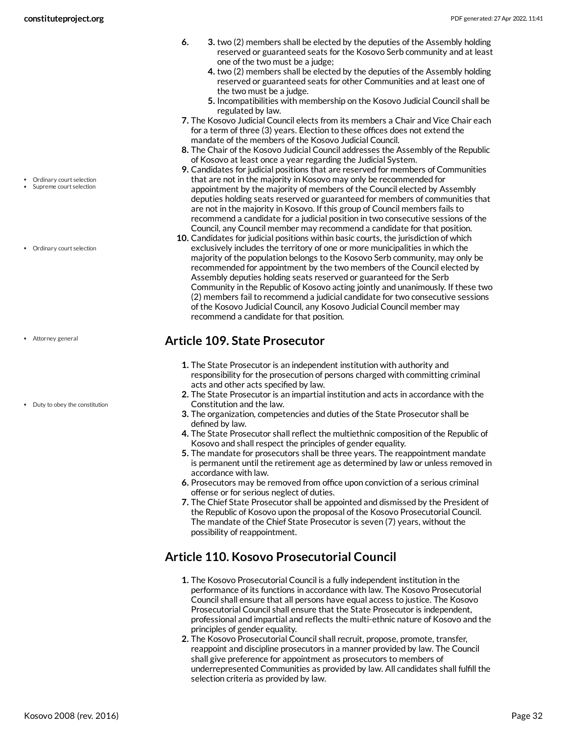- **6. 3.** two (2) members shall be elected by the deputies of the Assembly holding reserved or guaranteed seats for the Kosovo Serb community and at least one of the two must be a judge;
	- **4.** two (2) members shall be elected by the deputies of the Assembly holding reserved or guaranteed seats for other Communities and at least one of the two must be a judge.
	- **5.** Incompatibilities with membership on the Kosovo Judicial Council shall be regulated by law.
- **7.** The Kosovo Judicial Council elects from its members a Chair and Vice Chair each for a term of three (3) years. Election to these offices does not extend the mandate of the members of the Kosovo Judicial Council.
- **8.** The Chair of the Kosovo Judicial Council addresses the Assembly of the Republic of Kosovo at least once a year regarding the Judicial System.
- **9.** Candidates for judicial positions that are reserved for members of Communities that are not in the majority in Kosovo may only be recommended for appointment by the majority of members of the Council elected by Assembly deputies holding seats reserved or guaranteed for members of communities that are not in the majority in Kosovo. If this group of Council members fails to recommend a candidate for a judicial position in two consecutive sessions of the Council, any Council member may recommend a candidate for that position.
- **10.** Candidates for judicial positions within basic courts, the jurisdiction of which exclusively includes the territory of one or more municipalities in which the majority of the population belongs to the Kosovo Serb community, may only be recommended for appointment by the two members of the Council elected by Assembly deputies holding seats reserved or guaranteed for the Serb Community in the Republic of Kosovo acting jointly and unanimously. If these two (2) members fail to recommend a judicial candidate for two consecutive sessions of the Kosovo Judicial Council, any Kosovo Judicial Council member may recommend a candidate for that position.

#### <span id="page-31-0"></span>**Article 109. State Prosecutor**

- **1.** The State Prosecutor is an independent institution with authority and responsibility for the prosecution of persons charged with committing criminal acts and other acts specified by law.
- **2.** The State Prosecutor is an impartial institution and acts in accordance with the Constitution and the law.
- **3.** The organization, competencies and duties of the State Prosecutor shall be defined by law.
- **4.** The State Prosecutor shall reflect the multiethnic composition of the Republic of Kosovo and shall respect the principles of gender equality.
- **5.** The mandate for prosecutors shall be three years. The reappointment mandate is permanent until the retirement age as determined by law or unless removed in accordance with law.
- **6.** Prosecutors may be removed from office upon conviction of a serious criminal offense or for serious neglect of duties.
- **7.** The Chief State Prosecutor shall be appointed and dismissed by the President of the Republic of Kosovo upon the proposal of the Kosovo Prosecutorial Council. The mandate of the Chief State Prosecutor is seven (7) years, without the possibility of reappointment.

#### <span id="page-31-1"></span>**Article 110. Kosovo Prosecutorial Council**

- **1.** The Kosovo Prosecutorial Council is a fully independent institution in the performance of its functions in accordance with law. The Kosovo Prosecutorial Council shall ensure that all persons have equal access to justice. The Kosovo Prosecutorial Council shall ensure that the State Prosecutor is independent, professional and impartial and reflects the multi-ethnic nature of Kosovo and the principles of gender equality.
- **2.** The Kosovo Prosecutorial Council shall recruit, propose, promote, transfer, reappoint and discipline prosecutors in a manner provided by law. The Council shall give preference for appointment as prosecutors to members of underrepresented Communities as provided by law. All candidates shall fulfill the selection criteria as provided by law.

Ordinary court selection Supreme court selection

Ordinary court selection

Attorney general

• Duty to obey the constitution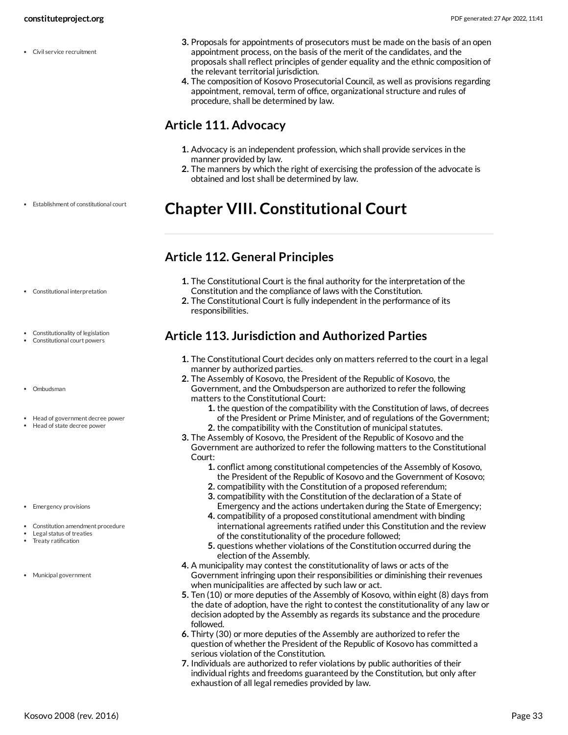Civil service recruitment

- **3.** Proposals for appointments of prosecutors must be made on the basis of an open appointment process, on the basis of the merit of the candidates, and the proposals shall reflect principles of gender equality and the ethnic composition of the relevant territorial jurisdiction.
- **4.** The composition of Kosovo Prosecutorial Council, as well as provisions regarding appointment, removal, term of office, organizational structure and rules of procedure, shall be determined by law.

#### <span id="page-32-0"></span>**Article 111. Advocacy**

- **1.** Advocacy is an independent profession, which shall provide services in the manner provided by law.
- **2.** The manners by which the right of exercising the profession of the advocate is obtained and lost shall be determined by law.

# <span id="page-32-1"></span>**Chapter VIII. Constitutional Court**

#### <span id="page-32-2"></span>**Article 112. General Principles**

- **1.** The Constitutional Court is the final authority for the interpretation of the Constitution and the compliance of laws with the Constitution.
- **2.** The Constitutional Court is fully independent in the performance of its responsibilities.

## <span id="page-32-3"></span>**Article 113. Jurisdiction and Authorized Parties**

- **1.** The Constitutional Court decides only on matters referred to the court in a legal manner by authorized parties.
- **2.** The Assembly of Kosovo, the President of the Republic of Kosovo, the Government, and the Ombudsperson are authorized to refer the following matters to the Constitutional Court:
	- **1.** the question of the compatibility with the Constitution of laws, of decrees of the President or Prime Minister, and of regulations of the Government;
	- **2.** the compatibility with the Constitution of municipal statutes.
- **3.** The Assembly of Kosovo, the President of the Republic of Kosovo and the Government are authorized to refer the following matters to the Constitutional Court:
	- **1.** conflict among constitutional competencies of the Assembly of Kosovo, the President of the Republic of Kosovo and the Government of Kosovo;
	- **2.** compatibility with the Constitution of a proposed referendum;
	- **3.** compatibility with the Constitution of the declaration of a State of Emergency and the actions undertaken during the State of Emergency;
	- **4.** compatibility of a proposed constitutional amendment with binding international agreements ratified under this Constitution and the review of the constitutionality of the procedure followed;
	- **5.** questions whether violations of the Constitution occurred during the election of the Assembly.
- **4.** A municipality may contest the constitutionality of laws or acts of the Government infringing upon their responsibilities or diminishing their revenues when municipalities are affected by such law or act.
- **5.** Ten (10) or more deputies of the Assembly of Kosovo, within eight (8) days from the date of adoption, have the right to contest the constitutionality of any law or decision adopted by the Assembly as regards its substance and the procedure followed.
- **6.** Thirty (30) or more deputies of the Assembly are authorized to refer the question of whether the President of the Republic of Kosovo has committed a serious violation of the Constitution.
- **7.** Individuals are authorized to refer violations by public authorities of their individual rights and freedoms guaranteed by the Constitution, but only after exhaustion of all legal remedies provided by law.

Constitutional interpretation

Establishment of constitutional court

- Constitutionality of legislation Constitutional court powers
- 
- Ombudsman
- Head of government decree power
- Head of state decree power
- Emergency provisions
- Constitution amendment procedure
- Legal status of treaties
- Treaty ratification
- Municipal government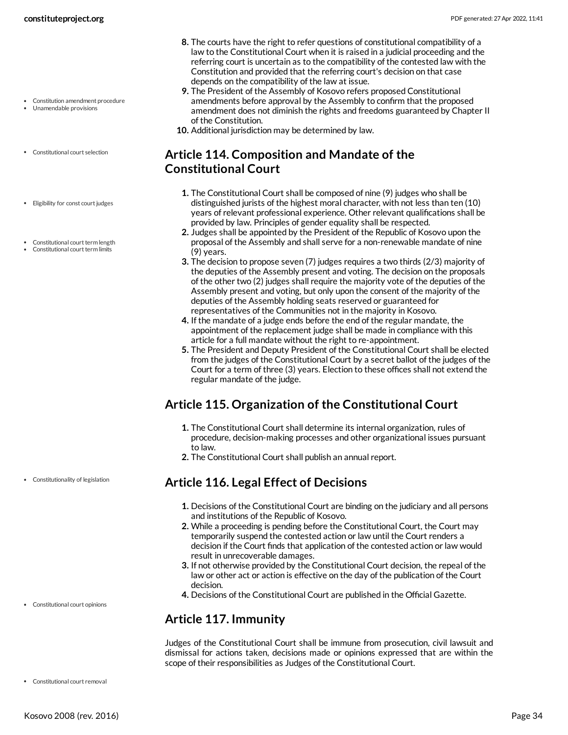- Constitution amendment procedure Unamendable provisions
- Constitutional court selection
- Eligibility for const court judges
- Constitutional court term length
- Constitutional court term limits
- **8.** The courts have the right to refer questions of constitutional compatibility of a law to the Constitutional Court when it is raised in a judicial proceeding and the referring court is uncertain as to the compatibility of the contested law with the Constitution and provided that the referring court's decision on that case depends on the compatibility of the law at issue.
- **9.** The President of the Assembly of Kosovo refers proposed Constitutional amendments before approval by the Assembly to confirm that the proposed amendment does not diminish the rights and freedoms guaranteed by Chapter II of the Constitution.
- **10.** Additional jurisdiction may be determined by law.

## <span id="page-33-0"></span>**Article 114. Composition and Mandate of the Constitutional Court**

- **1.** The Constitutional Court shall be composed of nine (9) judges who shall be distinguished jurists of the highest moral character, with not less than ten (10) years of relevant professional experience. Other relevant qualifications shall be provided by law. Principles of gender equality shall be respected.
- **2.** Judges shall be appointed by the President of the Republic of Kosovo upon the proposal of the Assembly and shall serve for a non-renewable mandate of nine (9) years.
- **3.** The decision to propose seven (7) judges requires a two thirds (2/3) majority of the deputies of the Assembly present and voting. The decision on the proposals of the other two (2) judges shall require the majority vote of the deputies of the Assembly present and voting, but only upon the consent of the majority of the deputies of the Assembly holding seats reserved or guaranteed for representatives of the Communities not in the majority in Kosovo.
- **4.** If the mandate of a judge ends before the end of the regular mandate, the appointment of the replacement judge shall be made in compliance with this article for a full mandate without the right to re-appointment.
- **5.** The President and Deputy President of the Constitutional Court shall be elected from the judges of the Constitutional Court by a secret ballot of the judges of the Court for a term of three (3) years. Election to these offices shall not extend the regular mandate of the judge.

#### <span id="page-33-1"></span>**Article 115. Organization of the Constitutional Court**

- **1.** The Constitutional Court shall determine its internal organization, rules of procedure, decision-making processes and other organizational issues pursuant to law.
- **2.** The Constitutional Court shall publish an annual report.

#### <span id="page-33-2"></span>**Article 116. Legal Effect of Decisions**

- **1.** Decisions of the Constitutional Court are binding on the judiciary and all persons and institutions of the Republic of Kosovo.
- **2.** While a proceeding is pending before the Constitutional Court, the Court may temporarily suspend the contested action or law until the Court renders a decision if the Court finds that application of the contested action or law would result in unrecoverable damages.
- **3.** If not otherwise provided by the Constitutional Court decision, the repeal of the law or other act or action is effective on the day of the publication of the Court decision.
- **4.** Decisions of the Constitutional Court are published in the Official Gazette.

#### <span id="page-33-3"></span>**Article 117. Immunity**

<span id="page-33-4"></span>Judges of the Constitutional Court shall be immune from prosecution, civil lawsuit and dismissal for actions taken, decisions made or opinions expressed that are within the scope of their responsibilities as Judges of the Constitutional Court.

Constitutionality of legislation

Constitutional court opinions

Constitutional court removal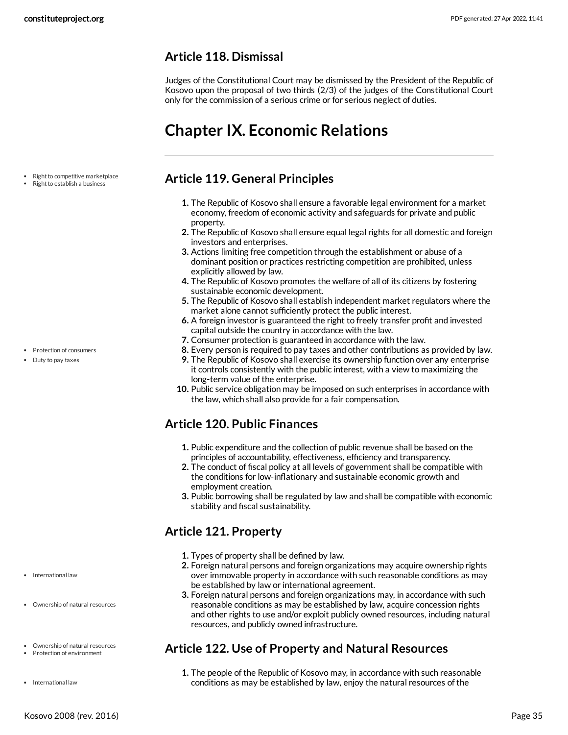#### <span id="page-34-0"></span>**Article 118. Dismissal**

Judges of the Constitutional Court may be dismissed by the President of the Republic of Kosovo upon the proposal of two thirds (2/3) of the judges of the Constitutional Court only for the commission of a serious crime or for serious neglect of duties.

# <span id="page-34-1"></span>**Chapter IX. Economic Relations**

- Right to competitive marketplace
- Right to establish a business

- Protection of consumers
- Duty to pay taxes

- International law
- Ownership of natural resources
- Ownership of natural resources
- Protection of environment
- International law

#### <span id="page-34-2"></span>**Article 119. General Principles**

- **1.** The Republic of Kosovo shall ensure a favorable legal environment for a market economy, freedom of economic activity and safeguards for private and public property.
- **2.** The Republic of Kosovo shall ensure equal legal rights for all domestic and foreign investors and enterprises.
- **3.** Actions limiting free competition through the establishment or abuse of a dominant position or practices restricting competition are prohibited, unless explicitly allowed by law.
- **4.** The Republic of Kosovo promotes the welfare of all of its citizens by fostering sustainable economic development.
- **5.** The Republic of Kosovo shall establish independent market regulators where the market alone cannot sufficiently protect the public interest.
- **6.** A foreign investor is guaranteed the right to freely transfer profit and invested capital outside the country in accordance with the law.
- **7.** Consumer protection is guaranteed in accordance with the law.
- **8.** Every person is required to pay taxes and other contributions as provided by law.
- **9.** The Republic of Kosovo shall exercise its ownership function over any enterprise
- it controls consistently with the public interest, with a view to maximizing the long-term value of the enterprise.
- **10.** Public service obligation may be imposed on such enterprises in accordance with the law, which shall also provide for a fair compensation.

#### <span id="page-34-3"></span>**Article 120. Public Finances**

- **1.** Public expenditure and the collection of public revenue shall be based on the principles of accountability, effectiveness, efficiency and transparency.
- **2.** The conduct of fiscal policy at all levels of government shall be compatible with the conditions for low-inflationary and sustainable economic growth and employment creation.
- **3.** Public borrowing shall be regulated by law and shall be compatible with economic stability and fiscal sustainability.

#### <span id="page-34-4"></span>**Article 121. Property**

- **1.** Types of property shall be defined by law.
- **2.** Foreign natural persons and foreign organizations may acquire ownership rights over immovable property in accordance with such reasonable conditions as may be established by law or international agreement.
- **3.** Foreign natural persons and foreign organizations may, in accordance with such reasonable conditions as may be established by law, acquire concession rights and other rights to use and/or exploit publicly owned resources, including natural resources, and publicly owned infrastructure.

#### <span id="page-34-5"></span>**Article 122. Use of Property and Natural Resources**

**1.** The people of the Republic of Kosovo may, in accordance with such reasonable conditions as may be established by law, enjoy the natural resources of the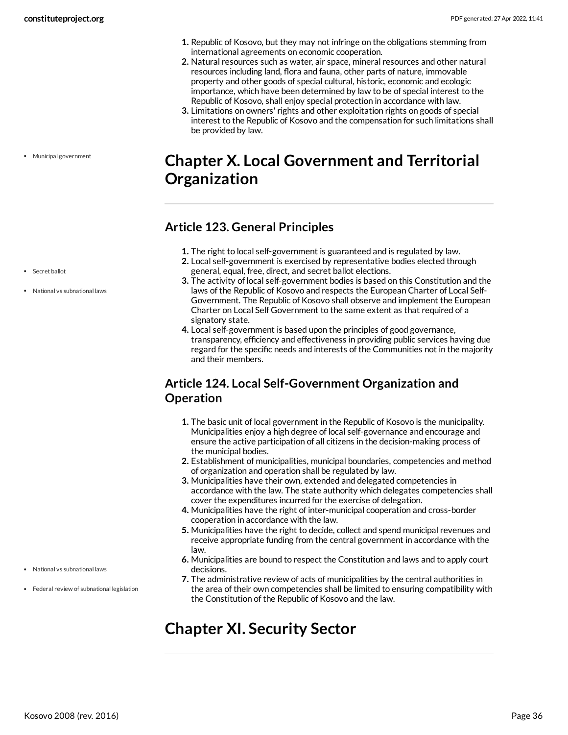- **1.** Republic of Kosovo, but they may not infringe on the obligations stemming from international agreements on economic cooperation.
- **2.** Natural resources such as water, air space, mineral resources and other natural resources including land, flora and fauna, other parts of nature, immovable property and other goods of special cultural, historic, economic and ecologic importance, which have been determined by law to be of special interest to the Republic of Kosovo, shall enjoy special protection in accordance with law.
- **3.** Limitations on owners' rights and other exploitation rights on goods of special interest to the Republic of Kosovo and the compensation for such limitations shall be provided by law.

# <span id="page-35-0"></span>**Chapter X. Local Government and Territorial Organization**

## <span id="page-35-1"></span>**Article 123. General Principles**

- **1.** The right to local self-government is guaranteed and is regulated by law.
- **2.** Local self-government is exercised by representative bodies elected through general, equal, free, direct, and secret ballot elections.
- **3.** The activity of local self-government bodies is based on this Constitution and the laws of the Republic of Kosovo and respects the European Charter of Local Self-Government. The Republic of Kosovo shall observe and implement the European Charter on Local Self Government to the same extent as that required of a signatory state.
- **4.** Local self-government is based upon the principles of good governance, transparency, efficiency and effectiveness in providing public services having due regard for the specific needs and interests of the Communities not in the majority and their members.

## <span id="page-35-2"></span>**Article 124. Local Self-Government Organization and Operation**

- **1.** The basic unit of local government in the Republic of Kosovo is the municipality. Municipalities enjoy a high degree of local self-governance and encourage and ensure the active participation of all citizens in the decision-making process of the municipal bodies.
- **2.** Establishment of municipalities, municipal boundaries, competencies and method of organization and operation shall be regulated by law.
- **3.** Municipalities have their own, extended and delegated competencies in accordance with the law. The state authority which delegates competencies shall cover the expenditures incurred for the exercise of delegation.
- **4.** Municipalities have the right of inter-municipal cooperation and cross-border cooperation in accordance with the law.
- **5.** Municipalities have the right to decide, collect and spend municipal revenues and receive appropriate funding from the central government in accordance with the law.
- **6.** Municipalities are bound to respect the Constitution and laws and to apply court decisions.
- **7.** The administrative review of acts of municipalities by the central authorities in the area of their own competencies shall be limited to ensuring compatibility with the Constitution of the Republic of Kosovo and the law.

# <span id="page-35-4"></span><span id="page-35-3"></span>**Chapter XI. Security Sector**

• Secret ballot

Municipal government

National vs subnational laws

National vs subnational laws

Federal review of subnational legislation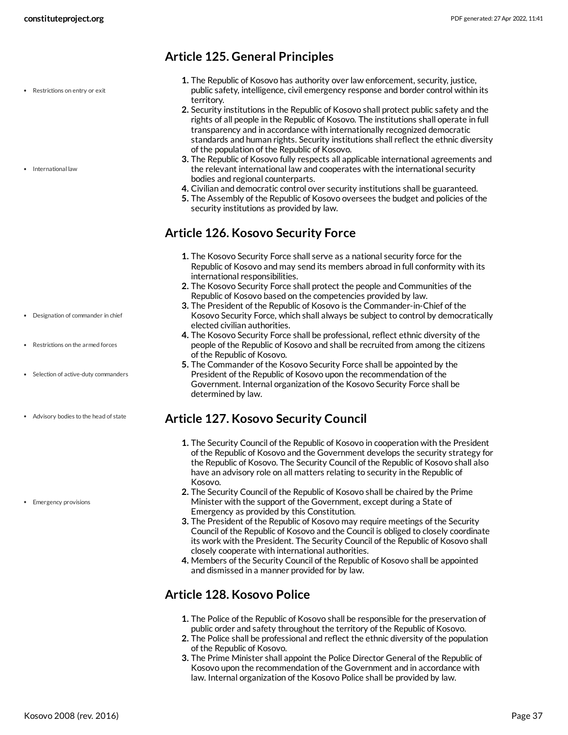- Restrictions on entry or exit
- International law

- Designation of commander in chief
- Restrictions on the armed forces
- Selection of active-duty commanders
- Advisory bodies to the head of state

• Emergency provisions

#### <span id="page-36-0"></span>**Article 125. General Principles**

- **1.** The Republic of Kosovo has authority over law enforcement, security, justice, public safety, intelligence, civil emergency response and border control within its territory.
- **2.** Security institutions in the Republic of Kosovo shall protect public safety and the rights of all people in the Republic of Kosovo. The institutions shall operate in full transparency and in accordance with internationally recognized democratic standards and human rights. Security institutions shall reflect the ethnic diversity of the population of the Republic of Kosovo.
- **3.** The Republic of Kosovo fully respects all applicable international agreements and the relevant international law and cooperates with the international security bodies and regional counterparts.
- **4.** Civilian and democratic control over security institutions shall be guaranteed.
- **5.** The Assembly of the Republic of Kosovo oversees the budget and policies of the security institutions as provided by law.

#### <span id="page-36-1"></span>**Article 126. Kosovo Security Force**

- **1.** The Kosovo Security Force shall serve as a national security force for the Republic of Kosovo and may send its members abroad in full conformity with its international responsibilities.
- **2.** The Kosovo Security Force shall protect the people and Communities of the Republic of Kosovo based on the competencies provided by law.
- **3.** The President of the Republic of Kosovo is the Commander-in-Chief of the Kosovo Security Force, which shall always be subject to control by democratically elected civilian authorities.
- **4.** The Kosovo Security Force shall be professional, reflect ethnic diversity of the people of the Republic of Kosovo and shall be recruited from among the citizens of the Republic of Kosovo.
- **5.** The Commander of the Kosovo Security Force shall be appointed by the President of the Republic of Kosovo upon the recommendation of the Government. Internal organization of the Kosovo Security Force shall be determined by law.

#### <span id="page-36-2"></span>**Article 127. Kosovo Security Council**

- **1.** The Security Council of the Republic of Kosovo in cooperation with the President of the Republic of Kosovo and the Government develops the security strategy for the Republic of Kosovo. The Security Council of the Republic of Kosovo shall also have an advisory role on all matters relating to security in the Republic of Kosovo.
- **2.** The Security Council of the Republic of Kosovo shall be chaired by the Prime Minister with the support of the Government, except during a State of Emergency as provided by this Constitution.
- **3.** The President of the Republic of Kosovo may require meetings of the Security Council of the Republic of Kosovo and the Council is obliged to closely coordinate its work with the President. The Security Council of the Republic of Kosovo shall closely cooperate with international authorities.
- **4.** Members of the Security Council of the Republic of Kosovo shall be appointed and dismissed in a manner provided for by law.

#### <span id="page-36-3"></span>**Article 128. Kosovo Police**

- **1.** The Police of the Republic of Kosovo shall be responsible for the preservation of public order and safety throughout the territory of the Republic of Kosovo.
- **2.** The Police shall be professional and reflect the ethnic diversity of the population of the Republic of Kosovo.
- **3.** The Prime Minister shall appoint the Police Director General of the Republic of Kosovo upon the recommendation of the Government and in accordance with law. Internal organization of the Kosovo Police shall be provided by law.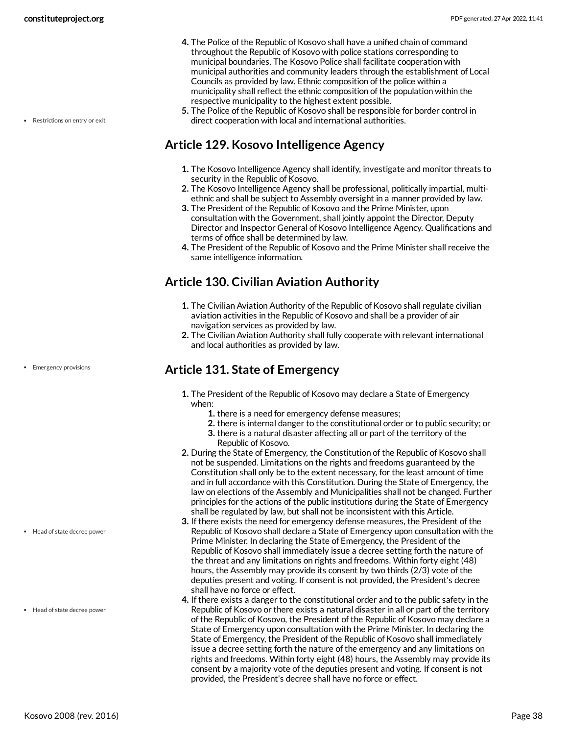• Restrictions on entry or exit

- **4.** The Police of the Republic of Kosovo shall have a unified chain of command throughout the Republic of Kosovo with police stations corresponding to municipal boundaries. The Kosovo Police shall facilitate cooperation with municipal authorities and community leaders through the establishment of Local Councils as provided by law. Ethnic composition of the police within a municipality shall reflect the ethnic composition of the population within the respective municipality to the highest extent possible.
- **5.** The Police of the Republic of Kosovo shall be responsible for border control in direct cooperation with local and international authorities.

#### <span id="page-37-0"></span>**Article 129. Kosovo Intelligence Agency**

- **1.** The Kosovo Intelligence Agency shall identify, investigate and monitor threats to security in the Republic of Kosovo.
- **2.** The Kosovo Intelligence Agency shall be professional, politically impartial, multiethnic and shall be subject to Assembly oversight in a manner provided by law.
- **3.** The President of the Republic of Kosovo and the Prime Minister, upon consultation with the Government, shall jointly appoint the Director, Deputy Director and Inspector General of Kosovo Intelligence Agency. Qualifications and terms of office shall be determined by law.
- **4.** The President of the Republic of Kosovo and the Prime Minister shall receive the same intelligence information.

## <span id="page-37-1"></span>**Article 130. Civilian Aviation Authority**

- **1.** The Civilian Aviation Authority of the Republic of Kosovo shall regulate civilian aviation activities in the Republic of Kosovo and shall be a provider of air navigation services as provided by law.
- **2.** The Civilian Aviation Authority shall fully cooperate with relevant international and local authorities as provided by law.

#### <span id="page-37-2"></span>**Article 131. State of Emergency**

- **1.** The President of the Republic of Kosovo may declare a State of Emergency when:
	- **1.** there is a need for emergency defense measures;
	- **2.** there is internal danger to the constitutional order or to public security; or
	- **3.** there is a natural disaster affecting all or part of the territory of the Republic of Kosovo.
- **2.** During the State of Emergency, the Constitution of the Republic of Kosovo shall not be suspended. Limitations on the rights and freedoms guaranteed by the Constitution shall only be to the extent necessary, for the least amount of time and in full accordance with this Constitution. During the State of Emergency, the law on elections of the Assembly and Municipalities shall not be changed. Further principles for the actions of the public institutions during the State of Emergency shall be regulated by law, but shall not be inconsistent with this Article.
- **3.** If there exists the need for emergency defense measures, the President of the Republic of Kosovo shall declare a State of Emergency upon consultation with the Prime Minister. In declaring the State of Emergency, the President of the Republic of Kosovo shall immediately issue a decree setting forth the nature of the threat and any limitations on rights and freedoms. Within forty eight (48) hours, the Assembly may provide its consent by two thirds (2/3) vote of the deputies present and voting. If consent is not provided, the President's decree shall have no force or effect.
- **4.** If there exists a danger to the constitutional order and to the public safety in the Republic of Kosovo or there exists a natural disaster in all or part of the territory of the Republic of Kosovo, the President of the Republic of Kosovo may declare a State of Emergency upon consultation with the Prime Minister. In declaring the State of Emergency, the President of the Republic of Kosovo shall immediately issue a decree setting forth the nature of the emergency and any limitations on rights and freedoms. Within forty eight (48) hours, the Assembly may provide its consent by a majority vote of the deputies present and voting. If consent is not provided, the President's decree shall have no force or effect.

• Emergency provisions

Head of state decree power

Head of state decree power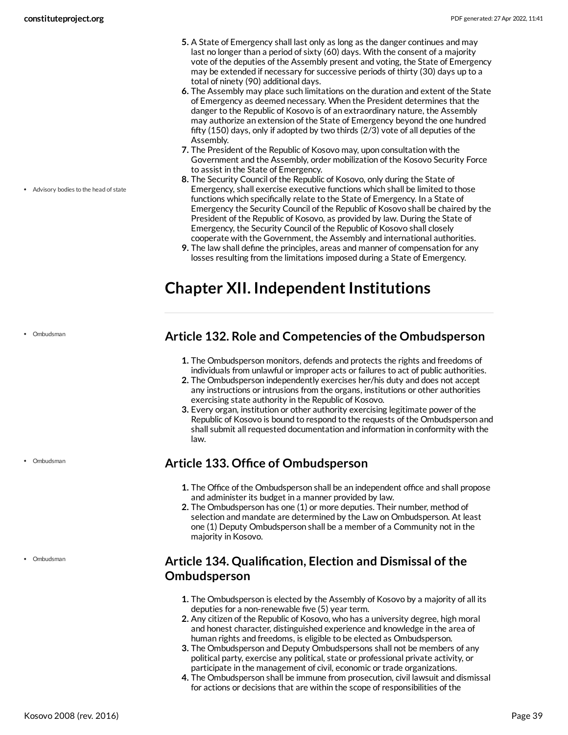Advisory bodies to the head of state

- **5.** A State of Emergency shall last only as long as the danger continues and may last no longer than a period of sixty (60) days. With the consent of a majority vote of the deputies of the Assembly present and voting, the State of Emergency may be extended if necessary for successive periods of thirty (30) days up to a total of ninety (90) additional days.
- **6.** The Assembly may place such limitations on the duration and extent of the State of Emergency as deemed necessary. When the President determines that the danger to the Republic of Kosovo is of an extraordinary nature, the Assembly may authorize an extension of the State of Emergency beyond the one hundred fifty (150) days, only if adopted by two thirds (2/3) vote of all deputies of the Assembly.
- **7.** The President of the Republic of Kosovo may, upon consultation with the Government and the Assembly, order mobilization of the Kosovo Security Force to assist in the State of Emergency.
- **8.** The Security Council of the Republic of Kosovo, only during the State of Emergency, shall exercise executive functions which shall be limited to those functions which specifically relate to the State of Emergency. In a State of Emergency the Security Council of the Republic of Kosovo shall be chaired by the President of the Republic of Kosovo, as provided by law. During the State of Emergency, the Security Council of the Republic of Kosovo shall closely cooperate with the Government, the Assembly and international authorities.
- **9.** The law shall define the principles, areas and manner of compensation for any losses resulting from the limitations imposed during a State of Emergency.

# <span id="page-38-0"></span>**Chapter XII. Independent Institutions**

• Ombudsman

Ombudsman

Ombudsman

#### <span id="page-38-1"></span>**Article 132. Role and Competencies of the Ombudsperson**

- **1.** The Ombudsperson monitors, defends and protects the rights and freedoms of individuals from unlawful or improper acts or failures to act of public authorities.
- **2.** The Ombudsperson independently exercises her/his duty and does not accept any instructions or intrusions from the organs, institutions or other authorities exercising state authority in the Republic of Kosovo.
- **3.** Every organ, institution or other authority exercising legitimate power of the Republic of Kosovo is bound to respond to the requests of the Ombudsperson and shall submit all requested documentation and information in conformity with the law.

# <span id="page-38-2"></span>**Article 133. Office of Ombudsperson**

- **1.** The Office of the Ombudsperson shall be an independent office and shall propose and administer its budget in a manner provided by law.
- **2.** The Ombudsperson has one (1) or more deputies. Their number, method of selection and mandate are determined by the Law on Ombudsperson. At least one (1) Deputy Ombudsperson shall be a member of a Community not in the majority in Kosovo.

# <span id="page-38-3"></span>**Article 134. Qualification, Election and Dismissal of the Ombudsperson**

- **1.** The Ombudsperson is elected by the Assembly of Kosovo by a majority of all its deputies for a non-renewable five (5) year term.
- **2.** Any citizen of the Republic of Kosovo, who has a university degree, high moral and honest character, distinguished experience and knowledge in the area of human rights and freedoms, is eligible to be elected as Ombudsperson.
- **3.** The Ombudsperson and Deputy Ombudspersons shall not be members of any political party, exercise any political, state or professional private activity, or participate in the management of civil, economic or trade organizations.
- **4.** The Ombudsperson shall be immune from prosecution, civil lawsuit and dismissal for actions or decisions that are within the scope of responsibilities of the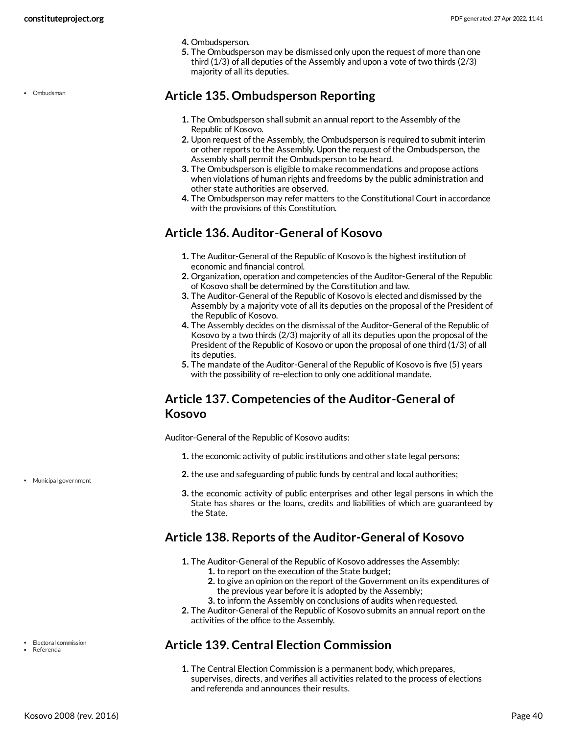• Ombudsman

- **4.** Ombudsperson.
- **5.** The Ombudsperson may be dismissed only upon the request of more than one third (1/3) of all deputies of the Assembly and upon a vote of two thirds (2/3) majority of all its deputies.

#### <span id="page-39-0"></span>**Article 135. Ombudsperson Reporting**

- **1.** The Ombudsperson shall submit an annual report to the Assembly of the Republic of Kosovo.
- **2.** Upon request of the Assembly, the Ombudsperson is required to submit interim or other reports to the Assembly. Upon the request of the Ombudsperson, the Assembly shall permit the Ombudsperson to be heard.
- **3.** The Ombudsperson is eligible to make recommendations and propose actions when violations of human rights and freedoms by the public administration and other state authorities are observed.
- **4.** The Ombudsperson may refer matters to the Constitutional Court in accordance with the provisions of this Constitution.

#### <span id="page-39-1"></span>**Article 136. Auditor-General of Kosovo**

- **1.** The Auditor-General of the Republic of Kosovo is the highest institution of economic and financial control.
- **2.** Organization, operation and competencies of the Auditor-General of the Republic of Kosovo shall be determined by the Constitution and law.
- **3.** The Auditor-General of the Republic of Kosovo is elected and dismissed by the Assembly by a majority vote of all its deputies on the proposal of the President of the Republic of Kosovo.
- **4.** The Assembly decides on the dismissal of the Auditor-General of the Republic of Kosovo by a two thirds (2/3) majority of all its deputies upon the proposal of the President of the Republic of Kosovo or upon the proposal of one third (1/3) of all its deputies.
- **5.** The mandate of the Auditor-General of the Republic of Kosovo is five (5) years with the possibility of re-election to only one additional mandate.

#### <span id="page-39-2"></span>**Article 137. Competencies of the Auditor-General of Kosovo**

<span id="page-39-5"></span>Auditor-General of the Republic of Kosovo audits:

- **1.** the economic activity of public institutions and other state legal persons;
- **2.** the use and safeguarding of public funds by central and local authorities;
- **3.** the economic activity of public enterprises and other legal persons in which the State has shares or the loans, credits and liabilities of which are guaranteed by the State.

#### <span id="page-39-3"></span>**Article 138. Reports of the Auditor-General of Kosovo**

- **1.** The Auditor-General of the Republic of Kosovo addresses the Assembly:
	- **1.** to report on the execution of the State budget;
	- **2.** to give an opinion on the report of the Government on its expenditures of the previous year before it is adopted by the Assembly;
	- **3.** to inform the Assembly on conclusions of audits when requested.
- **2.** The Auditor-General of the Republic of Kosovo submits an annual report on the activities of the office to the Assembly.

#### <span id="page-39-4"></span>**Article 139. Central Election Commission**

**1.** The Central Election Commission is a permanent body, which prepares, supervises, directs, and verifies all activities related to the process of elections and referenda and announces their results.

Municipal government

• Electoral commission Referenda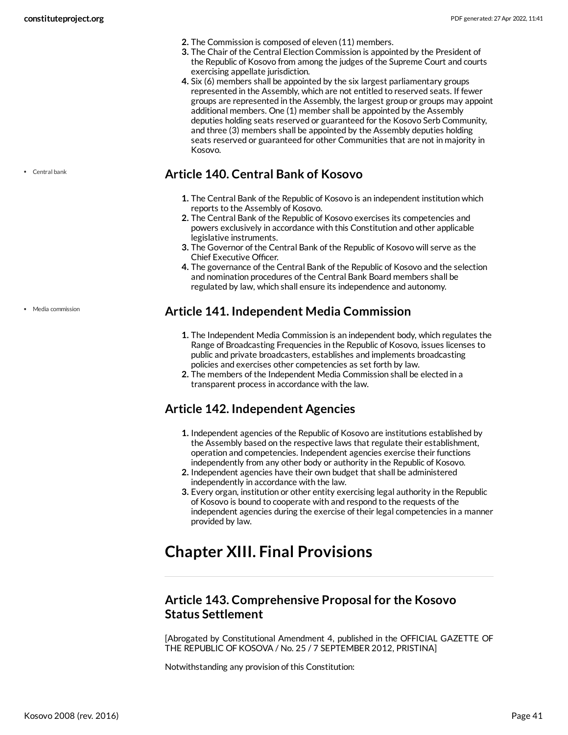- **2.** The Commission is composed of eleven (11) members.
- **3.** The Chair of the Central Election Commission is appointed by the President of the Republic of Kosovo from among the judges of the Supreme Court and courts exercising appellate jurisdiction.
- **4.** Six (6) members shall be appointed by the six largest parliamentary groups represented in the Assembly, which are not entitled to reserved seats. If fewer groups are represented in the Assembly, the largest group or groups may appoint additional members. One (1) member shall be appointed by the Assembly deputies holding seats reserved or guaranteed for the Kosovo Serb Community, and three (3) members shall be appointed by the Assembly deputies holding seats reserved or guaranteed for other Communities that are not in majority in Kosovo.

#### <span id="page-40-0"></span>**Article 140. Central Bank of Kosovo**

- **1.** The Central Bank of the Republic of Kosovo is an independent institution which reports to the Assembly of Kosovo.
- **2.** The Central Bank of the Republic of Kosovo exercises its competencies and powers exclusively in accordance with this Constitution and other applicable legislative instruments.
- **3.** The Governor of the Central Bank of the Republic of Kosovo will serve as the Chief Executive Officer.
- **4.** The governance of the Central Bank of the Republic of Kosovo and the selection and nomination procedures of the Central Bank Board members shall be regulated by law, which shall ensure its independence and autonomy.

#### <span id="page-40-1"></span>**Article 141. Independent Media Commission**

- **1.** The Independent Media Commission is an independent body, which regulates the Range of Broadcasting Frequencies in the Republic of Kosovo, issues licenses to public and private broadcasters, establishes and implements broadcasting policies and exercises other competencies as set forth by law.
- **2.** The members of the Independent Media Commission shall be elected in a transparent process in accordance with the law.

#### <span id="page-40-2"></span>**Article 142. Independent Agencies**

- **1.** Independent agencies of the Republic of Kosovo are institutions established by the Assembly based on the respective laws that regulate their establishment, operation and competencies. Independent agencies exercise their functions independently from any other body or authority in the Republic of Kosovo.
- **2.** Independent agencies have their own budget that shall be administered independently in accordance with the law.
- **3.** Every organ, institution or other entity exercising legal authority in the Republic of Kosovo is bound to cooperate with and respond to the requests of the independent agencies during the exercise of their legal competencies in a manner provided by law.

# <span id="page-40-3"></span>**Chapter XIII. Final Provisions**

#### <span id="page-40-4"></span>**Article 143. Comprehensive Proposal for the Kosovo Status Settlement**

[Abrogated by Constitutional Amendment 4, published in the OFFICIAL GAZETTE OF THE REPUBLIC OF KOSOVA / No. 25 / 7 SEPTEMBER 2012, PRISTINA]

Notwithstanding any provision of this Constitution:

Central bank

• Media commission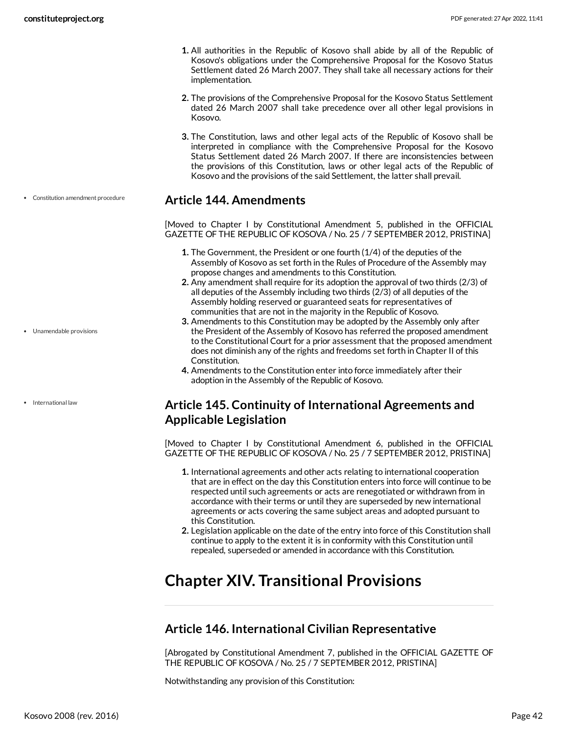- **1.** All authorities in the Republic of Kosovo shall abide by all of the Republic of Kosovo's obligations under the Comprehensive Proposal for the Kosovo Status Settlement dated 26 March 2007. They shall take all necessary actions for their implementation.
- **2.** The provisions of the Comprehensive Proposal for the Kosovo Status Settlement dated 26 March 2007 shall take precedence over all other legal provisions in Kosovo.
- **3.** The Constitution, laws and other legal acts of the Republic of Kosovo shall be interpreted in compliance with the Comprehensive Proposal for the Kosovo Status Settlement dated 26 March 2007. If there are inconsistencies between the provisions of this Constitution, laws or other legal acts of the Republic of Kosovo and the provisions of the said Settlement, the latter shall prevail.

#### <span id="page-41-0"></span>**Article 144. Amendments**

[Moved to Chapter I by Constitutional Amendment 5, published in the OFFICIAL GAZETTE OF THE REPUBLIC OF KOSOVA / No. 25 / 7 SEPTEMBER 2012, PRISTINA]

- **1.** The Government, the President or one fourth (1/4) of the deputies of the Assembly of Kosovo as set forth in the Rules of Procedure of the Assembly may propose changes and amendments to this Constitution.
- **2.** Any amendment shall require for its adoption the approval of two thirds (2/3) of all deputies of the Assembly including two thirds (2/3) of all deputies of the Assembly holding reserved or guaranteed seats for representatives of communities that are not in the majority in the Republic of Kosovo.
- **3.** Amendments to this Constitution may be adopted by the Assembly only after the President of the Assembly of Kosovo has referred the proposed amendment to the Constitutional Court for a prior assessment that the proposed amendment does not diminish any of the rights and freedoms set forth in Chapter II of this Constitution.
- **4.** Amendments to the Constitution enter into force immediately after their adoption in the Assembly of the Republic of Kosovo.

#### <span id="page-41-1"></span>**Article 145. Continuity of International Agreements and Applicable Legislation**

[Moved to Chapter I by Constitutional Amendment 6, published in the OFFICIAL GAZETTE OF THE REPUBLIC OF KOSOVA / No. 25 / 7 SEPTEMBER 2012, PRISTINA]

- **1.** International agreements and other acts relating to international cooperation that are in effect on the day this Constitution enters into force will continue to be respected until such agreements or acts are renegotiated or withdrawn from in accordance with their terms or until they are superseded by new international agreements or acts covering the same subject areas and adopted pursuant to this Constitution.
- **2.** Legislation applicable on the date of the entry into force of this Constitution shall continue to apply to the extent it is in conformity with this Constitution until repealed, superseded or amended in accordance with this Constitution.

# <span id="page-41-2"></span>**Chapter XIV. Transitional Provisions**

#### <span id="page-41-3"></span>**Article 146. International Civilian Representative**

[Abrogated by Constitutional Amendment 7, published in the OFFICIAL GAZETTE OF THE REPUBLIC OF KOSOVA / No. 25 / 7 SEPTEMBER 2012, PRISTINA]

Notwithstanding any provision of this Constitution:

Constitution amendment procedure

Unamendable provisions

• International law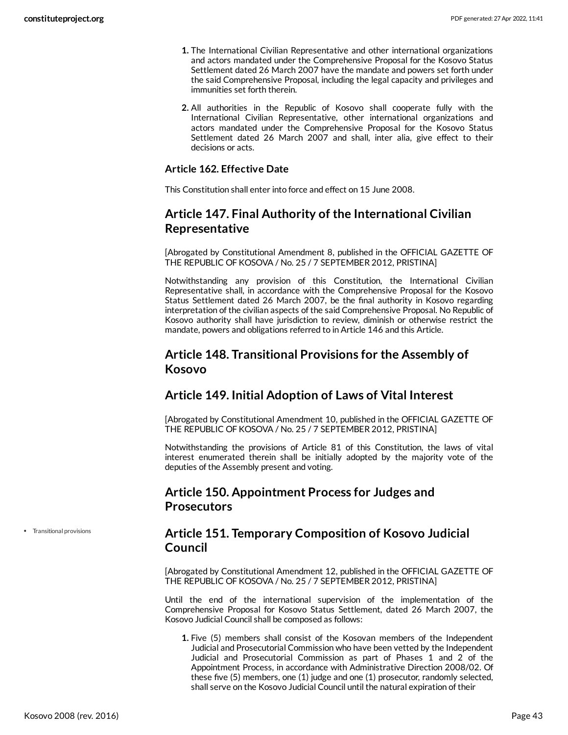- **1.** The International Civilian Representative and other international organizations and actors mandated under the Comprehensive Proposal for the Kosovo Status Settlement dated 26 March 2007 have the mandate and powers set forth under the said Comprehensive Proposal, including the legal capacity and privileges and immunities set forth therein.
- **2.** All authorities in the Republic of Kosovo shall cooperate fully with the International Civilian Representative, other international organizations and actors mandated under the Comprehensive Proposal for the Kosovo Status Settlement dated 26 March 2007 and shall, inter alia, give effect to their decisions or acts.

#### **Article 162. Effective Date**

This Constitution shall enter into force and effect on 15 June 2008.

#### <span id="page-42-0"></span>**Article 147. Final Authority of the International Civilian Representative**

[Abrogated by Constitutional Amendment 8, published in the OFFICIAL GAZETTE OF THE REPUBLIC OF KOSOVA / No. 25 / 7 SEPTEMBER 2012, PRISTINA]

Notwithstanding any provision of this Constitution, the International Civilian Representative shall, in accordance with the Comprehensive Proposal for the Kosovo Status Settlement dated 26 March 2007, be the final authority in Kosovo regarding interpretation of the civilian aspects of the said Comprehensive Proposal. No Republic of Kosovo authority shall have jurisdiction to review, diminish or otherwise restrict the mandate, powers and obligations referred to in Article 146 and this Article.

#### <span id="page-42-1"></span>**Article 148. Transitional Provisions for the Assembly of Kosovo**

#### <span id="page-42-2"></span>**Article 149. Initial Adoption of Laws of Vital Interest**

[Abrogated by Constitutional Amendment 10, published in the OFFICIAL GAZETTE OF THE REPUBLIC OF KOSOVA / No. 25 / 7 SEPTEMBER 2012, PRISTINA]

Notwithstanding the provisions of Article 81 of this Constitution, the laws of vital interest enumerated therein shall be initially adopted by the majority vote of the deputies of the Assembly present and voting.

#### <span id="page-42-3"></span>**Article 150. Appointment Process for Judges and Prosecutors**

Transitional provisions

#### <span id="page-42-4"></span>**Article 151. Temporary Composition of Kosovo Judicial Council**

[Abrogated by Constitutional Amendment 12, published in the OFFICIAL GAZETTE OF THE REPUBLIC OF KOSOVA / No. 25 / 7 SEPTEMBER 2012, PRISTINA]

Until the end of the international supervision of the implementation of the Comprehensive Proposal for Kosovo Status Settlement, dated 26 March 2007, the Kosovo Judicial Council shall be composed as follows:

**1.** Five (5) members shall consist of the Kosovan members of the Independent Judicial and Prosecutorial Commission who have been vetted by the Independent Judicial and Prosecutorial Commission as part of Phases 1 and 2 of the Appointment Process, in accordance with Administrative Direction 2008/02. Of these five (5) members, one (1) judge and one (1) prosecutor, randomly selected, shall serve on the Kosovo Judicial Council until the natural expiration of their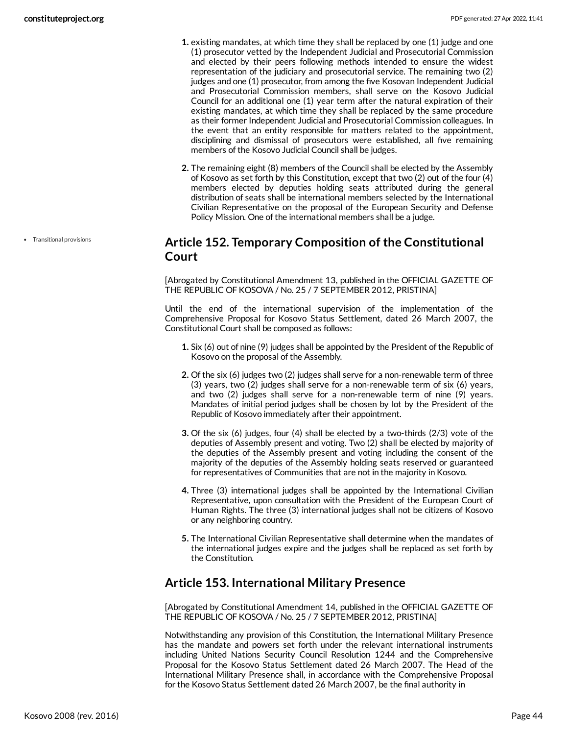- **1.** existing mandates, at which time they shall be replaced by one (1) judge and one (1) prosecutor vetted by the Independent Judicial and Prosecutorial Commission and elected by their peers following methods intended to ensure the widest representation of the judiciary and prosecutorial service. The remaining two (2) judges and one (1) prosecutor, from among the five Kosovan Independent Judicial and Prosecutorial Commission members, shall serve on the Kosovo Judicial Council for an additional one (1) year term after the natural expiration of their existing mandates, at which time they shall be replaced by the same procedure as their former Independent Judicial and Prosecutorial Commission colleagues. In the event that an entity responsible for matters related to the appointment, disciplining and dismissal of prosecutors were established, all five remaining members of the Kosovo Judicial Council shall be judges.
- **2.** The remaining eight (8) members of the Council shall be elected by the Assembly of Kosovo as set forth by this Constitution, except that two (2) out of the four (4) members elected by deputies holding seats attributed during the general distribution of seats shall be international members selected by the International Civilian Representative on the proposal of the European Security and Defense Policy Mission. One of the international members shall be a judge.

#### <span id="page-43-0"></span>**Article 152. Temporary Composition of the Constitutional Court**

[Abrogated by Constitutional Amendment 13, published in the OFFICIAL GAZETTE OF THE REPUBLIC OF KOSOVA / No. 25 / 7 SEPTEMBER 2012, PRISTINA]

Until the end of the international supervision of the implementation of the Comprehensive Proposal for Kosovo Status Settlement, dated 26 March 2007, the Constitutional Court shall be composed as follows:

- **1.** Six (6) out of nine (9) judges shall be appointed by the President of the Republic of Kosovo on the proposal of the Assembly.
- **2.** Of the six (6) judges two (2) judges shall serve for a non-renewable term of three (3) years, two (2) judges shall serve for a non-renewable term of six (6) years, and two (2) judges shall serve for a non-renewable term of nine (9) years. Mandates of initial period judges shall be chosen by lot by the President of the Republic of Kosovo immediately after their appointment.
- **3.** Of the six (6) judges, four (4) shall be elected by a two-thirds (2/3) vote of the deputies of Assembly present and voting. Two (2) shall be elected by majority of the deputies of the Assembly present and voting including the consent of the majority of the deputies of the Assembly holding seats reserved or guaranteed for representatives of Communities that are not in the majority in Kosovo.
- **4.** Three (3) international judges shall be appointed by the International Civilian Representative, upon consultation with the President of the European Court of Human Rights. The three (3) international judges shall not be citizens of Kosovo or any neighboring country.
- **5.** The International Civilian Representative shall determine when the mandates of the international judges expire and the judges shall be replaced as set forth by the Constitution.

#### <span id="page-43-1"></span>**Article 153. International Military Presence**

[Abrogated by Constitutional Amendment 14, published in the OFFICIAL GAZETTE OF THE REPUBLIC OF KOSOVA / No. 25 / 7 SEPTEMBER 2012, PRISTINA]

Notwithstanding any provision of this Constitution, the International Military Presence has the mandate and powers set forth under the relevant international instruments including United Nations Security Council Resolution 1244 and the Comprehensive Proposal for the Kosovo Status Settlement dated 26 March 2007. The Head of the International Military Presence shall, in accordance with the Comprehensive Proposal for the Kosovo Status Settlement dated 26 March 2007, be the final authority in

Transitional provisions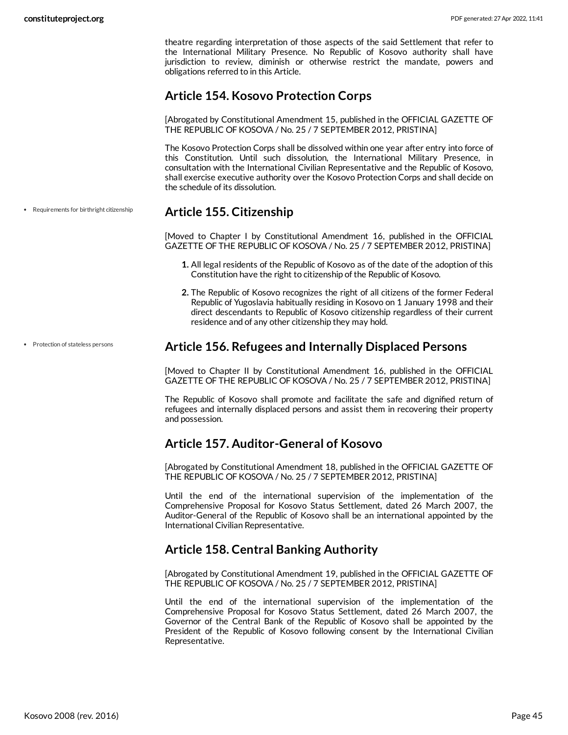theatre regarding interpretation of those aspects of the said Settlement that refer to the International Military Presence. No Republic of Kosovo authority shall have jurisdiction to review, diminish or otherwise restrict the mandate, powers and obligations referred to in this Article.

#### <span id="page-44-0"></span>**Article 154. Kosovo Protection Corps**

[Abrogated by Constitutional Amendment 15, published in the OFFICIAL GAZETTE OF THE REPUBLIC OF KOSOVA / No. 25 / 7 SEPTEMBER 2012, PRISTINA]

The Kosovo Protection Corps shall be dissolved within one year after entry into force of this Constitution. Until such dissolution, the International Military Presence, in consultation with the International Civilian Representative and the Republic of Kosovo, shall exercise executive authority over the Kosovo Protection Corps and shall decide on the schedule of its dissolution.

#### <span id="page-44-1"></span>**Article 155. Citizenship**

[Moved to Chapter I by Constitutional Amendment 16, published in the OFFICIAL GAZETTE OF THE REPUBLIC OF KOSOVA / No. 25 / 7 SEPTEMBER 2012, PRISTINA]

- **1.** All legal residents of the Republic of Kosovo as of the date of the adoption of this Constitution have the right to citizenship of the Republic of Kosovo.
- **2.** The Republic of Kosovo recognizes the right of all citizens of the former Federal Republic of Yugoslavia habitually residing in Kosovo on 1 January 1998 and their direct descendants to Republic of Kosovo citizenship regardless of their current residence and of any other citizenship they may hold.

#### <span id="page-44-2"></span>**Article 156. Refugees and Internally Displaced Persons**

[Moved to Chapter II by Constitutional Amendment 16, published in the OFFICIAL GAZETTE OF THE REPUBLIC OF KOSOVA / No. 25 / 7 SEPTEMBER 2012, PRISTINA]

The Republic of Kosovo shall promote and facilitate the safe and dignified return of refugees and internally displaced persons and assist them in recovering their property and possession.

#### <span id="page-44-3"></span>**Article 157. Auditor-General of Kosovo**

[Abrogated by Constitutional Amendment 18, published in the OFFICIAL GAZETTE OF THE REPUBLIC OF KOSOVA / No. 25 / 7 SEPTEMBER 2012, PRISTINA]

Until the end of the international supervision of the implementation of the Comprehensive Proposal for Kosovo Status Settlement, dated 26 March 2007, the Auditor-General of the Republic of Kosovo shall be an international appointed by the International Civilian Representative.

#### <span id="page-44-4"></span>**Article 158. Central Banking Authority**

[Abrogated by Constitutional Amendment 19, published in the OFFICIAL GAZETTE OF THE REPUBLIC OF KOSOVA / No. 25 / 7 SEPTEMBER 2012, PRISTINA]

Until the end of the international supervision of the implementation of the Comprehensive Proposal for Kosovo Status Settlement, dated 26 March 2007, the Governor of the Central Bank of the Republic of Kosovo shall be appointed by the President of the Republic of Kosovo following consent by the International Civilian Representative.

• Protection of stateless persons

Requirements for birthright citizenship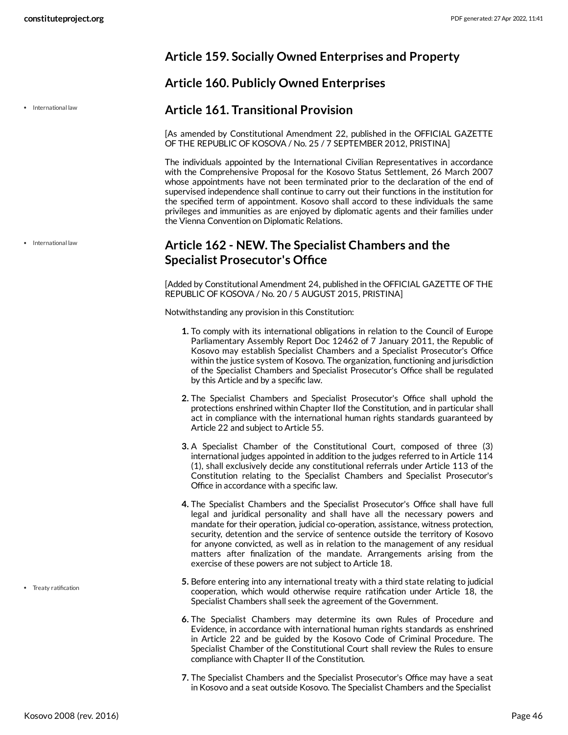#### <span id="page-45-0"></span>**Article 159. Socially Owned Enterprises and Property**

#### <span id="page-45-1"></span>**Article 160. Publicly Owned Enterprises**

#### <span id="page-45-2"></span>**Article 161. Transitional Provision**

[As amended by Constitutional Amendment 22, published in the OFFICIAL GAZETTE OF THE REPUBLIC OF KOSOVA / No. 25 / 7 SEPTEMBER 2012, PRISTINA]

The individuals appointed by the International Civilian Representatives in accordance with the Comprehensive Proposal for the Kosovo Status Settlement, 26 March 2007 whose appointments have not been terminated prior to the declaration of the end of supervised independence shall continue to carry out their functions in the institution for the specified term of appointment. Kosovo shall accord to these individuals the same privileges and immunities as are enjoyed by diplomatic agents and their families under the Vienna Convention on Diplomatic Relations.

#### <span id="page-45-3"></span>**Article 162 - NEW. The Specialist Chambers and the Specialist Prosecutor's Office**

[Added by Constitutional Amendment 24, published in the OFFICIAL GAZETTE OF THE REPUBLIC OF KOSOVA / No. 20 / 5 AUGUST 2015, PRISTINA]

<span id="page-45-4"></span>Notwithstanding any provision in this Constitution:

- **1.** To comply with its international obligations in relation to the Council of Europe Parliamentary Assembly Report Doc 12462 of 7 January 2011, the Republic of Kosovo may establish Specialist Chambers and a Specialist Prosecutor's Office within the justice system of Kosovo. The organization, functioning and jurisdiction of the Specialist Chambers and Specialist Prosecutor's Office shall be regulated by this Article and by a specific law.
- **2.** The Specialist Chambers and Specialist Prosecutor's Office shall uphold the protections enshrined within Chapter IIof the Constitution, and in particular shall act in compliance with the international human rights standards guaranteed by Article 22 and subject to Article 55.
- **3.** A Specialist Chamber of the Constitutional Court, composed of three (3) international judges appointed in addition to the judges referred to in Article 114 (1), shall exclusively decide any constitutional referrals under Article 113 of the Constitution relating to the Specialist Chambers and Specialist Prosecutor's Office in accordance with a specific law.
- **4.** The Specialist Chambers and the Specialist Prosecutor's Office shall have full legal and juridical personality and shall have all the necessary powers and mandate for their operation, judicial co-operation, assistance, witness protection, security, detention and the service of sentence outside the territory of Kosovo for anyone convicted, as well as in relation to the management of any residual matters after finalization of the mandate. Arrangements arising from the exercise of these powers are not subject to Article 18.
- **5.** Before entering into any international treaty with a third state relating to judicial cooperation, which would otherwise require ratification under Article 18, the Specialist Chambers shall seek the agreement of the Government.
- **6.** The Specialist Chambers may determine its own Rules of Procedure and Evidence, in accordance with international human rights standards as enshrined in Article 22 and be guided by the Kosovo Code of Criminal Procedure. The Specialist Chamber of the Constitutional Court shall review the Rules to ensure compliance with Chapter II of the Constitution.
- **7.** The Specialist Chambers and the Specialist Prosecutor's Office may have a seat in Kosovo and a seat outside Kosovo. The Specialist Chambers and the Specialist

• International law

• International law

• Treaty ratification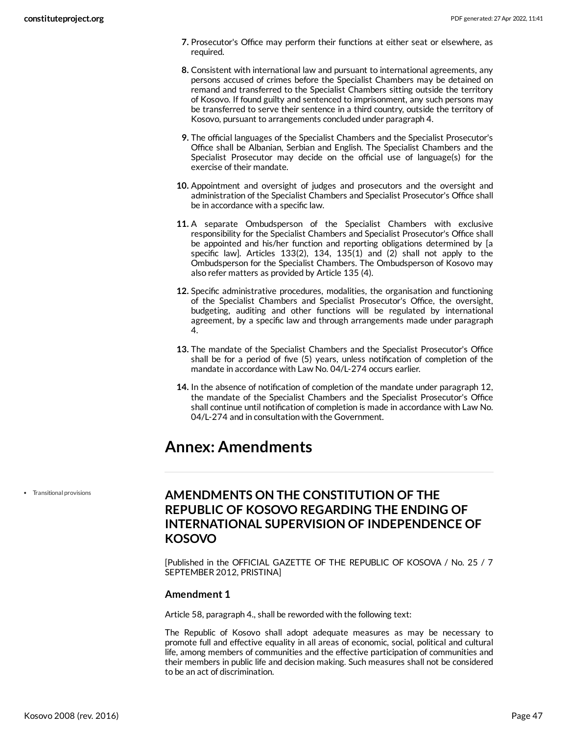- **7.** Prosecutor's Office may perform their functions at either seat or elsewhere, as required.
- **8.** Consistent with international law and pursuant to international agreements, any persons accused of crimes before the Specialist Chambers may be detained on remand and transferred to the Specialist Chambers sitting outside the territory of Kosovo. If found guilty and sentenced to imprisonment, any such persons may be transferred to serve their sentence in a third country, outside the territory of Kosovo, pursuant to arrangements concluded under paragraph 4.
- **9.** The official languages of the Specialist Chambers and the Specialist Prosecutor's Office shall be Albanian, Serbian and English. The Specialist Chambers and the Specialist Prosecutor may decide on the official use of language(s) for the exercise of their mandate.
- **10.** Appointment and oversight of judges and prosecutors and the oversight and administration of the Specialist Chambers and Specialist Prosecutor's Office shall be in accordance with a specific law.
- **11.** A separate Ombudsperson of the Specialist Chambers with exclusive responsibility for the Specialist Chambers and Specialist Prosecutor's Office shall be appointed and his/her function and reporting obligations determined by [a specific law]. Articles 133(2), 134, 135(1) and (2) shall not apply to the Ombudsperson for the Specialist Chambers. The Ombudsperson of Kosovo may also refer matters as provided by Article 135 (4).
- **12.** Specific administrative procedures, modalities, the organisation and functioning of the Specialist Chambers and Specialist Prosecutor's Office, the oversight, budgeting, auditing and other functions will be regulated by international agreement, by a specific law and through arrangements made under paragraph 4.
- **13.** The mandate of the Specialist Chambers and the Specialist Prosecutor's Office shall be for a period of five (5) years, unless notification of completion of the mandate in accordance with Law No. 04/L-274 occurs earlier.
- **14.** In the absence of notification of completion of the mandate under paragraph 12, the mandate of the Specialist Chambers and the Specialist Prosecutor's Office shall continue until notification of completion is made in accordance with Law No. 04/L-274 and in consultation with the Government.

# <span id="page-46-0"></span>**Annex: Amendments**

Transitional provisions

#### <span id="page-46-1"></span>**AMENDMENTS ON THE CONSTITUTION OF THE REPUBLIC OF KOSOVO REGARDING THE ENDING OF INTERNATIONAL SUPERVISION OF INDEPENDENCE OF KOSOVO**

[Published in the OFFICIAL GAZETTE OF THE REPUBLIC OF KOSOVA / No. 25 / 7 SEPTEMBER 2012, PRISTINA]

#### **Amendment 1**

Article 58, paragraph 4., shall be reworded with the following text:

The Republic of Kosovo shall adopt adequate measures as may be necessary to promote full and effective equality in all areas of economic, social, political and cultural life, among members of communities and the effective participation of communities and their members in public life and decision making. Such measures shall not be considered to be an act of discrimination.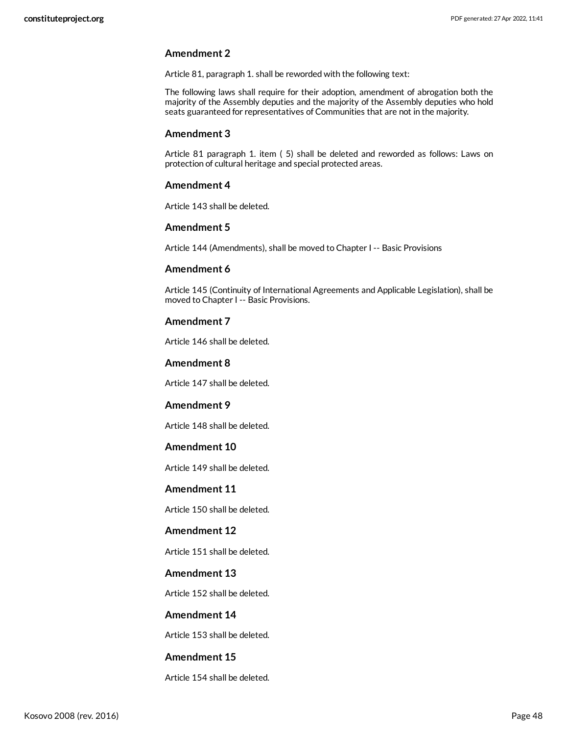#### **Amendment 2**

Article 81, paragraph 1. shall be reworded with the following text:

The following laws shall require for their adoption, amendment of abrogation both the majority of the Assembly deputies and the majority of the Assembly deputies who hold seats guaranteed for representatives of Communities that are not in the majority.

#### **Amendment 3**

Article 81 paragraph 1. item ( 5) shall be deleted and reworded as follows: Laws on protection of cultural heritage and special protected areas.

#### **Amendment 4**

Article 143 shall be deleted.

#### **Amendment 5**

Article 144 (Amendments), shall be moved to Chapter I -- Basic Provisions

#### **Amendment 6**

Article 145 (Continuity of International Agreements and Applicable Legislation), shall be moved to Chapter I -- Basic Provisions.

#### **Amendment 7**

Article 146 shall be deleted.

#### **Amendment 8**

Article 147 shall be deleted.

#### **Amendment 9**

Article 148 shall be deleted.

#### **Amendment 10**

Article 149 shall be deleted.

#### **Amendment 11**

Article 150 shall be deleted.

#### **Amendment 12**

Article 151 shall be deleted.

#### **Amendment 13**

Article 152 shall be deleted.

#### **Amendment 14**

Article 153 shall be deleted.

#### **Amendment 15**

Article 154 shall be deleted.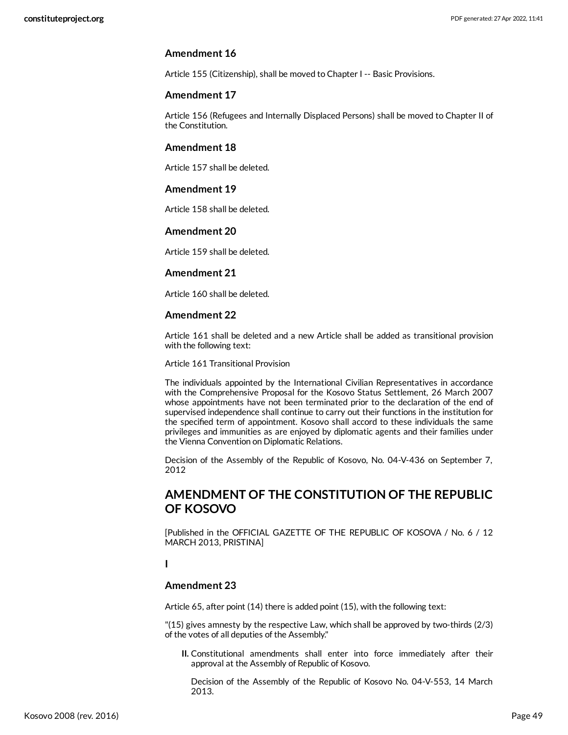#### **Amendment 16**

Article 155 (Citizenship), shall be moved to Chapter I -- Basic Provisions.

#### **Amendment 17**

Article 156 (Refugees and Internally Displaced Persons) shall be moved to Chapter II of the Constitution.

#### **Amendment 18**

Article 157 shall be deleted.

#### **Amendment 19**

Article 158 shall be deleted.

#### **Amendment 20**

Article 159 shall be deleted.

#### **Amendment 21**

Article 160 shall be deleted.

#### **Amendment 22**

Article 161 shall be deleted and a new Article shall be added as transitional provision with the following text:

Article 161 Transitional Provision

The individuals appointed by the International Civilian Representatives in accordance with the Comprehensive Proposal for the Kosovo Status Settlement, 26 March 2007 whose appointments have not been terminated prior to the declaration of the end of supervised independence shall continue to carry out their functions in the institution for the specified term of appointment. Kosovo shall accord to these individuals the same privileges and immunities as are enjoyed by diplomatic agents and their families under the Vienna Convention on Diplomatic Relations.

Decision of the Assembly of the Republic of Kosovo, No. 04-V-436 on September 7, 2012

#### <span id="page-48-0"></span>**AMENDMENT OF THE CONSTITUTION OF THE REPUBLIC OF KOSOVO**

[Published in the OFFICIAL GAZETTE OF THE REPUBLIC OF KOSOVA / No. 6 / 12 MARCH 2013, PRISTINA]

#### **I**

#### **Amendment 23**

Article 65, after point (14) there is added point (15), with the following text:

"(15) gives amnesty by the respective Law, which shall be approved by two-thirds (2/3) of the votes of all deputies of the Assembly."

**II.** Constitutional amendments shall enter into force immediately after their approval at the Assembly of Republic of Kosovo.

Decision of the Assembly of the Republic of Kosovo No. 04-V-553, 14 March 2013.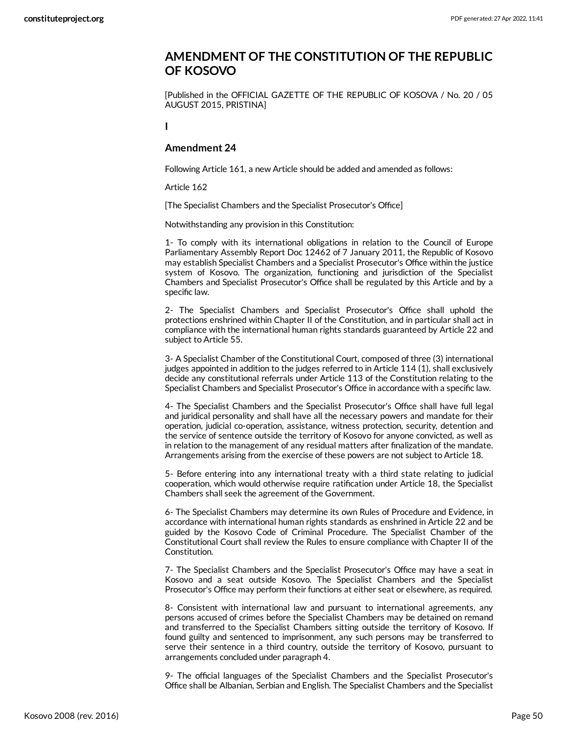#### <span id="page-49-0"></span>**AMENDMENT OF THE CONSTITUTION OF THE REPUBLIC OF KOSOVO**

[Published in the OFFICIAL GAZETTE OF THE REPUBLIC OF KOSOVA / No. 20 / 05 AUGUST 2015, PRISTINA]

**I**

#### **Amendment 24**

Following Article 161, a new Article should be added and amended as follows:

Article 162

[The Specialist Chambers and the Specialist Prosecutor's Office]

Notwithstanding any provision in this Constitution:

1- To comply with its international obligations in relation to the Council of Europe Parliamentary Assembly Report Doc 12462 of 7 January 2011, the Republic of Kosovo may establish Specialist Chambers and a Specialist Prosecutor's Office within the justice system of Kosovo. The organization, functioning and jurisdiction of the Specialist Chambers and Specialist Prosecutor's Office shall be regulated by this Article and by a specific law.

2- The Specialist Chambers and Specialist Prosecutor's Office shall uphold the protections enshrined within Chapter II of the Constitution, and in particular shall act in compliance with the international human rights standards guaranteed by Article 22 and subject to Article 55.

3- A Specialist Chamber of the Constitutional Court, composed of three (3) international judges appointed in addition to the judges referred to in Article 114 (1), shall exclusively decide any constitutional referrals under Article 113 of the Constitution relating to the Specialist Chambers and Specialist Prosecutor's Office in accordance with a specific law.

4- The Specialist Chambers and the Specialist Prosecutor's Office shall have full legal and juridical personality and shall have all the necessary powers and mandate for their operation, judicial co-operation, assistance, witness protection, security, detention and the service of sentence outside the territory of Kosovo for anyone convicted, as well as in relation to the management of any residual matters after finalization of the mandate. Arrangements arising from the exercise of these powers are not subject to Article 18.

5- Before entering into any international treaty with a third state relating to judicial cooperation, which would otherwise require ratification under Article 18, the Specialist Chambers shall seek the agreement of the Government.

6- The Specialist Chambers may determine its own Rules of Procedure and Evidence, in accordance with international human rights standards as enshrined in Article 22 and be guided by the Kosovo Code of Criminal Procedure. The Specialist Chamber of the Constitutional Court shall review the Rules to ensure compliance with Chapter II of the Constitution.

7- The Specialist Chambers and the Specialist Prosecutor's Office may have a seat in Kosovo and a seat outside Kosovo. The Specialist Chambers and the Specialist Prosecutor's Office may perform their functions at either seat or elsewhere, as required.

8- Consistent with international law and pursuant to international agreements, any persons accused of crimes before the Specialist Chambers may be detained on remand and transferred to the Specialist Chambers sitting outside the territory of Kosovo. If found guilty and sentenced to imprisonment, any such persons may be transferred to serve their sentence in a third country, outside the territory of Kosovo, pursuant to arrangements concluded under paragraph 4.

9- The official languages of the Specialist Chambers and the Specialist Prosecutor's Office shall be Albanian, Serbian and English. The Specialist Chambers and the Specialist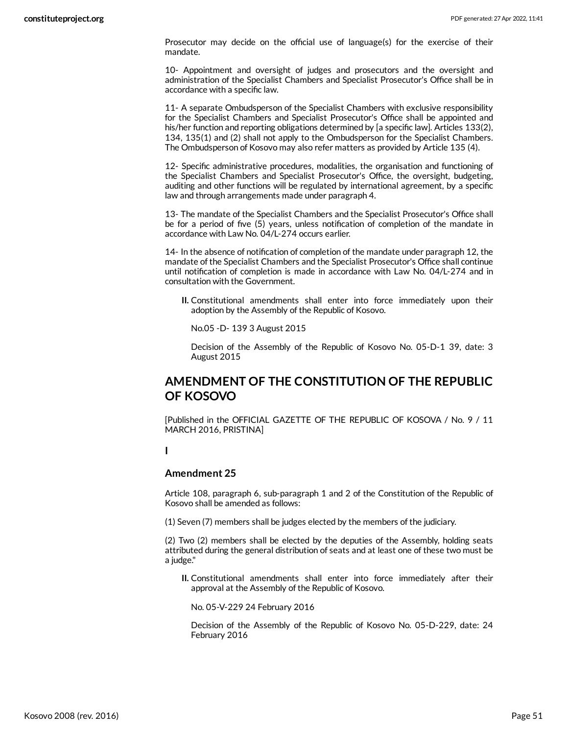Prosecutor may decide on the official use of language(s) for the exercise of their mandate.

10- Appointment and oversight of judges and prosecutors and the oversight and administration of the Specialist Chambers and Specialist Prosecutor's Office shall be in accordance with a specific law.

11- A separate Ombudsperson of the Specialist Chambers with exclusive responsibility for the Specialist Chambers and Specialist Prosecutor's Office shall be appointed and his/her function and reporting obligations determined by [a specific law]. Articles 133(2), 134, 135(1) and (2) shall not apply to the Ombudsperson for the Specialist Chambers. The Ombudsperson of Kosovo may also refer matters as provided by Article 135 (4).

12- Specific administrative procedures, modalities, the organisation and functioning of the Specialist Chambers and Specialist Prosecutor's Office, the oversight, budgeting, auditing and other functions will be regulated by international agreement, by a specific law and through arrangements made under paragraph 4.

13- The mandate of the Specialist Chambers and the Specialist Prosecutor's Office shall be for a period of five (5) years, unless notification of completion of the mandate in accordance with Law No. 04/L-274 occurs earlier.

14- In the absence of notification of completion of the mandate under paragraph 12, the mandate of the Specialist Chambers and the Specialist Prosecutor's Office shall continue until notification of completion is made in accordance with Law No. 04/L-274 and in consultation with the Government.

**II.** Constitutional amendments shall enter into force immediately upon their adoption by the Assembly of the Republic of Kosovo.

No.05 -D- 139 3 August 2015

Decision of the Assembly of the Republic of Kosovo No. 05-D-1 39, date: 3 August 2015

#### <span id="page-50-0"></span>**AMENDMENT OF THE CONSTITUTION OF THE REPUBLIC OF KOSOVO**

[Published in the OFFICIAL GAZETTE OF THE REPUBLIC OF KOSOVA / No. 9 / 11 MARCH 2016, PRISTINA]

**I**

#### **Amendment 25**

Article 108, paragraph 6, sub-paragraph 1 and 2 of the Constitution of the Republic of Kosovo shall be amended as follows:

(1) Seven (7) members shall be judges elected by the members of the judiciary.

(2) Two (2) members shall be elected by the deputies of the Assembly, holding seats attributed during the general distribution of seats and at least one of these two must be a judge."

**II.** Constitutional amendments shall enter into force immediately after their approval at the Assembly of the Republic of Kosovo.

No. 05-V-229 24 February 2016

Decision of the Assembly of the Republic of Kosovo No. 05-D-229, date: 24 February 2016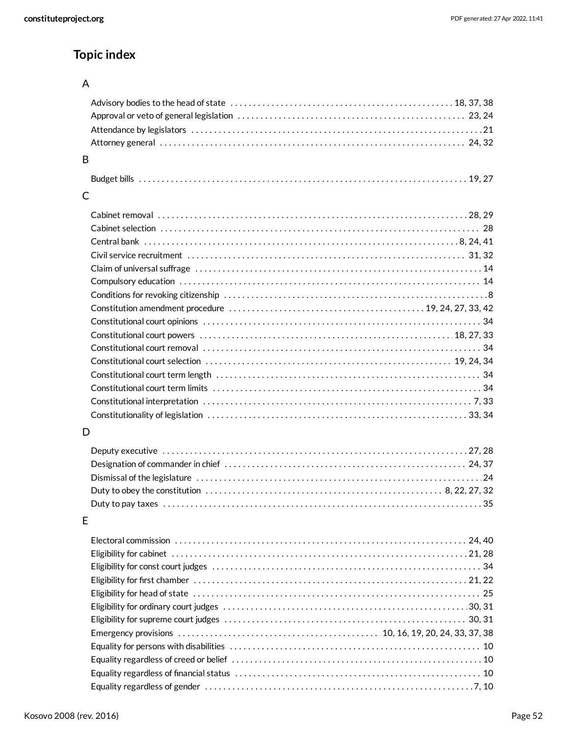# **Topic index**

#### A

| B                                                                                                                                          |  |
|--------------------------------------------------------------------------------------------------------------------------------------------|--|
|                                                                                                                                            |  |
|                                                                                                                                            |  |
| C                                                                                                                                          |  |
|                                                                                                                                            |  |
|                                                                                                                                            |  |
|                                                                                                                                            |  |
|                                                                                                                                            |  |
|                                                                                                                                            |  |
|                                                                                                                                            |  |
|                                                                                                                                            |  |
|                                                                                                                                            |  |
|                                                                                                                                            |  |
|                                                                                                                                            |  |
|                                                                                                                                            |  |
|                                                                                                                                            |  |
|                                                                                                                                            |  |
|                                                                                                                                            |  |
|                                                                                                                                            |  |
|                                                                                                                                            |  |
|                                                                                                                                            |  |
| D                                                                                                                                          |  |
|                                                                                                                                            |  |
|                                                                                                                                            |  |
|                                                                                                                                            |  |
| Duty to obey the constitution $\ldots \ldots \ldots \ldots \ldots \ldots \ldots \ldots \ldots \ldots \ldots \ldots \ldots$ . 8, 22, 27, 32 |  |
|                                                                                                                                            |  |
|                                                                                                                                            |  |
| E                                                                                                                                          |  |
|                                                                                                                                            |  |
|                                                                                                                                            |  |
|                                                                                                                                            |  |
|                                                                                                                                            |  |
|                                                                                                                                            |  |
|                                                                                                                                            |  |
|                                                                                                                                            |  |
|                                                                                                                                            |  |
|                                                                                                                                            |  |
|                                                                                                                                            |  |
|                                                                                                                                            |  |
|                                                                                                                                            |  |
|                                                                                                                                            |  |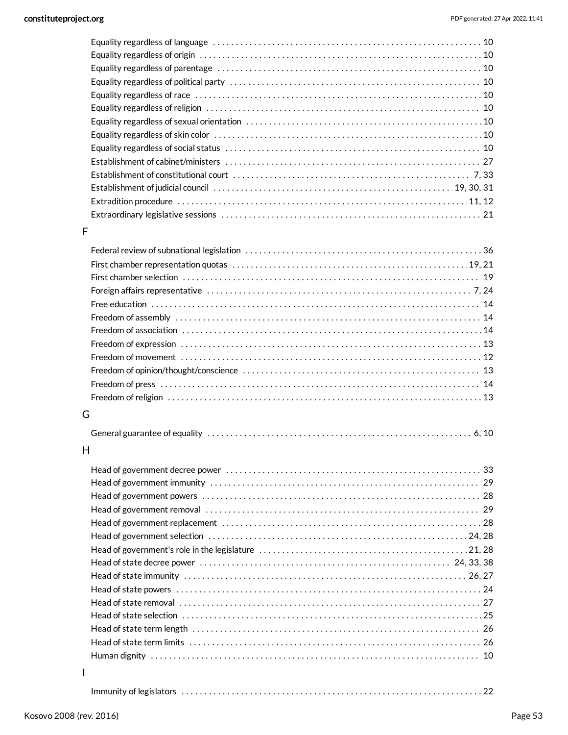#### F

#### G

|--|--|--|--|

#### H

I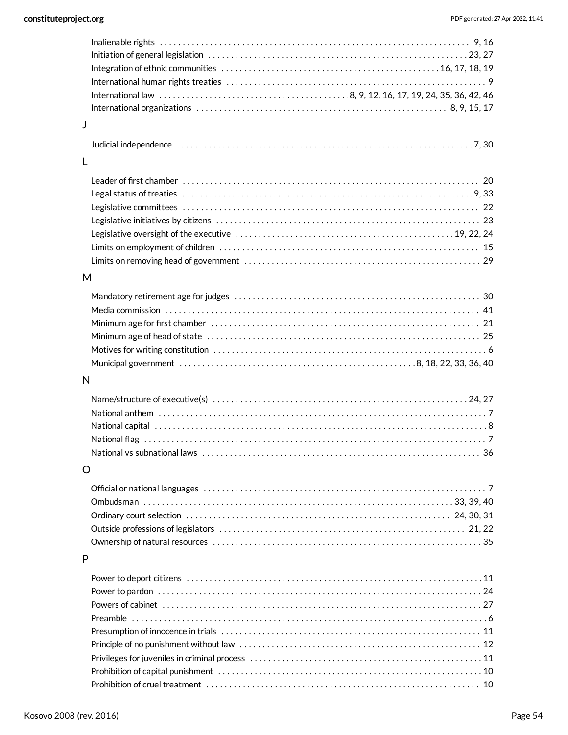| Inalienable rights $\dots\dots\dots\dots\dots\dots\dots\dots\dots\dots\dots\dots\dots\dots\dots\dots\dots\dots$ |  |
|-----------------------------------------------------------------------------------------------------------------|--|
|                                                                                                                 |  |
|                                                                                                                 |  |
|                                                                                                                 |  |
|                                                                                                                 |  |
|                                                                                                                 |  |
| J                                                                                                               |  |
|                                                                                                                 |  |
| L                                                                                                               |  |
|                                                                                                                 |  |
|                                                                                                                 |  |
|                                                                                                                 |  |
|                                                                                                                 |  |
|                                                                                                                 |  |
|                                                                                                                 |  |
|                                                                                                                 |  |
|                                                                                                                 |  |
| M                                                                                                               |  |
|                                                                                                                 |  |
|                                                                                                                 |  |
|                                                                                                                 |  |
|                                                                                                                 |  |
|                                                                                                                 |  |
|                                                                                                                 |  |
| N                                                                                                               |  |
|                                                                                                                 |  |
|                                                                                                                 |  |
|                                                                                                                 |  |
|                                                                                                                 |  |
|                                                                                                                 |  |
| O                                                                                                               |  |
|                                                                                                                 |  |
|                                                                                                                 |  |
|                                                                                                                 |  |
|                                                                                                                 |  |
|                                                                                                                 |  |
|                                                                                                                 |  |
| P                                                                                                               |  |
|                                                                                                                 |  |
|                                                                                                                 |  |
|                                                                                                                 |  |
|                                                                                                                 |  |
|                                                                                                                 |  |
|                                                                                                                 |  |
|                                                                                                                 |  |
|                                                                                                                 |  |
|                                                                                                                 |  |
|                                                                                                                 |  |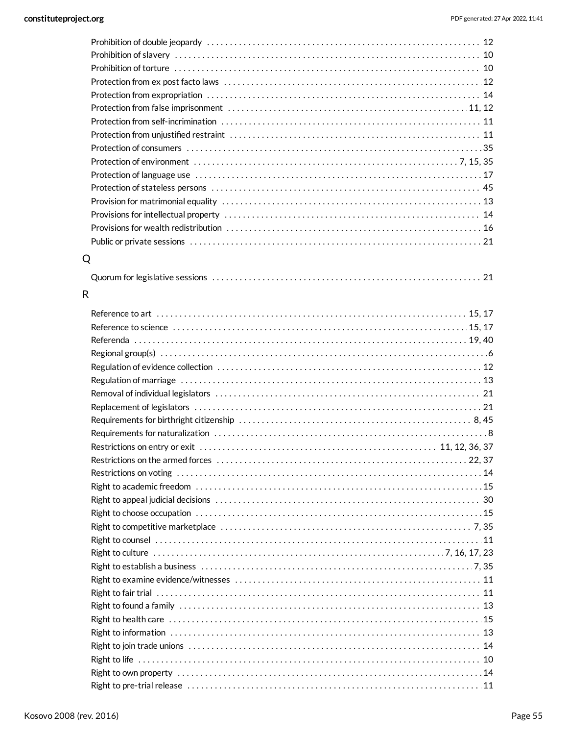| Q |  |
|---|--|
|   |  |

#### R

| Right to pre-trial release …………………………………………………………………………11 |  |
|-----------------------------------------------------------|--|